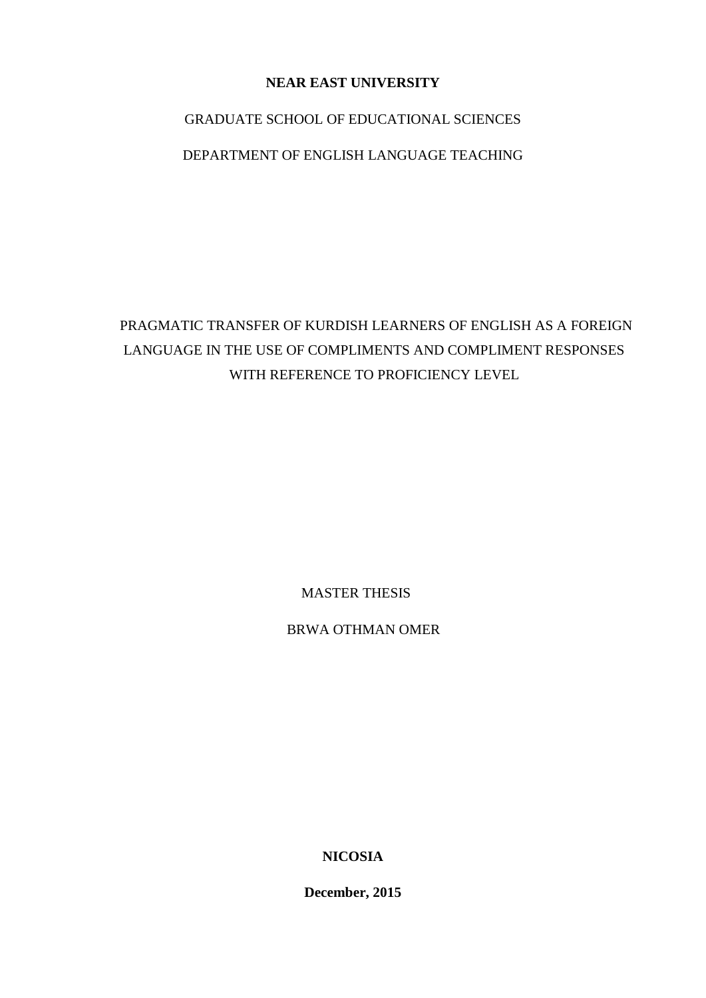# **NEAR EAST UNIVERSITY**

## GRADUATE SCHOOL OF EDUCATIONAL SCIENCES

## DEPARTMENT OF ENGLISH LANGUAGE TEACHING

PRAGMATIC TRANSFER OF KURDISH LEARNERS OF ENGLISH AS A FOREIGN LANGUAGE IN THE USE OF COMPLIMENTS AND COMPLIMENT RESPONSES WITH REFERENCE TO PROFICIENCY LEVEL

MASTER THESIS

BRWA OTHMAN OMER

**NICOSIA** 

**December, 2015**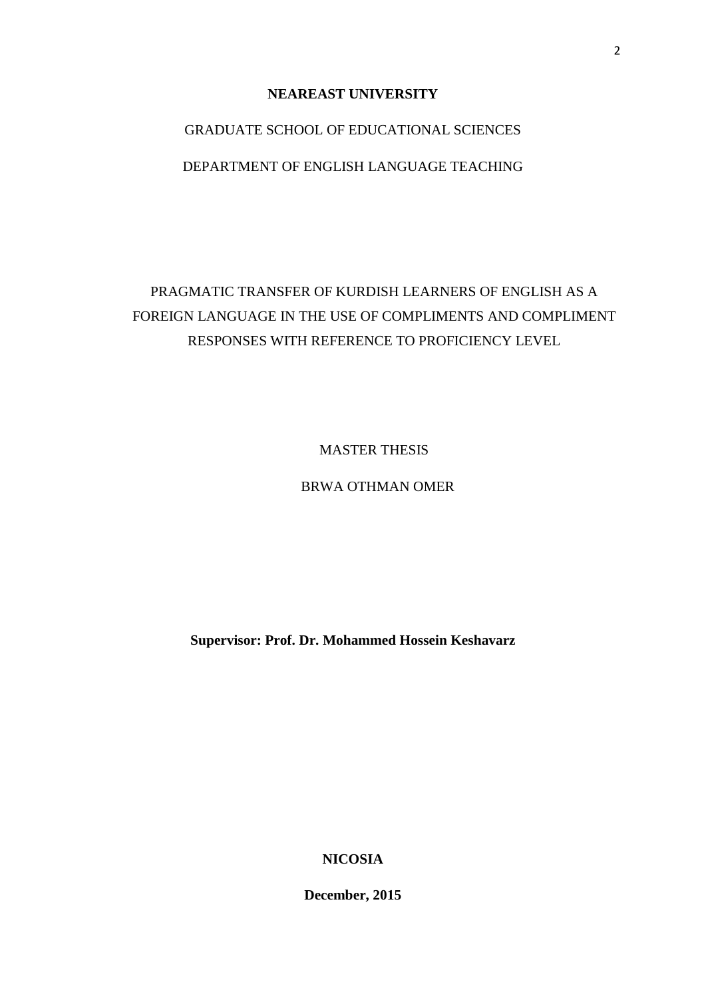#### **NEAREAST UNIVERSITY**

# GRADUATE SCHOOL OF EDUCATIONAL SCIENCES

# DEPARTMENT OF ENGLISH LANGUAGE TEACHING

# PRAGMATIC TRANSFER OF KURDISH LEARNERS OF ENGLISH AS A FOREIGN LANGUAGE IN THE USE OF COMPLIMENTS AND COMPLIMENT RESPONSES WITH REFERENCE TO PROFICIENCY LEVEL

MASTER THESIS

### BRWA OTHMAN OMER

**Supervisor: Prof. Dr. Mohammed Hossein Keshavarz**

**NICOSIA** 

**December, 2015**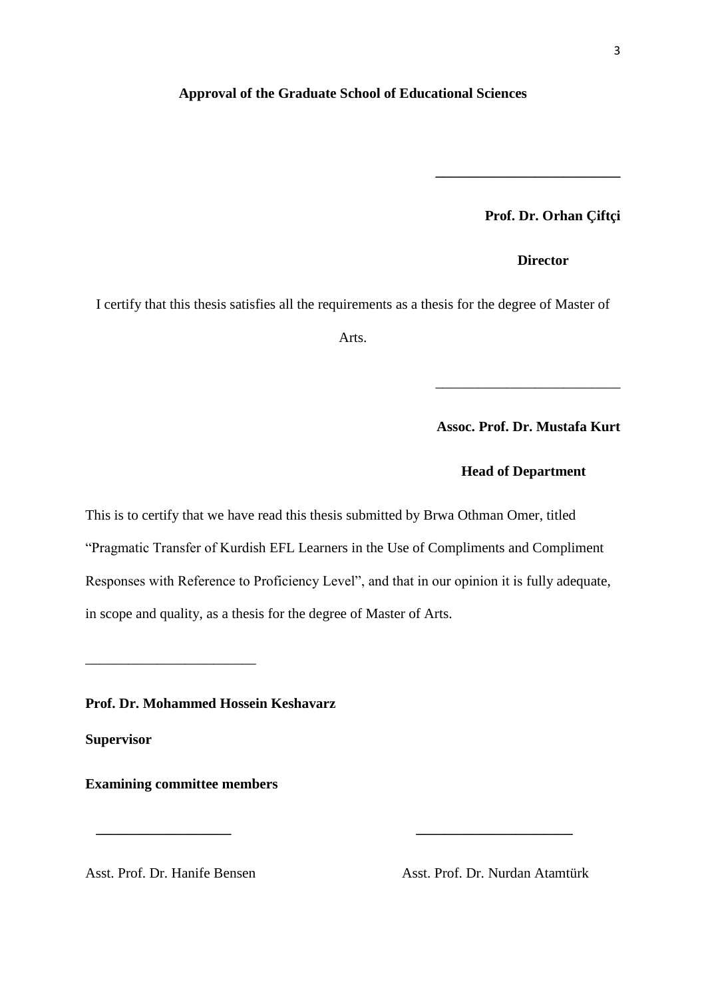#### <span id="page-2-0"></span>**Approval of the Graduate School of Educational Sciences**

**Prof. Dr. Orhan Çiftçi**

 **Director**

**\_\_\_\_\_\_\_\_\_\_\_\_\_\_\_\_\_\_\_\_\_\_\_\_\_\_**

I certify that this thesis satisfies all the requirements as a thesis for the degree of Master of

Arts.

**Assoc. Prof. Dr. Mustafa Kurt**

\_\_\_\_\_\_\_\_\_\_\_\_\_\_\_\_\_\_\_\_\_\_\_\_\_\_

#### **Head of Department**

This is to certify that we have read this thesis submitted by Brwa Othman Omer, titled "Pragmatic Transfer of Kurdish EFL Learners in the Use of Compliments and Compliment Responses with Reference to Proficiency Level", and that in our opinion it is fully adequate, in scope and quality, as a thesis for the degree of Master of Arts.

 **\_\_\_\_\_\_\_\_\_\_\_\_\_\_\_\_\_\_\_ \_\_\_\_\_\_\_\_\_\_\_\_\_\_\_\_\_\_\_\_\_\_**

**Prof. Dr. Mohammed Hossein Keshavarz**

**Supervisor**

**Examining committee members** 

\_\_\_\_\_\_\_\_\_\_\_\_\_\_\_\_\_\_\_\_\_\_\_\_

Asst. Prof. Dr. Hanife Bensen Asst. Prof. Dr. Nurdan Atamtürk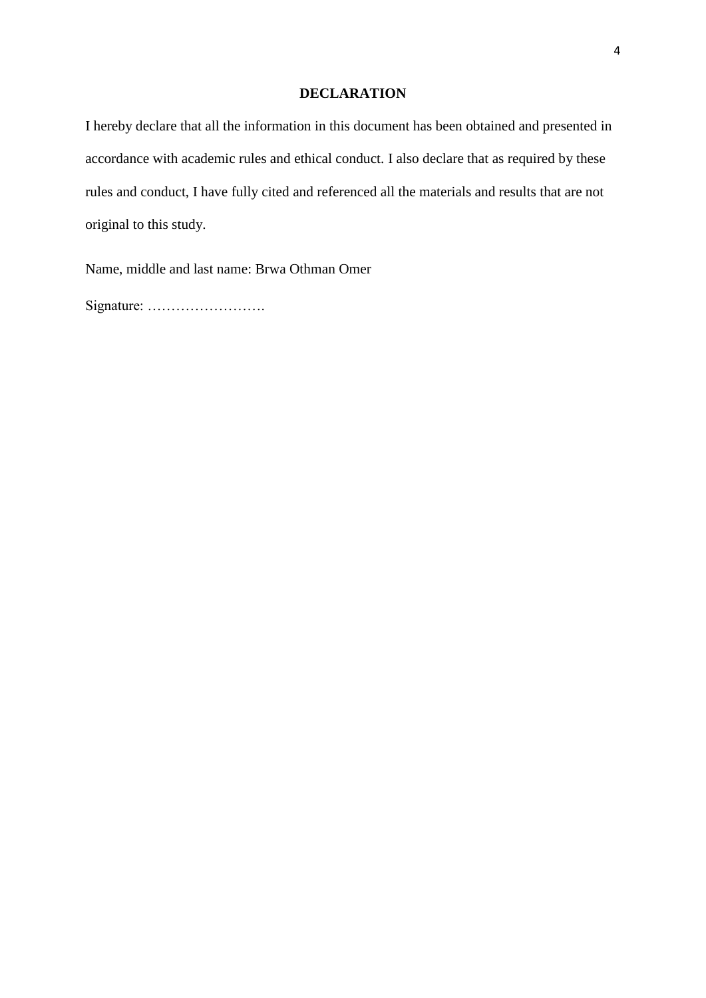#### **DECLARATION**

<span id="page-3-0"></span>I hereby declare that all the information in this document has been obtained and presented in accordance with academic rules and ethical conduct. I also declare that as required by these rules and conduct, I have fully cited and referenced all the materials and results that are not original to this study.

Name, middle and last name: Brwa Othman Omer

Signature: …………………….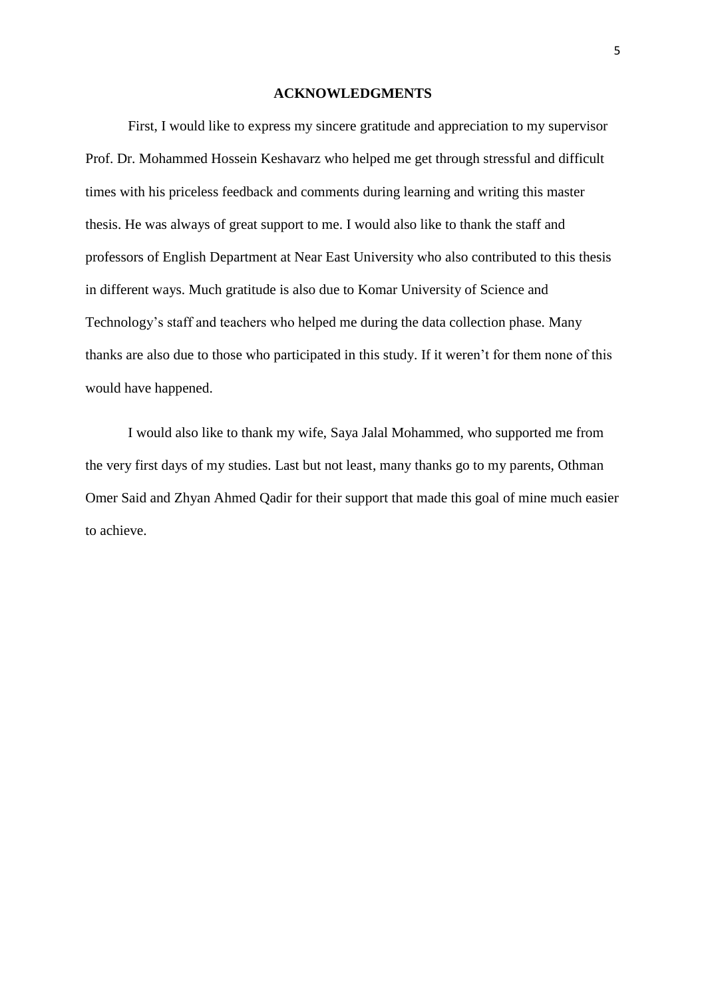#### **ACKNOWLEDGMENTS**

<span id="page-4-0"></span>First, I would like to express my sincere gratitude and appreciation to my supervisor Prof. Dr. Mohammed Hossein Keshavarz who helped me get through stressful and difficult times with his priceless feedback and comments during learning and writing this master thesis. He was always of great support to me. I would also like to thank the staff and professors of English Department at Near East University who also contributed to this thesis in different ways. Much gratitude is also due to Komar University of Science and Technology's staff and teachers who helped me during the data collection phase. Many thanks are also due to those who participated in this study. If it weren't for them none of this would have happened.

I would also like to thank my wife, Saya Jalal Mohammed, who supported me from the very first days of my studies. Last but not least, many thanks go to my parents, Othman Omer Said and Zhyan Ahmed Qadir for their support that made this goal of mine much easier to achieve.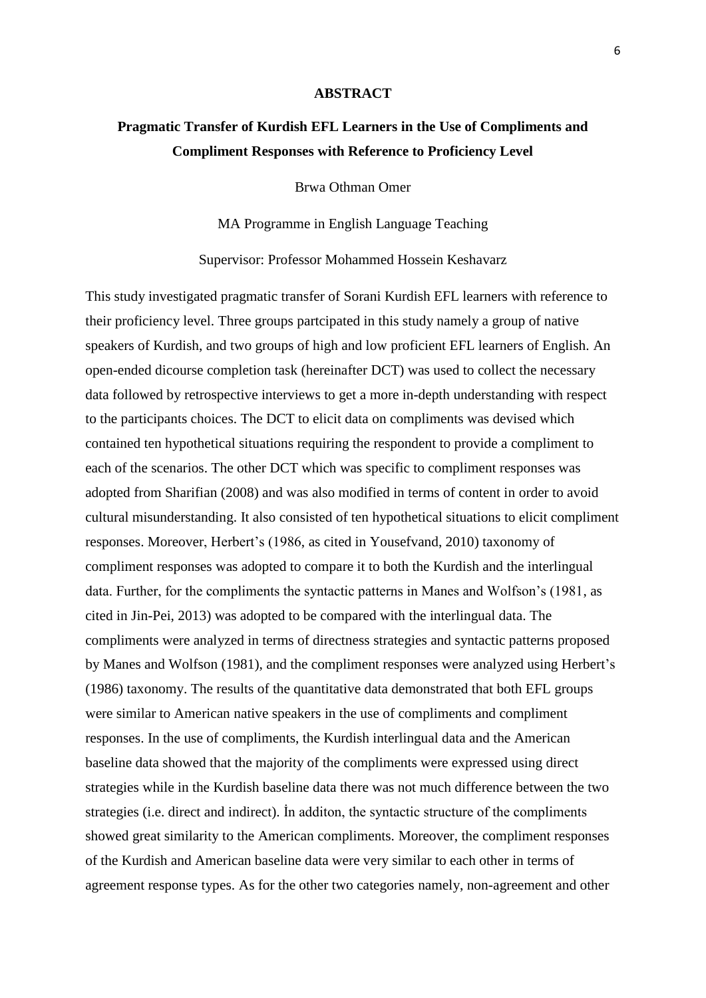#### **ABSTRACT**

# <span id="page-5-0"></span>**Pragmatic Transfer of Kurdish EFL Learners in the Use of Compliments and Compliment Responses with Reference to Proficiency Level**

Brwa Othman Omer

MA Programme in English Language Teaching

Supervisor: Professor Mohammed Hossein Keshavarz

This study investigated pragmatic transfer of Sorani Kurdish EFL learners with reference to their proficiency level. Three groups partcipated in this study namely a group of native speakers of Kurdish, and two groups of high and low proficient EFL learners of English. An open-ended dicourse completion task (hereinafter DCT) was used to collect the necessary data followed by retrospective interviews to get a more in-depth understanding with respect to the participants choices. The DCT to elicit data on compliments was devised which contained ten hypothetical situations requiring the respondent to provide a compliment to each of the scenarios. The other DCT which was specific to compliment responses was adopted from Sharifian (2008) and was also modified in terms of content in order to avoid cultural misunderstanding. It also consisted of ten hypothetical situations to elicit compliment responses. Moreover, Herbert's (1986, as cited in Yousefvand, 2010) taxonomy of compliment responses was adopted to compare it to both the Kurdish and the interlingual data. Further, for the compliments the syntactic patterns in Manes and Wolfson's (1981, as cited in Jin-Pei, 2013) was adopted to be compared with the interlingual data. The compliments were analyzed in terms of directness strategies and syntactic patterns proposed by Manes and Wolfson (1981), and the compliment responses were analyzed using Herbert's (1986) taxonomy. The results of the quantitative data demonstrated that both EFL groups were similar to American native speakers in the use of compliments and compliment responses. In the use of compliments, the Kurdish interlingual data and the American baseline data showed that the majority of the compliments were expressed using direct strategies while in the Kurdish baseline data there was not much difference between the two strategies (i.e. direct and indirect). İn additon, the syntactic structure of the compliments showed great similarity to the American compliments. Moreover, the compliment responses of the Kurdish and American baseline data were very similar to each other in terms of agreement response types. As for the other two categories namely, non-agreement and other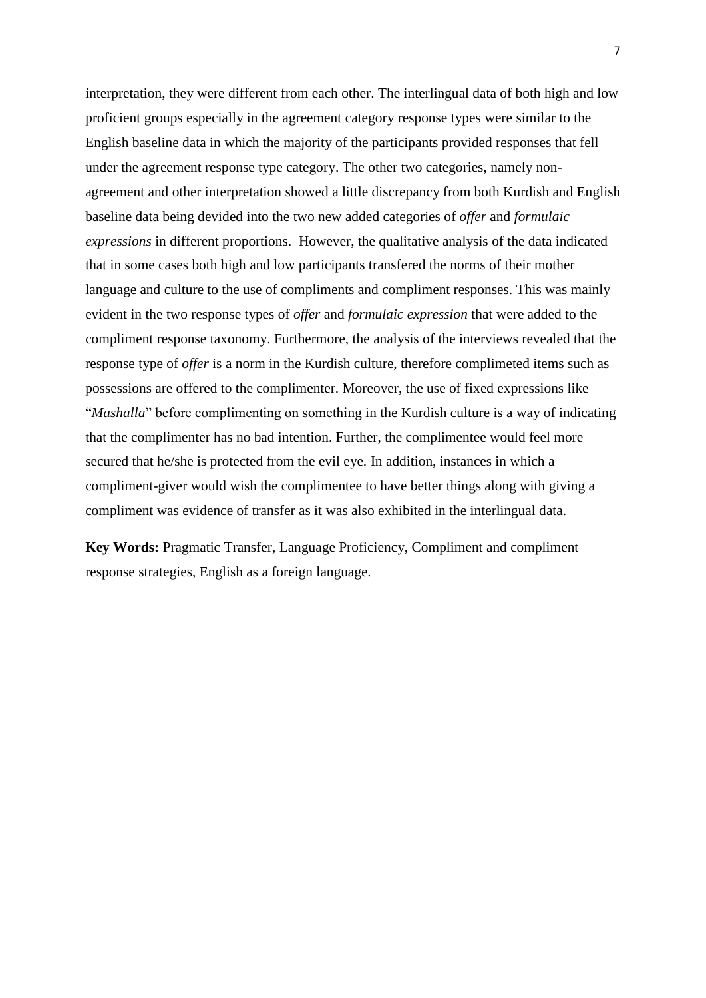interpretation, they were different from each other. The interlingual data of both high and low proficient groups especially in the agreement category response types were similar to the English baseline data in which the majority of the participants provided responses that fell under the agreement response type category. The other two categories, namely nonagreement and other interpretation showed a little discrepancy from both Kurdish and English baseline data being devided into the two new added categories of *offer* and *formulaic expressions* in different proportions. However, the qualitative analysis of the data indicated that in some cases both high and low participants transfered the norms of their mother language and culture to the use of compliments and compliment responses. This was mainly evident in the two response types of *offer* and *formulaic expression* that were added to the compliment response taxonomy. Furthermore, the analysis of the interviews revealed that the response type of *offer* is a norm in the Kurdish culture, therefore complimeted items such as possessions are offered to the complimenter. Moreover, the use of fixed expressions like "*Mashalla*" before complimenting on something in the Kurdish culture is a way of indicating that the complimenter has no bad intention. Further, the complimentee would feel more secured that he/she is protected from the evil eye. In addition, instances in which a compliment-giver would wish the complimentee to have better things along with giving a compliment was evidence of transfer as it was also exhibited in the interlingual data.

**Key Words:** Pragmatic Transfer, Language Proficiency, Compliment and compliment response strategies, English as a foreign language.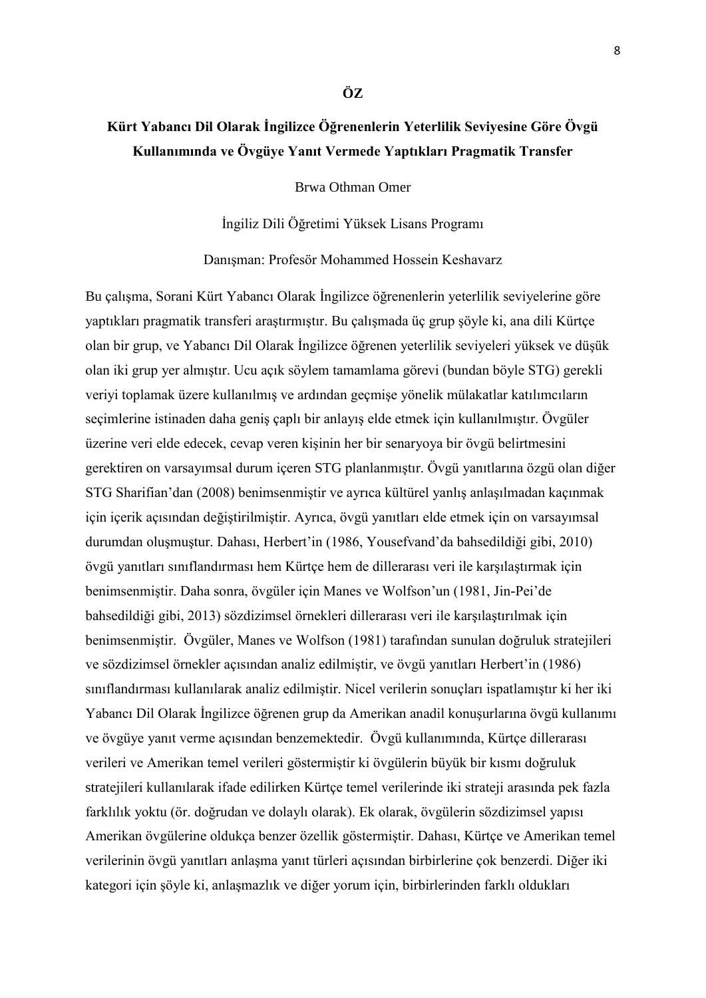# <span id="page-7-0"></span>**Kürt Yabancı Dil Olarak İngilizce Öğrenenlerin Yeterlilik Seviyesine Göre Övgü Kullanımında ve Övgüye Yanıt Vermede Yaptıkları Pragmatik Transfer**

**ÖZ**

Brwa Othman Omer

İngiliz Dili Öğretimi Yüksek Lisans Programı

Danışman: Profesör Mohammed Hossein Keshavarz

Bu çalışma, Sorani Kürt Yabancı Olarak İngilizce öğrenenlerin yeterlilik seviyelerine göre yaptıkları pragmatik transferi araştırmıştır. Bu çalışmada üç grup şöyle ki, ana dili Kürtçe olan bir grup, ve Yabancı Dil Olarak İngilizce öğrenen yeterlilik seviyeleri yüksek ve düşük olan iki grup yer almıştır. Ucu açık söylem tamamlama görevi (bundan böyle STG) gerekli veriyi toplamak üzere kullanılmış ve ardından geçmişe yönelik mülakatlar katılımcıların seçimlerine istinaden daha geniş çaplı bir anlayış elde etmek için kullanılmıştır. Övgüler üzerine veri elde edecek, cevap veren kişinin her bir senaryoya bir övgü belirtmesini gerektiren on varsayımsal durum içeren STG planlanmıştır. Övgü yanıtlarına özgü olan diğer STG Sharifian'dan (2008) benimsenmiştir ve ayrıca kültürel yanlış anlaşılmadan kaçınmak için içerik açısından değiştirilmiştir. Ayrıca, övgü yanıtları elde etmek için on varsayımsal durumdan oluşmuştur. Dahası, Herbert'in (1986, Yousefvand'da bahsedildiği gibi, 2010) övgü yanıtları sınıflandırması hem Kürtçe hem de dillerarası veri ile karşılaştırmak için benimsenmiştir. Daha sonra, övgüler için Manes ve Wolfson'un (1981, Jin-Pei'de bahsedildiği gibi, 2013) sözdizimsel örnekleri dillerarası veri ile karşılaştırılmak için benimsenmiştir. Övgüler, Manes ve Wolfson (1981) tarafından sunulan doğruluk stratejileri ve sözdizimsel örnekler açısından analiz edilmiştir, ve övgü yanıtları Herbert'in (1986) sınıflandırması kullanılarak analiz edilmiştir. Nicel verilerin sonuçları ispatlamıştır ki her iki Yabancı Dil Olarak İngilizce öğrenen grup da Amerikan anadil konuşurlarına övgü kullanımı ve övgüye yanıt verme açısından benzemektedir. Övgü kullanımında, Kürtçe dillerarası verileri ve Amerikan temel verileri göstermiştir ki övgülerin büyük bir kısmı doğruluk stratejileri kullanılarak ifade edilirken Kürtçe temel verilerinde iki strateji arasında pek fazla farklılık yoktu (ör. doğrudan ve dolaylı olarak). Ek olarak, övgülerin sözdizimsel yapısı Amerikan övgülerine oldukça benzer özellik göstermiştir. Dahası, Kürtçe ve Amerikan temel verilerinin övgü yanıtları anlaşma yanıt türleri açısından birbirlerine çok benzerdi. Diğer iki kategori için şöyle ki, anlaşmazlık ve diğer yorum için, birbirlerinden farklı oldukları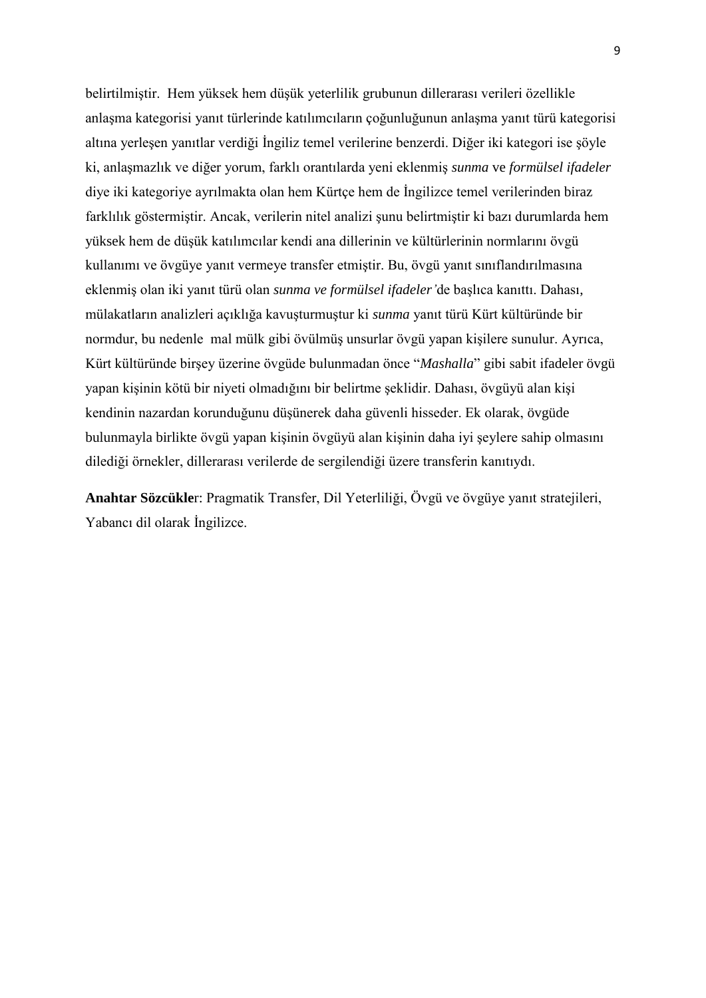belirtilmiştir. Hem yüksek hem düşük yeterlilik grubunun dillerarası verileri özellikle anlaşma kategorisi yanıt türlerinde katılımcıların çoğunluğunun anlaşma yanıt türü kategorisi altına yerleşen yanıtlar verdiği İngiliz temel verilerine benzerdi. Diğer iki kategori ise şöyle ki, anlaşmazlık ve diğer yorum, farklı orantılarda yeni eklenmiş *sunma* ve *formülsel ifadeler* diye iki kategoriye ayrılmakta olan hem Kürtçe hem de İngilizce temel verilerinden biraz farklılık göstermiştir. Ancak, verilerin nitel analizi şunu belirtmiştir ki bazı durumlarda hem yüksek hem de düşük katılımcılar kendi ana dillerinin ve kültürlerinin normlarını övgü kullanımı ve övgüye yanıt vermeye transfer etmiştir. Bu, övgü yanıt sınıflandırılmasına eklenmiş olan iki yanıt türü olan *sunma ve formülsel ifadeler'*de başlıca kanıttı. Dahası, mülakatların analizleri açıklığa kavuşturmuştur ki *sunma* yanıt türü Kürt kültüründe bir normdur, bu nedenle mal mülk gibi övülmüş unsurlar övgü yapan kişilere sunulur. Ayrıca, Kürt kültüründe birşey üzerine övgüde bulunmadan önce "*Mashalla*" gibi sabit ifadeler övgü yapan kişinin kötü bir niyeti olmadığını bir belirtme şeklidir. Dahası, övgüyü alan kişi kendinin nazardan korunduğunu düşünerek daha güvenli hisseder. Ek olarak, övgüde bulunmayla birlikte övgü yapan kişinin övgüyü alan kişinin daha iyi şeylere sahip olmasını dilediği örnekler, dillerarası verilerde de sergilendiği üzere transferin kanıtıydı.

**Anahtar Sözcükle**r: Pragmatik Transfer, Dil Yeterliliği, Övgü ve övgüye yanıt stratejileri, Yabancı dil olarak İngilizce.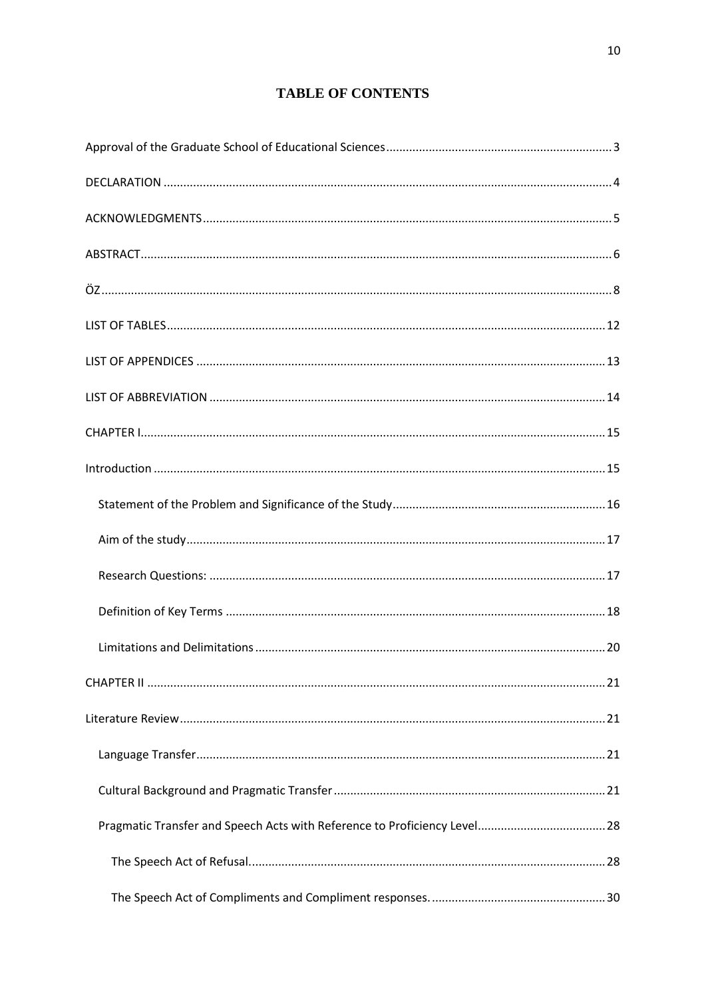# **TABLE OF CONTENTS**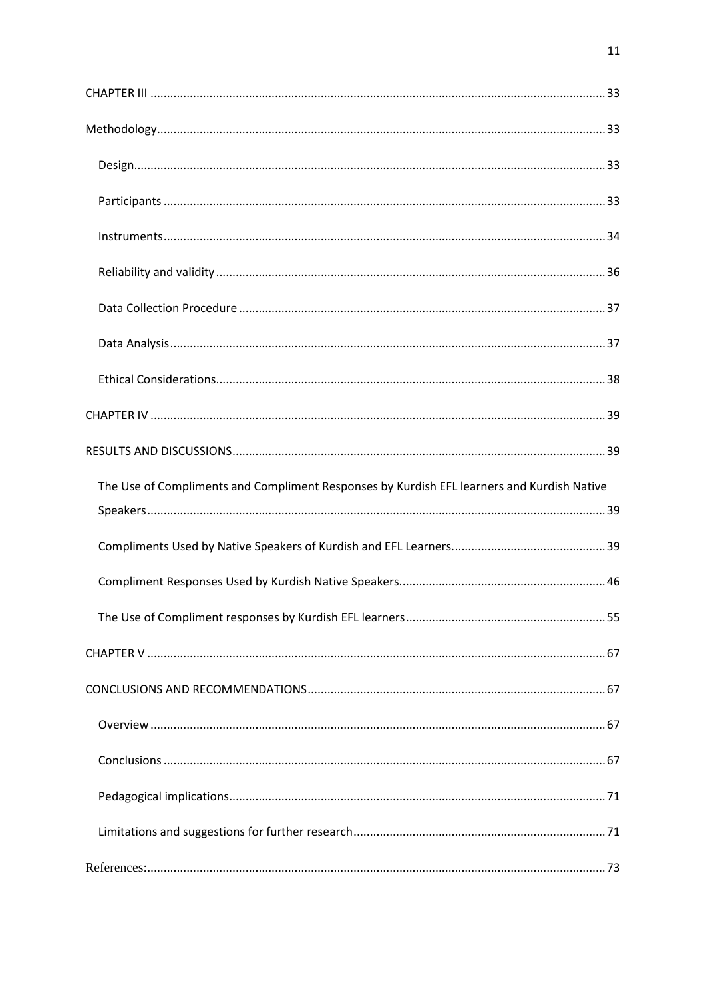| The Use of Compliments and Compliment Responses by Kurdish EFL learners and Kurdish Native |  |
|--------------------------------------------------------------------------------------------|--|
|                                                                                            |  |
|                                                                                            |  |
|                                                                                            |  |
|                                                                                            |  |
|                                                                                            |  |
|                                                                                            |  |
|                                                                                            |  |
|                                                                                            |  |
|                                                                                            |  |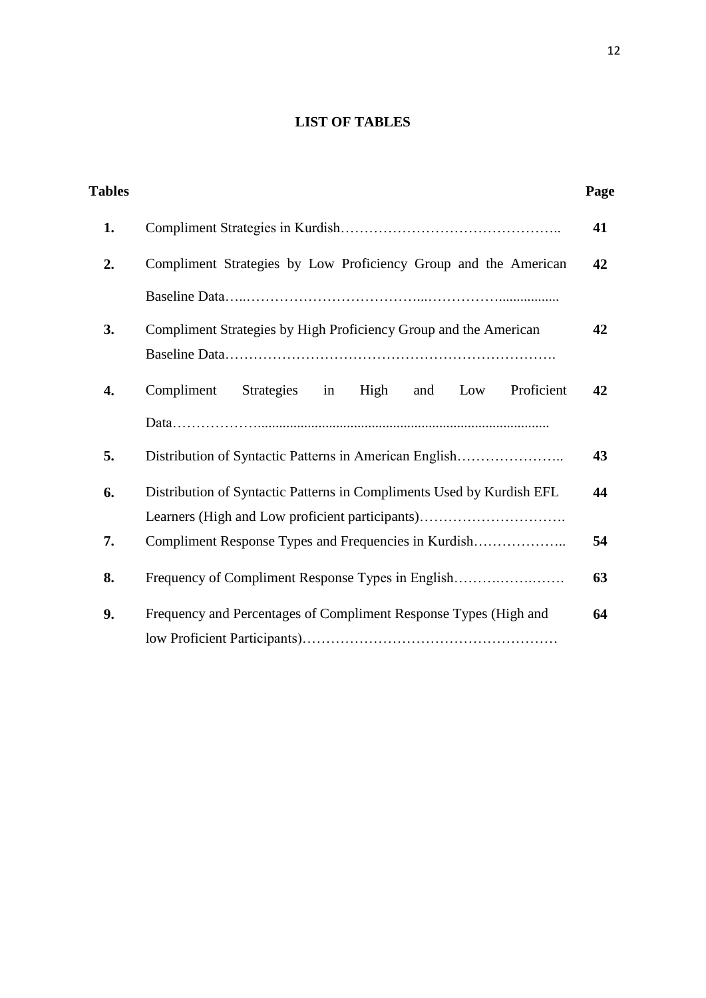# **LIST OF TABLES**

<span id="page-11-0"></span>

| <b>Tables</b> |                                                                       | Page |
|---------------|-----------------------------------------------------------------------|------|
| 1.            |                                                                       | 41   |
| 2.            | Compliment Strategies by Low Proficiency Group and the American       | 42   |
|               |                                                                       |      |
| 3.            | Compliment Strategies by High Proficiency Group and the American      | 42   |
| 4.            | Strategies<br>Compliment<br>in<br>High<br>and<br>Low<br>Proficient    | 42   |
|               |                                                                       |      |
| 5.            | Distribution of Syntactic Patterns in American English                | 43   |
| 6.            | Distribution of Syntactic Patterns in Compliments Used by Kurdish EFL | 44   |
|               | Learners (High and Low proficient participants)                       |      |
| 7.            |                                                                       | 54   |
| 8.            | Frequency of Compliment Response Types in English                     | 63   |
| 9.            | Frequency and Percentages of Compliment Response Types (High and      | 64   |
|               |                                                                       |      |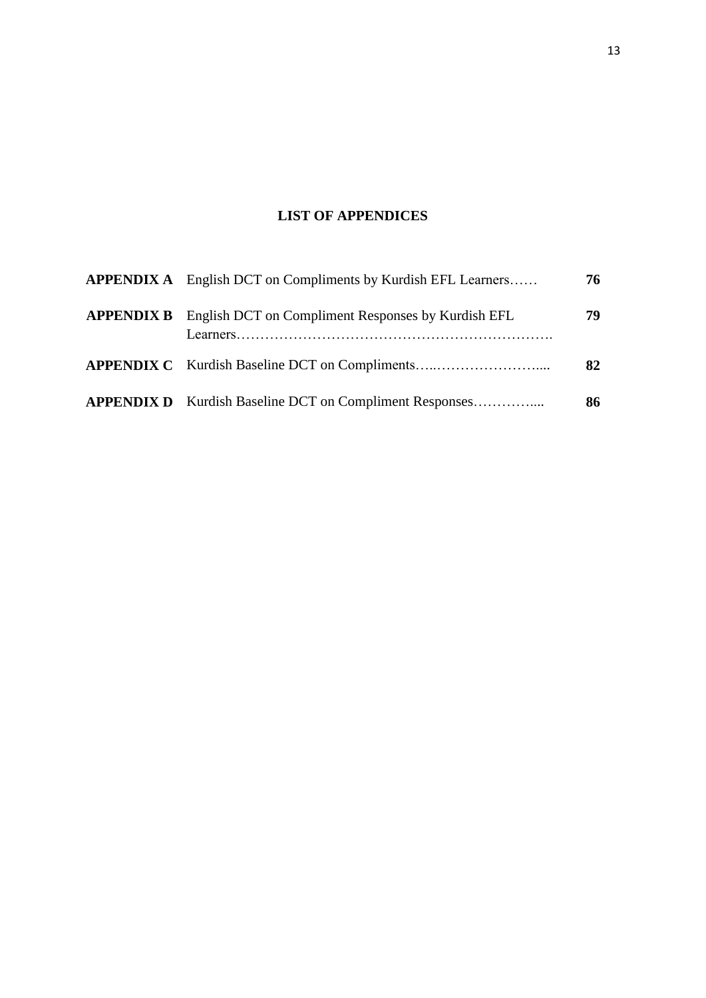# **LIST OF APPENDICES**

<span id="page-12-0"></span>

| <b>APPENDIX A</b> English DCT on Compliments by Kurdish EFL Learners | 76 |
|----------------------------------------------------------------------|----|
| <b>APPENDIX B</b> English DCT on Compliment Responses by Kurdish EFL | 79 |
|                                                                      | 82 |
| <b>APPENDIX D</b> Kurdish Baseline DCT on Compliment Responses       | 86 |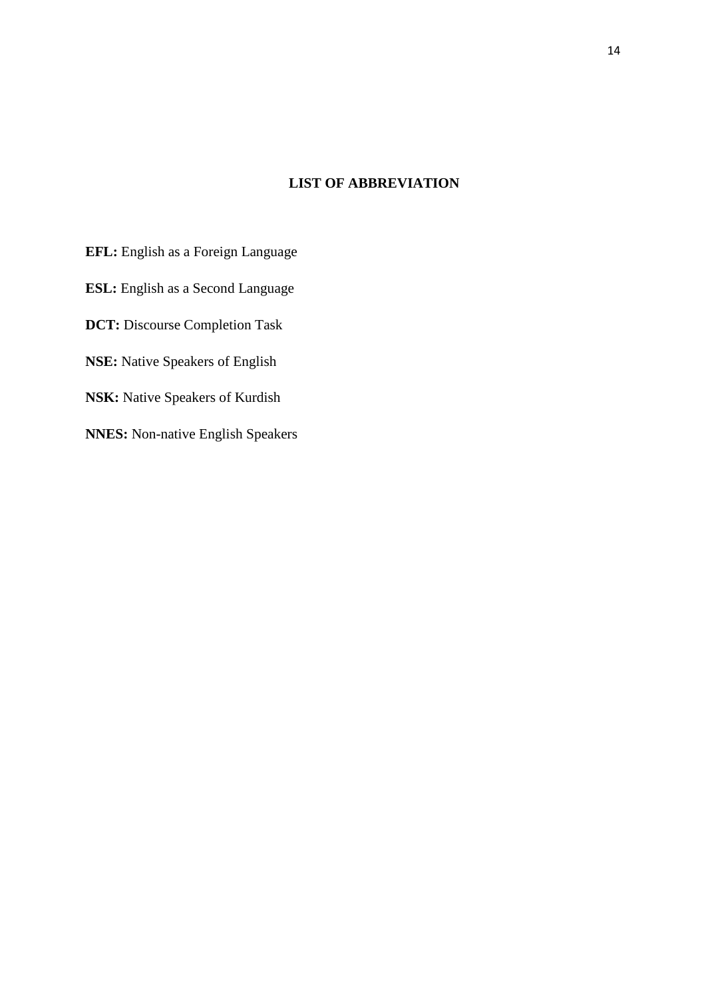## <span id="page-13-0"></span>**LIST OF ABBREVIATION**

**EFL:** English as a Foreign Language **ESL:** English as a Second Language **DCT:** Discourse Completion Task **NSE:** Native Speakers of English **NSK:** Native Speakers of Kurdish **NNES:** Non-native English Speakers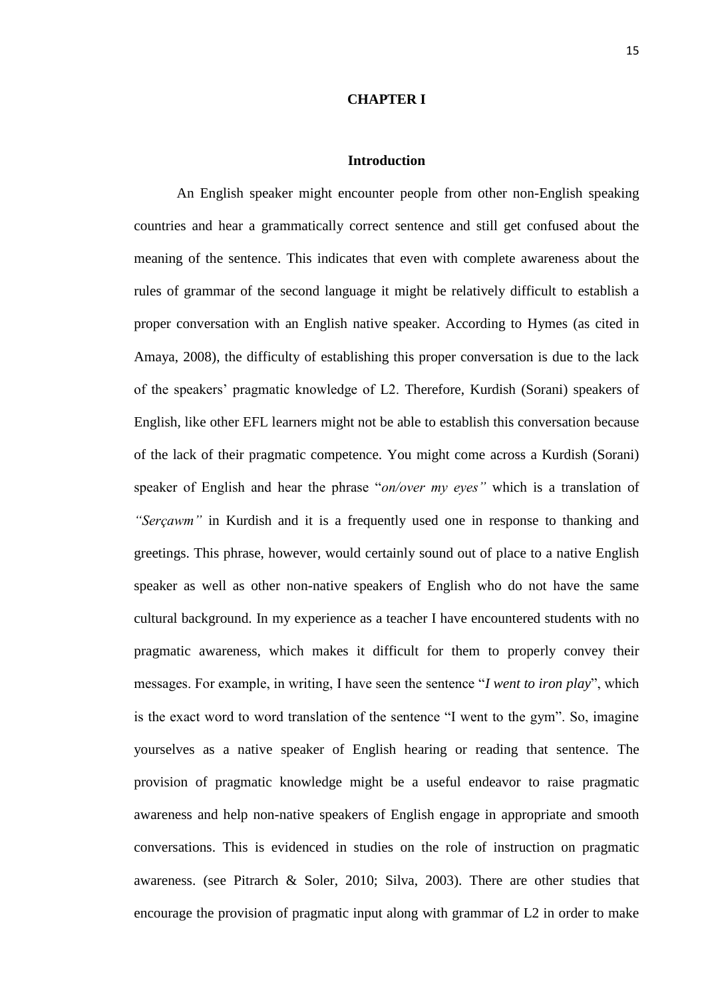#### **CHAPTER I**

#### **Introduction**

<span id="page-14-1"></span><span id="page-14-0"></span>An English speaker might encounter people from other non-English speaking countries and hear a grammatically correct sentence and still get confused about the meaning of the sentence. This indicates that even with complete awareness about the rules of grammar of the second language it might be relatively difficult to establish a proper conversation with an English native speaker. According to Hymes (as cited in Amaya, 2008), the difficulty of establishing this proper conversation is due to the lack of the speakers' pragmatic knowledge of L2. Therefore, Kurdish (Sorani) speakers of English, like other EFL learners might not be able to establish this conversation because of the lack of their pragmatic competence. You might come across a Kurdish (Sorani) speaker of English and hear the phrase "*on/over my eyes"* which is a translation of *"Serçawm"* in Kurdish and it is a frequently used one in response to thanking and greetings. This phrase, however, would certainly sound out of place to a native English speaker as well as other non-native speakers of English who do not have the same cultural background. In my experience as a teacher I have encountered students with no pragmatic awareness, which makes it difficult for them to properly convey their messages. For example, in writing, I have seen the sentence "*I went to iron play*", which is the exact word to word translation of the sentence "I went to the gym". So, imagine yourselves as a native speaker of English hearing or reading that sentence. The provision of pragmatic knowledge might be a useful endeavor to raise pragmatic awareness and help non-native speakers of English engage in appropriate and smooth conversations. This is evidenced in studies on the role of instruction on pragmatic awareness. (see Pitrarch & Soler, 2010; Silva, 2003). There are other studies that encourage the provision of pragmatic input along with grammar of L2 in order to make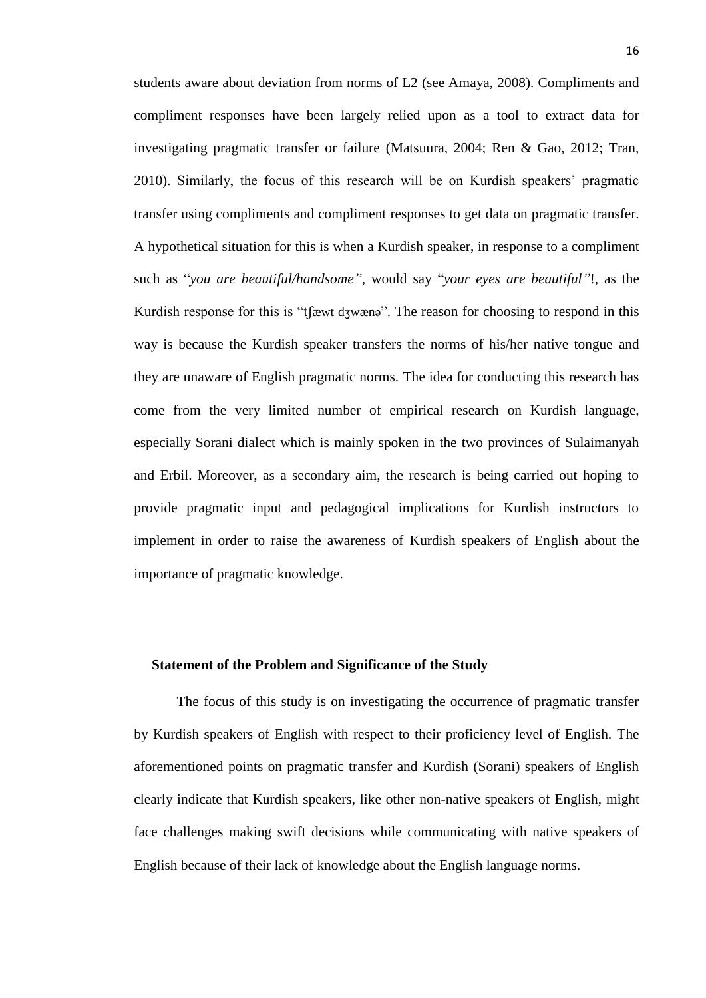students aware about deviation from norms of L2 (see Amaya, 2008). Compliments and compliment responses have been largely relied upon as a tool to extract data for investigating pragmatic transfer or failure (Matsuura, 2004; Ren & Gao, 2012; Tran, 2010). Similarly, the focus of this research will be on Kurdish speakers' pragmatic transfer using compliments and compliment responses to get data on pragmatic transfer. A hypothetical situation for this is when a Kurdish speaker, in response to a compliment such as "*you are beautiful/handsome"*, would say "*your eyes are beautiful"*!, as the Kurdish response for this is "t<sup>e</sup> fawt dzwænə". The reason for choosing to respond in this way is because the Kurdish speaker transfers the norms of his/her native tongue and they are unaware of English pragmatic norms. The idea for conducting this research has come from the very limited number of empirical research on Kurdish language, especially Sorani dialect which is mainly spoken in the two provinces of Sulaimanyah and Erbil. Moreover, as a secondary aim, the research is being carried out hoping to provide pragmatic input and pedagogical implications for Kurdish instructors to implement in order to raise the awareness of Kurdish speakers of English about the importance of pragmatic knowledge.

#### <span id="page-15-0"></span> **Statement of the Problem and Significance of the Study**

The focus of this study is on investigating the occurrence of pragmatic transfer by Kurdish speakers of English with respect to their proficiency level of English. The aforementioned points on pragmatic transfer and Kurdish (Sorani) speakers of English clearly indicate that Kurdish speakers, like other non-native speakers of English, might face challenges making swift decisions while communicating with native speakers of English because of their lack of knowledge about the English language norms.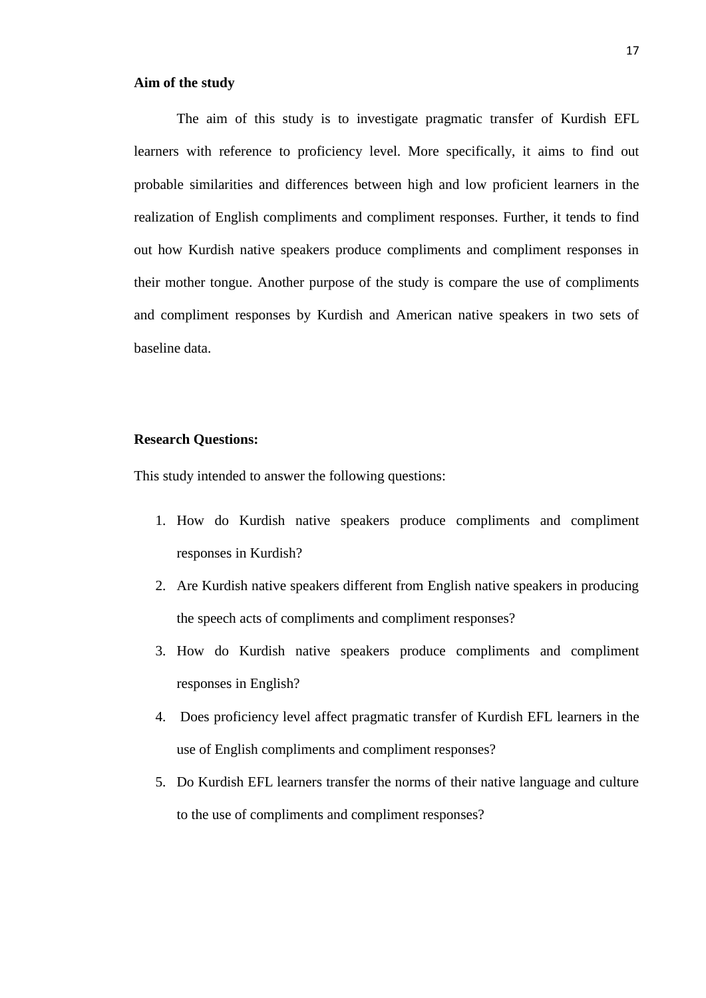#### <span id="page-16-0"></span>**Aim of the study**

The aim of this study is to investigate pragmatic transfer of Kurdish EFL learners with reference to proficiency level. More specifically, it aims to find out probable similarities and differences between high and low proficient learners in the realization of English compliments and compliment responses. Further, it tends to find out how Kurdish native speakers produce compliments and compliment responses in their mother tongue. Another purpose of the study is compare the use of compliments and compliment responses by Kurdish and American native speakers in two sets of baseline data.

#### <span id="page-16-1"></span>**Research Questions:**

This study intended to answer the following questions:

- 1. How do Kurdish native speakers produce compliments and compliment responses in Kurdish?
- 2. Are Kurdish native speakers different from English native speakers in producing the speech acts of compliments and compliment responses?
- 3. How do Kurdish native speakers produce compliments and compliment responses in English?
- 4. Does proficiency level affect pragmatic transfer of Kurdish EFL learners in the use of English compliments and compliment responses?
- 5. Do Kurdish EFL learners transfer the norms of their native language and culture to the use of compliments and compliment responses?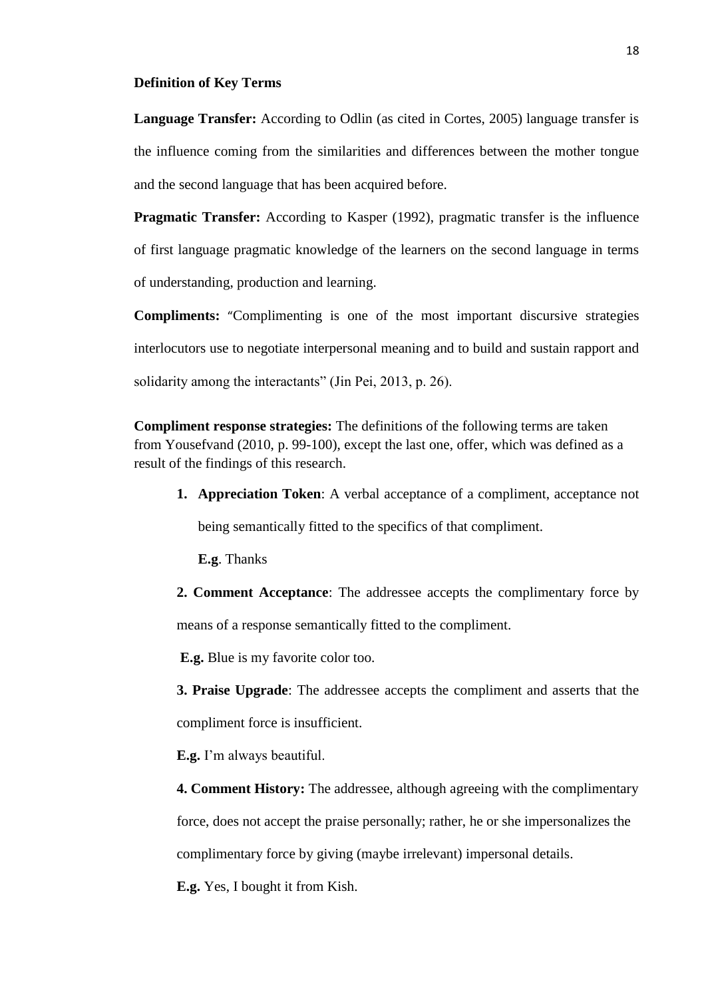#### <span id="page-17-0"></span>**Definition of Key Terms**

Language Transfer: According to Odlin (as cited in Cortes, 2005) language transfer is the influence coming from the similarities and differences between the mother tongue and the second language that has been acquired before.

**Pragmatic Transfer:** According to Kasper (1992), pragmatic transfer is the influence of first language pragmatic knowledge of the learners on the second language in terms of understanding, production and learning.

**Compliments:** "Complimenting is one of the most important discursive strategies interlocutors use to negotiate interpersonal meaning and to build and sustain rapport and solidarity among the interactants" (Jin Pei, 2013, p. 26).

**Compliment response strategies:** The definitions of the following terms are taken from Yousefvand (2010, p. 99-100), except the last one, offer, which was defined as a result of the findings of this research.

**1. Appreciation Token**: A verbal acceptance of a compliment, acceptance not being semantically fitted to the specifics of that compliment.

**E.g**. Thanks

**2. Comment Acceptance**: The addressee accepts the complimentary force by means of a response semantically fitted to the compliment.

**E.g.** Blue is my favorite color too.

**3. Praise Upgrade**: The addressee accepts the compliment and asserts that the compliment force is insufficient.

**E.g.** I'm always beautiful.

**4. Comment History:** The addressee, although agreeing with the complimentary force, does not accept the praise personally; rather, he or she impersonalizes the complimentary force by giving (maybe irrelevant) impersonal details.

**E.g.** Yes, I bought it from Kish.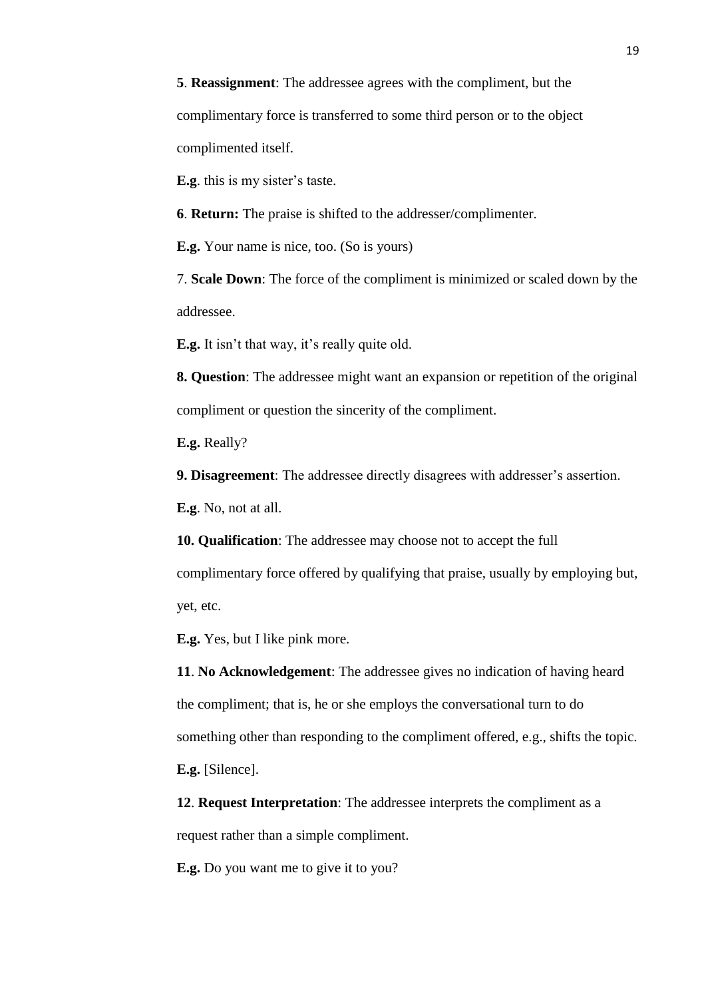**5**. **Reassignment**: The addressee agrees with the compliment, but the complimentary force is transferred to some third person or to the object complimented itself.

**E.g**. this is my sister's taste.

**6**. **Return:** The praise is shifted to the addresser/complimenter.

**E.g.** Your name is nice, too. (So is yours)

7. **Scale Down**: The force of the compliment is minimized or scaled down by the addressee.

**E.g.** It isn't that way, it's really quite old.

**8. Question**: The addressee might want an expansion or repetition of the original compliment or question the sincerity of the compliment.

**E.g.** Really?

**9. Disagreement**: The addressee directly disagrees with addresser's assertion.

**E.g**. No, not at all.

**10. Qualification**: The addressee may choose not to accept the full

complimentary force offered by qualifying that praise, usually by employing but, yet, etc.

**E.g.** Yes, but I like pink more.

**11**. **No Acknowledgement**: The addressee gives no indication of having heard the compliment; that is, he or she employs the conversational turn to do something other than responding to the compliment offered, e.g., shifts the topic. **E.g.** [Silence].

**12**. **Request Interpretation**: The addressee interprets the compliment as a request rather than a simple compliment.

**E.g.** Do you want me to give it to you?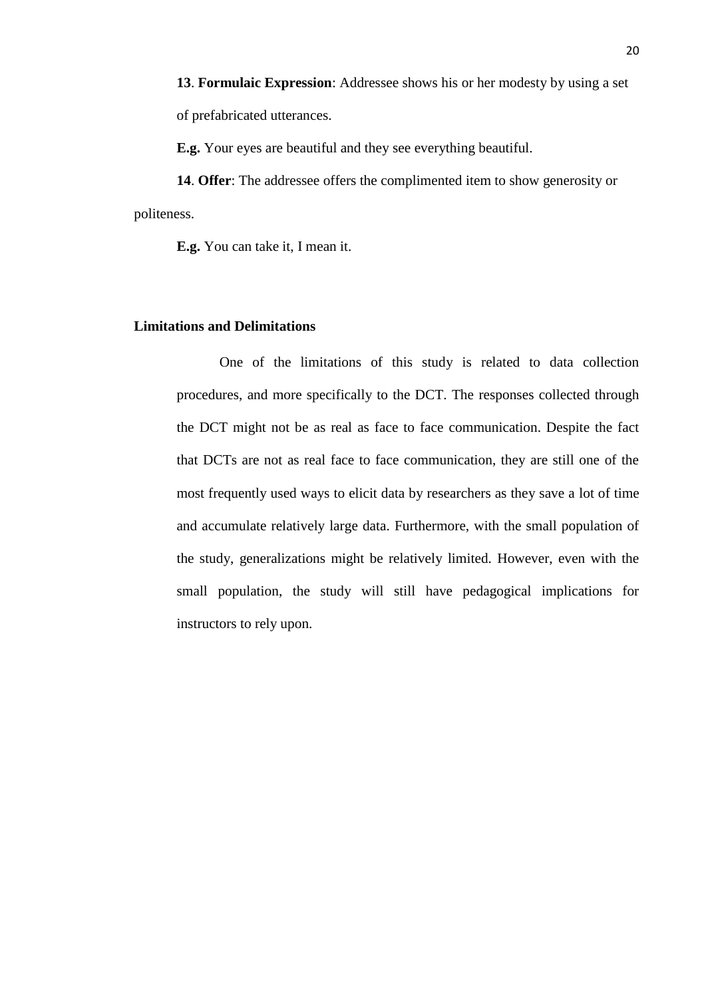**13**. **Formulaic Expression**: Addressee shows his or her modesty by using a set of prefabricated utterances.

**E.g.** Your eyes are beautiful and they see everything beautiful.

**14**. **Offer**: The addressee offers the complimented item to show generosity or politeness.

**E.g.** You can take it, I mean it.

#### <span id="page-19-0"></span>**Limitations and Delimitations**

One of the limitations of this study is related to data collection procedures, and more specifically to the DCT. The responses collected through the DCT might not be as real as face to face communication. Despite the fact that DCTs are not as real face to face communication, they are still one of the most frequently used ways to elicit data by researchers as they save a lot of time and accumulate relatively large data. Furthermore, with the small population of the study, generalizations might be relatively limited. However, even with the small population, the study will still have pedagogical implications for instructors to rely upon.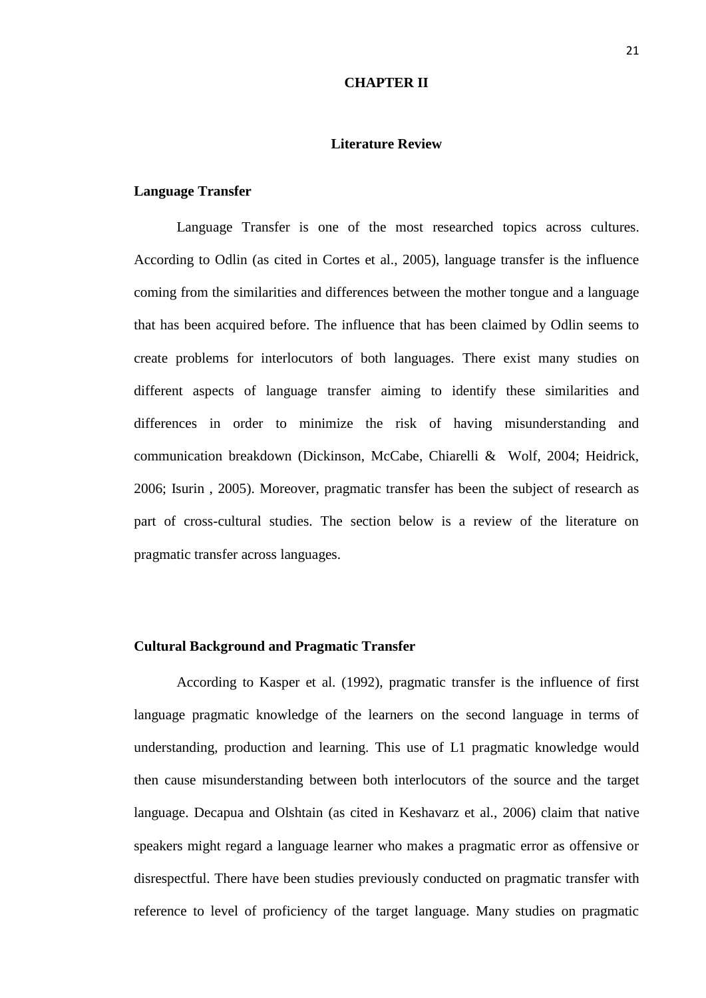#### **CHAPTER II**

#### **Literature Review**

#### <span id="page-20-2"></span><span id="page-20-1"></span><span id="page-20-0"></span>**Language Transfer**

Language Transfer is one of the most researched topics across cultures. According to Odlin (as cited in Cortes et al., 2005), language transfer is the influence coming from the similarities and differences between the mother tongue and a language that has been acquired before. The influence that has been claimed by Odlin seems to create problems for interlocutors of both languages. There exist many studies on different aspects of language transfer aiming to identify these similarities and differences in order to minimize the risk of having misunderstanding and communication breakdown (Dickinson, McCabe, Chiarelli & Wolf, 2004; Heidrick, 2006; Isurin , 2005). Moreover, pragmatic transfer has been the subject of research as part of cross-cultural studies. The section below is a review of the literature on pragmatic transfer across languages.

#### <span id="page-20-3"></span>**Cultural Background and Pragmatic Transfer**

According to Kasper et al. (1992), pragmatic transfer is the influence of first language pragmatic knowledge of the learners on the second language in terms of understanding, production and learning. This use of L1 pragmatic knowledge would then cause misunderstanding between both interlocutors of the source and the target language. Decapua and Olshtain (as cited in Keshavarz et al., 2006) claim that native speakers might regard a language learner who makes a pragmatic error as offensive or disrespectful. There have been studies previously conducted on pragmatic transfer with reference to level of proficiency of the target language. Many studies on pragmatic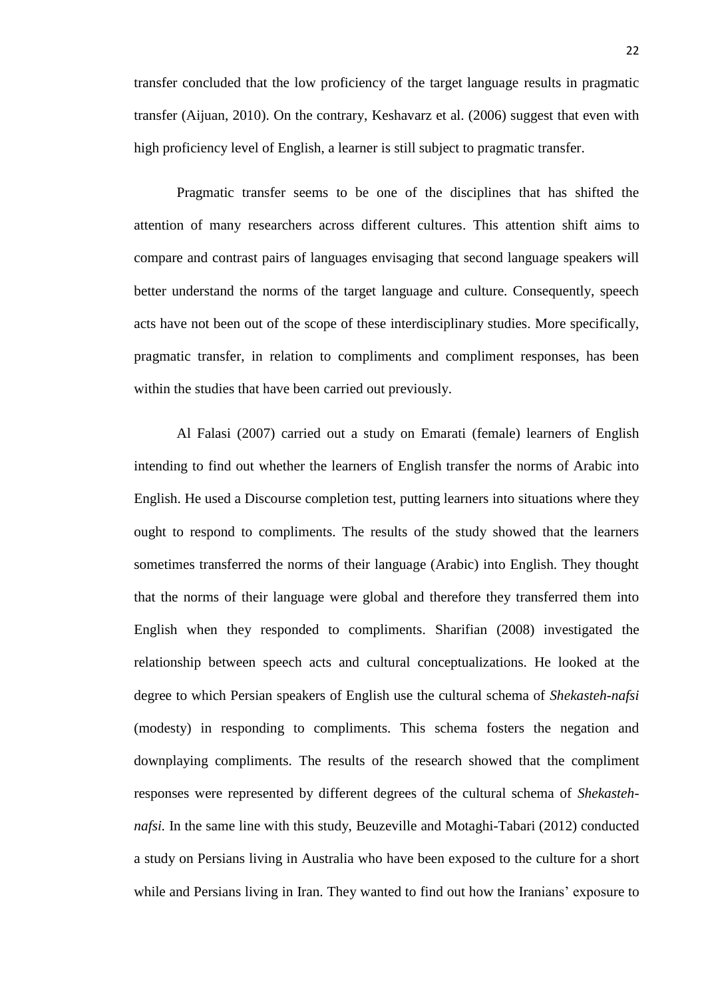transfer concluded that the low proficiency of the target language results in pragmatic transfer (Aijuan, 2010). On the contrary, Keshavarz et al. (2006) suggest that even with high proficiency level of English, a learner is still subject to pragmatic transfer.

Pragmatic transfer seems to be one of the disciplines that has shifted the attention of many researchers across different cultures. This attention shift aims to compare and contrast pairs of languages envisaging that second language speakers will better understand the norms of the target language and culture. Consequently, speech acts have not been out of the scope of these interdisciplinary studies. More specifically, pragmatic transfer, in relation to compliments and compliment responses, has been within the studies that have been carried out previously.

Al Falasi (2007) carried out a study on Emarati (female) learners of English intending to find out whether the learners of English transfer the norms of Arabic into English. He used a Discourse completion test, putting learners into situations where they ought to respond to compliments. The results of the study showed that the learners sometimes transferred the norms of their language (Arabic) into English. They thought that the norms of their language were global and therefore they transferred them into English when they responded to compliments. Sharifian (2008) investigated the relationship between speech acts and cultural conceptualizations. He looked at the degree to which Persian speakers of English use the cultural schema of *Shekasteh-nafsi* (modesty) in responding to compliments. This schema fosters the negation and downplaying compliments. The results of the research showed that the compliment responses were represented by different degrees of the cultural schema of *Shekastehnafsi.* In the same line with this study, Beuzeville and Motaghi-Tabari (2012) conducted a study on Persians living in Australia who have been exposed to the culture for a short while and Persians living in Iran. They wanted to find out how the Iranians' exposure to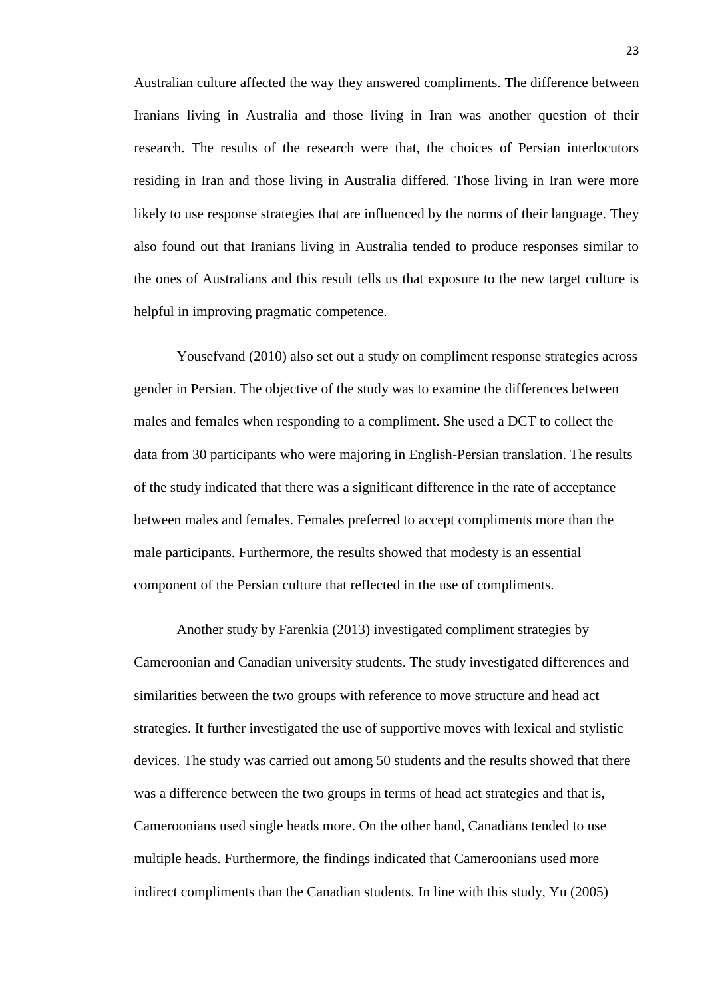Australian culture affected the way they answered compliments. The difference between Iranians living in Australia and those living in Iran was another question of their research. The results of the research were that, the choices of Persian interlocutors residing in Iran and those living in Australia differed. Those living in Iran were more likely to use response strategies that are influenced by the norms of their language. They also found out that Iranians living in Australia tended to produce responses similar to the ones of Australians and this result tells us that exposure to the new target culture is helpful in improving pragmatic competence.

Yousefvand (2010) also set out a study on compliment response strategies across gender in Persian. The objective of the study was to examine the differences between males and females when responding to a compliment. She used a DCT to collect the data from 30 participants who were majoring in English-Persian translation. The results of the study indicated that there was a significant difference in the rate of acceptance between males and females. Females preferred to accept compliments more than the male participants. Furthermore, the results showed that modesty is an essential component of the Persian culture that reflected in the use of compliments.

Another study by Farenkia (2013) investigated compliment strategies by Cameroonian and Canadian university students. The study investigated differences and similarities between the two groups with reference to move structure and head act strategies. It further investigated the use of supportive moves with lexical and stylistic devices. The study was carried out among 50 students and the results showed that there was a difference between the two groups in terms of head act strategies and that is, Cameroonians used single heads more. On the other hand, Canadians tended to use multiple heads. Furthermore, the findings indicated that Cameroonians used more indirect compliments than the Canadian students. In line with this study, Yu (2005)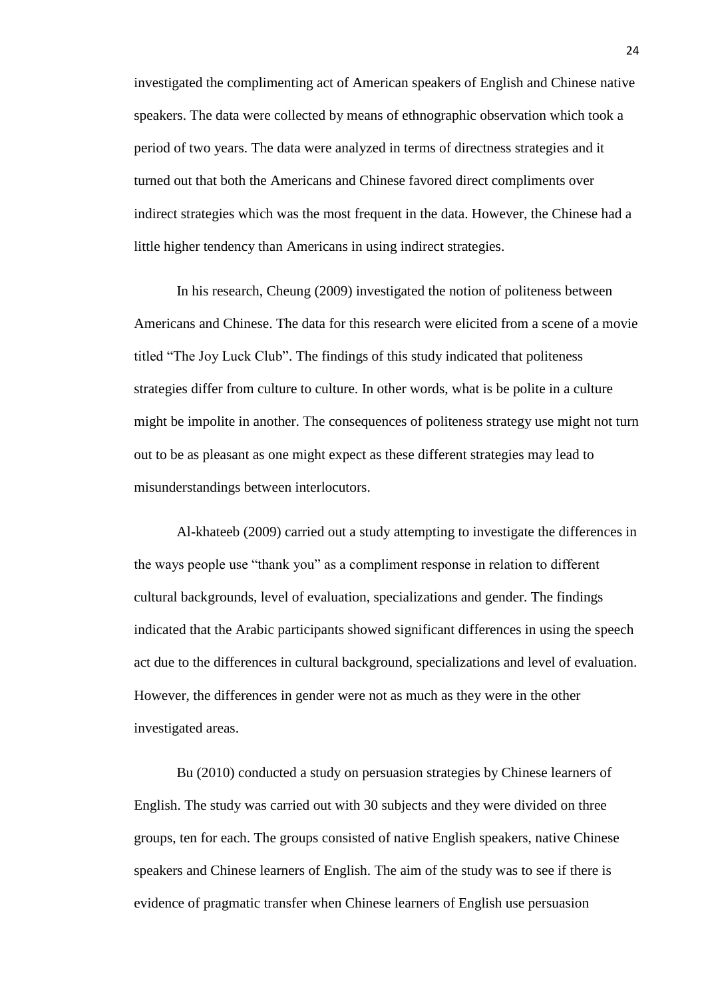investigated the complimenting act of American speakers of English and Chinese native speakers. The data were collected by means of ethnographic observation which took a period of two years. The data were analyzed in terms of directness strategies and it turned out that both the Americans and Chinese favored direct compliments over indirect strategies which was the most frequent in the data. However, the Chinese had a little higher tendency than Americans in using indirect strategies.

In his research, Cheung (2009) investigated the notion of politeness between Americans and Chinese. The data for this research were elicited from a scene of a movie titled "The Joy Luck Club". The findings of this study indicated that politeness strategies differ from culture to culture. In other words, what is be polite in a culture might be impolite in another. The consequences of politeness strategy use might not turn out to be as pleasant as one might expect as these different strategies may lead to misunderstandings between interlocutors.

Al-khateeb (2009) carried out a study attempting to investigate the differences in the ways people use "thank you" as a compliment response in relation to different cultural backgrounds, level of evaluation, specializations and gender. The findings indicated that the Arabic participants showed significant differences in using the speech act due to the differences in cultural background, specializations and level of evaluation. However, the differences in gender were not as much as they were in the other investigated areas.

Bu (2010) conducted a study on persuasion strategies by Chinese learners of English. The study was carried out with 30 subjects and they were divided on three groups, ten for each. The groups consisted of native English speakers, native Chinese speakers and Chinese learners of English. The aim of the study was to see if there is evidence of pragmatic transfer when Chinese learners of English use persuasion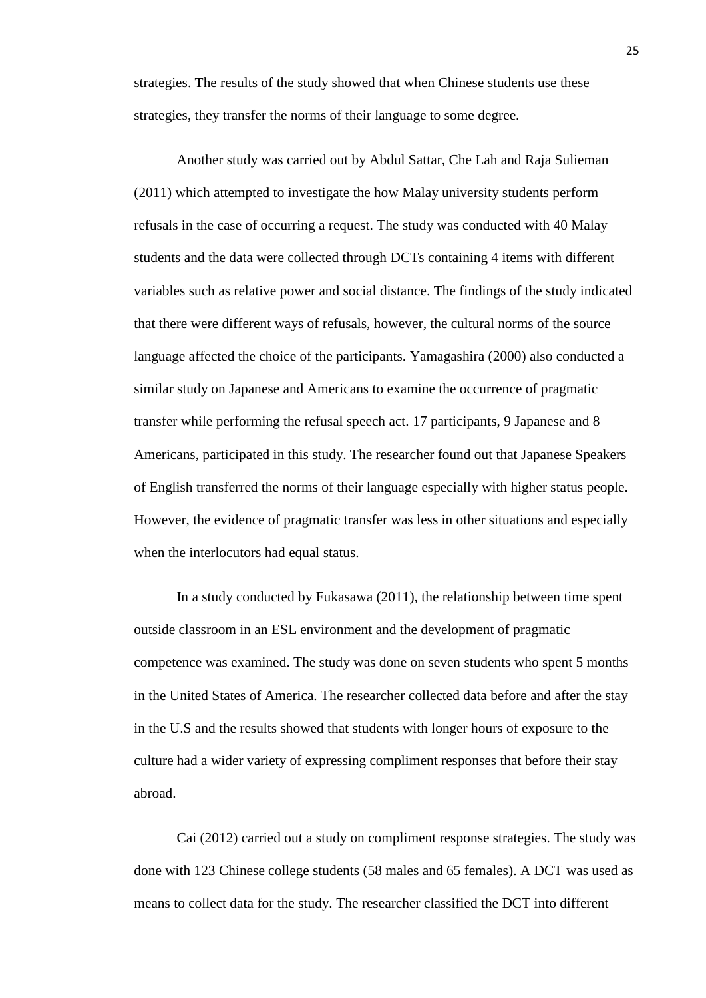strategies. The results of the study showed that when Chinese students use these strategies, they transfer the norms of their language to some degree.

Another study was carried out by Abdul Sattar, Che Lah and Raja Sulieman (2011) which attempted to investigate the how Malay university students perform refusals in the case of occurring a request. The study was conducted with 40 Malay students and the data were collected through DCTs containing 4 items with different variables such as relative power and social distance. The findings of the study indicated that there were different ways of refusals, however, the cultural norms of the source language affected the choice of the participants. Yamagashira (2000) also conducted a similar study on Japanese and Americans to examine the occurrence of pragmatic transfer while performing the refusal speech act. 17 participants, 9 Japanese and 8 Americans, participated in this study. The researcher found out that Japanese Speakers of English transferred the norms of their language especially with higher status people. However, the evidence of pragmatic transfer was less in other situations and especially when the interlocutors had equal status.

In a study conducted by Fukasawa (2011), the relationship between time spent outside classroom in an ESL environment and the development of pragmatic competence was examined. The study was done on seven students who spent 5 months in the United States of America. The researcher collected data before and after the stay in the U.S and the results showed that students with longer hours of exposure to the culture had a wider variety of expressing compliment responses that before their stay abroad.

Cai (2012) carried out a study on compliment response strategies. The study was done with 123 Chinese college students (58 males and 65 females). A DCT was used as means to collect data for the study. The researcher classified the DCT into different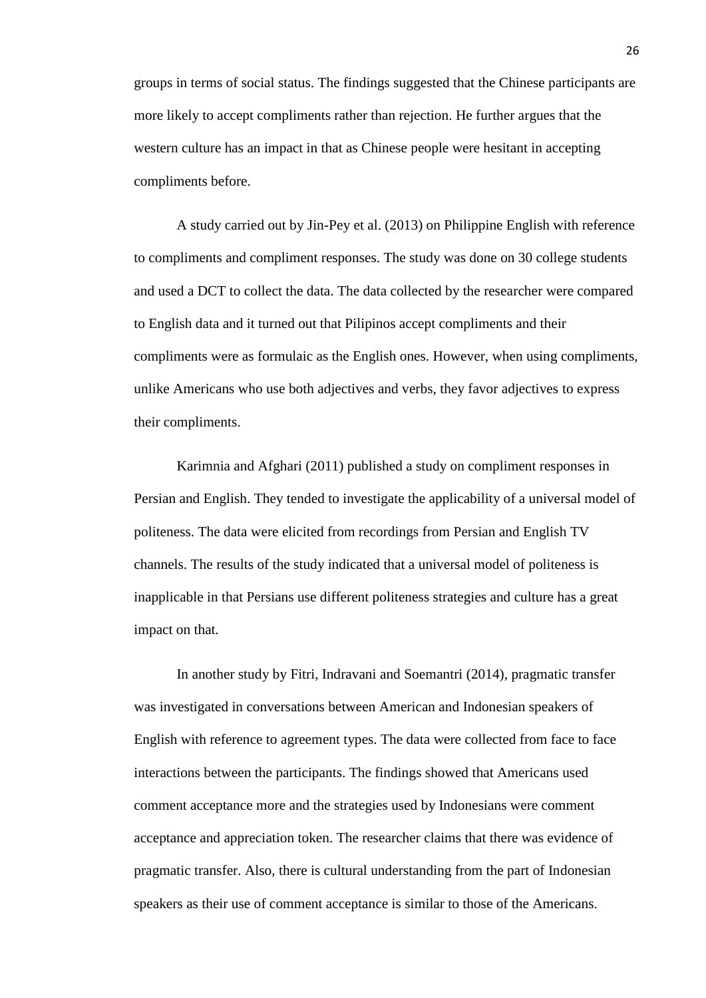groups in terms of social status. The findings suggested that the Chinese participants are more likely to accept compliments rather than rejection. He further argues that the western culture has an impact in that as Chinese people were hesitant in accepting compliments before.

A study carried out by Jin-Pey et al. (2013) on Philippine English with reference to compliments and compliment responses. The study was done on 30 college students and used a DCT to collect the data. The data collected by the researcher were compared to English data and it turned out that Pilipinos accept compliments and their compliments were as formulaic as the English ones. However, when using compliments, unlike Americans who use both adjectives and verbs, they favor adjectives to express their compliments.

Karimnia and Afghari (2011) published a study on compliment responses in Persian and English. They tended to investigate the applicability of a universal model of politeness. The data were elicited from recordings from Persian and English TV channels. The results of the study indicated that a universal model of politeness is inapplicable in that Persians use different politeness strategies and culture has a great impact on that.

In another study by Fitri, Indravani and Soemantri (2014), pragmatic transfer was investigated in conversations between American and Indonesian speakers of English with reference to agreement types. The data were collected from face to face interactions between the participants. The findings showed that Americans used comment acceptance more and the strategies used by Indonesians were comment acceptance and appreciation token. The researcher claims that there was evidence of pragmatic transfer. Also, there is cultural understanding from the part of Indonesian speakers as their use of comment acceptance is similar to those of the Americans.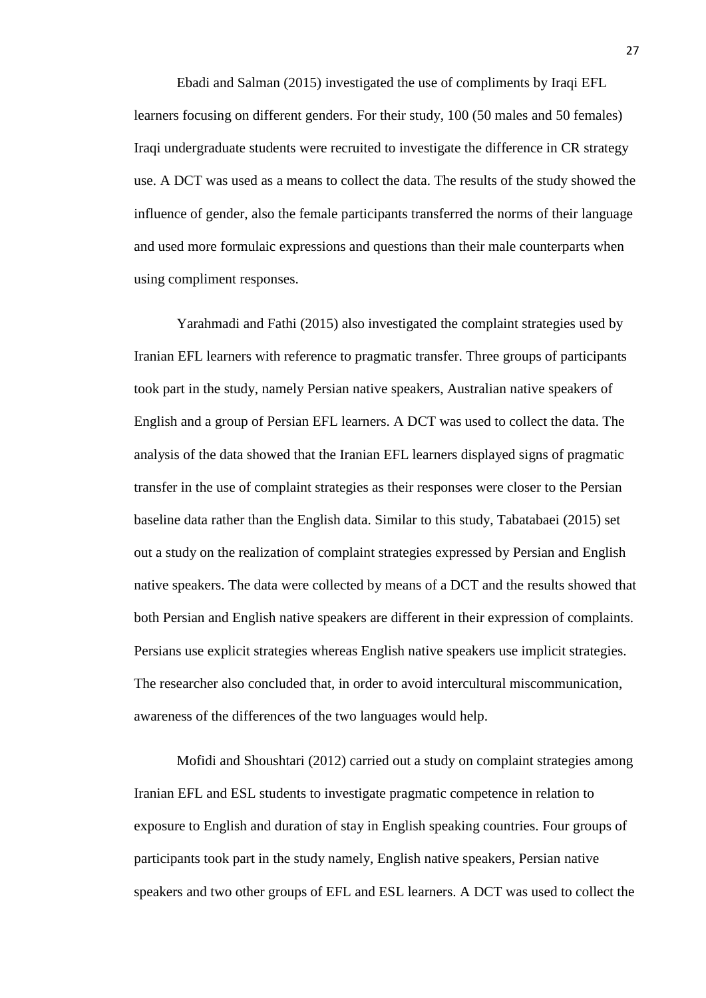Ebadi and Salman (2015) investigated the use of compliments by Iraqi EFL learners focusing on different genders. For their study, 100 (50 males and 50 females) Iraqi undergraduate students were recruited to investigate the difference in CR strategy use. A DCT was used as a means to collect the data. The results of the study showed the influence of gender, also the female participants transferred the norms of their language and used more formulaic expressions and questions than their male counterparts when using compliment responses.

Yarahmadi and Fathi (2015) also investigated the complaint strategies used by Iranian EFL learners with reference to pragmatic transfer. Three groups of participants took part in the study, namely Persian native speakers, Australian native speakers of English and a group of Persian EFL learners. A DCT was used to collect the data. The analysis of the data showed that the Iranian EFL learners displayed signs of pragmatic transfer in the use of complaint strategies as their responses were closer to the Persian baseline data rather than the English data. Similar to this study, Tabatabaei (2015) set out a study on the realization of complaint strategies expressed by Persian and English native speakers. The data were collected by means of a DCT and the results showed that both Persian and English native speakers are different in their expression of complaints. Persians use explicit strategies whereas English native speakers use implicit strategies. The researcher also concluded that, in order to avoid intercultural miscommunication, awareness of the differences of the two languages would help.

Mofidi and Shoushtari (2012) carried out a study on complaint strategies among Iranian EFL and ESL students to investigate pragmatic competence in relation to exposure to English and duration of stay in English speaking countries. Four groups of participants took part in the study namely, English native speakers, Persian native speakers and two other groups of EFL and ESL learners. A DCT was used to collect the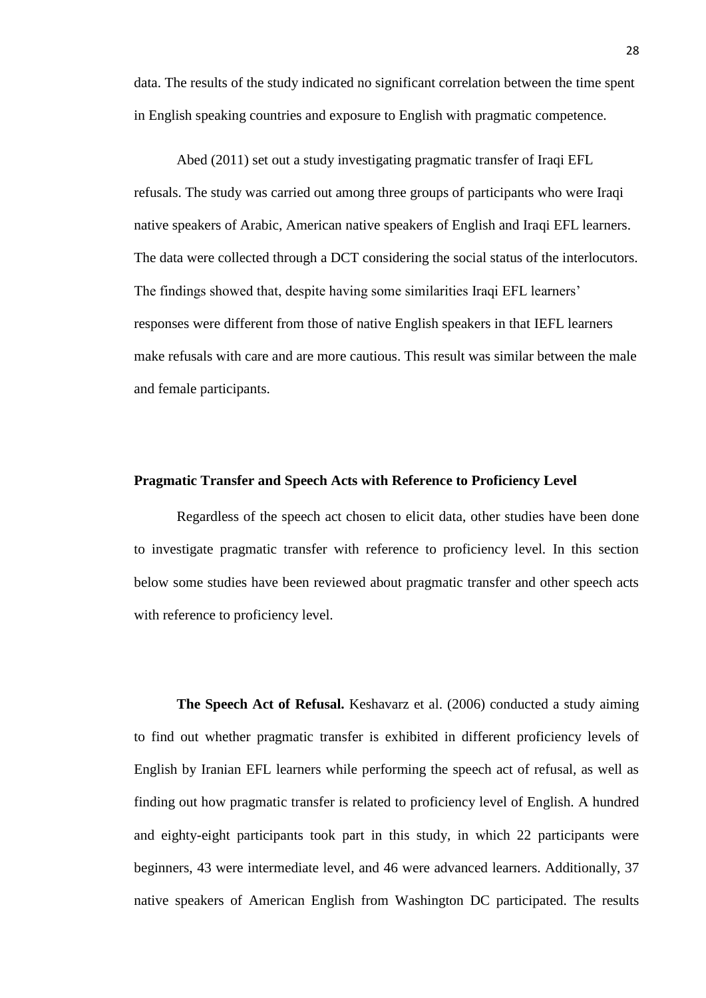data. The results of the study indicated no significant correlation between the time spent in English speaking countries and exposure to English with pragmatic competence.

Abed (2011) set out a study investigating pragmatic transfer of Iraqi EFL refusals. The study was carried out among three groups of participants who were Iraqi native speakers of Arabic, American native speakers of English and Iraqi EFL learners. The data were collected through a DCT considering the social status of the interlocutors. The findings showed that, despite having some similarities Iraqi EFL learners' responses were different from those of native English speakers in that IEFL learners make refusals with care and are more cautious. This result was similar between the male and female participants.

#### <span id="page-27-0"></span>**Pragmatic Transfer and Speech Acts with Reference to Proficiency Level**

Regardless of the speech act chosen to elicit data, other studies have been done to investigate pragmatic transfer with reference to proficiency level. In this section below some studies have been reviewed about pragmatic transfer and other speech acts with reference to proficiency level.

<span id="page-27-1"></span>**The Speech Act of Refusal.** Keshavarz et al. (2006) conducted a study aiming to find out whether pragmatic transfer is exhibited in different proficiency levels of English by Iranian EFL learners while performing the speech act of refusal, as well as finding out how pragmatic transfer is related to proficiency level of English. A hundred and eighty-eight participants took part in this study, in which 22 participants were beginners, 43 were intermediate level, and 46 were advanced learners. Additionally, 37 native speakers of American English from Washington DC participated. The results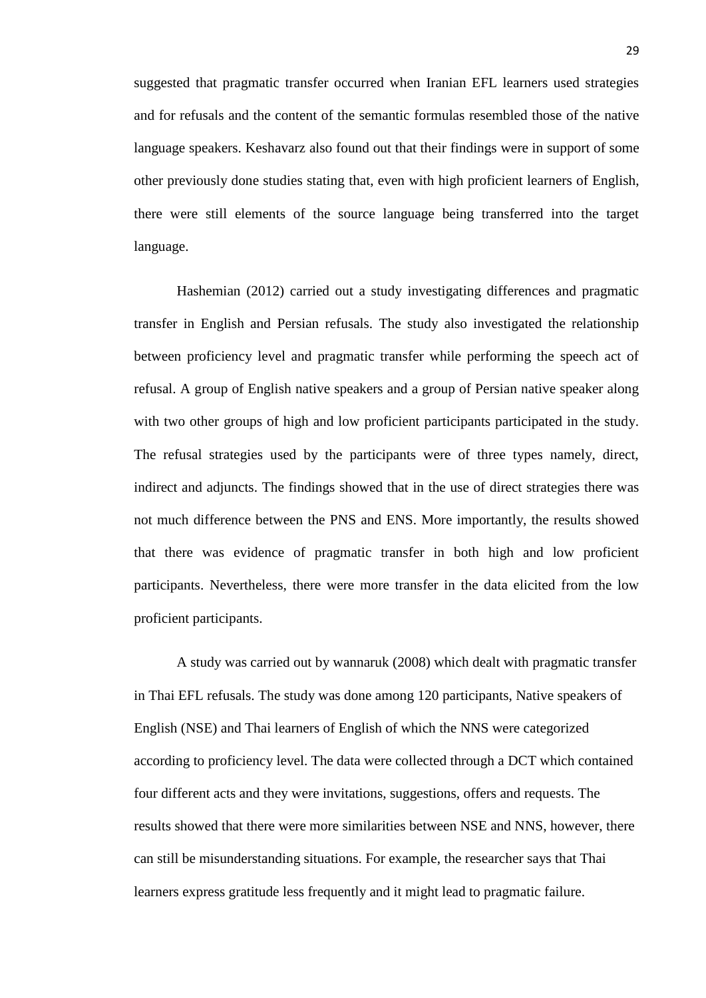suggested that pragmatic transfer occurred when Iranian EFL learners used strategies and for refusals and the content of the semantic formulas resembled those of the native language speakers. Keshavarz also found out that their findings were in support of some other previously done studies stating that, even with high proficient learners of English, there were still elements of the source language being transferred into the target language.

Hashemian (2012) carried out a study investigating differences and pragmatic transfer in English and Persian refusals. The study also investigated the relationship between proficiency level and pragmatic transfer while performing the speech act of refusal. A group of English native speakers and a group of Persian native speaker along with two other groups of high and low proficient participants participated in the study. The refusal strategies used by the participants were of three types namely, direct, indirect and adjuncts. The findings showed that in the use of direct strategies there was not much difference between the PNS and ENS. More importantly, the results showed that there was evidence of pragmatic transfer in both high and low proficient participants. Nevertheless, there were more transfer in the data elicited from the low proficient participants.

A study was carried out by wannaruk (2008) which dealt with pragmatic transfer in Thai EFL refusals. The study was done among 120 participants, Native speakers of English (NSE) and Thai learners of English of which the NNS were categorized according to proficiency level. The data were collected through a DCT which contained four different acts and they were invitations, suggestions, offers and requests. The results showed that there were more similarities between NSE and NNS, however, there can still be misunderstanding situations. For example, the researcher says that Thai learners express gratitude less frequently and it might lead to pragmatic failure.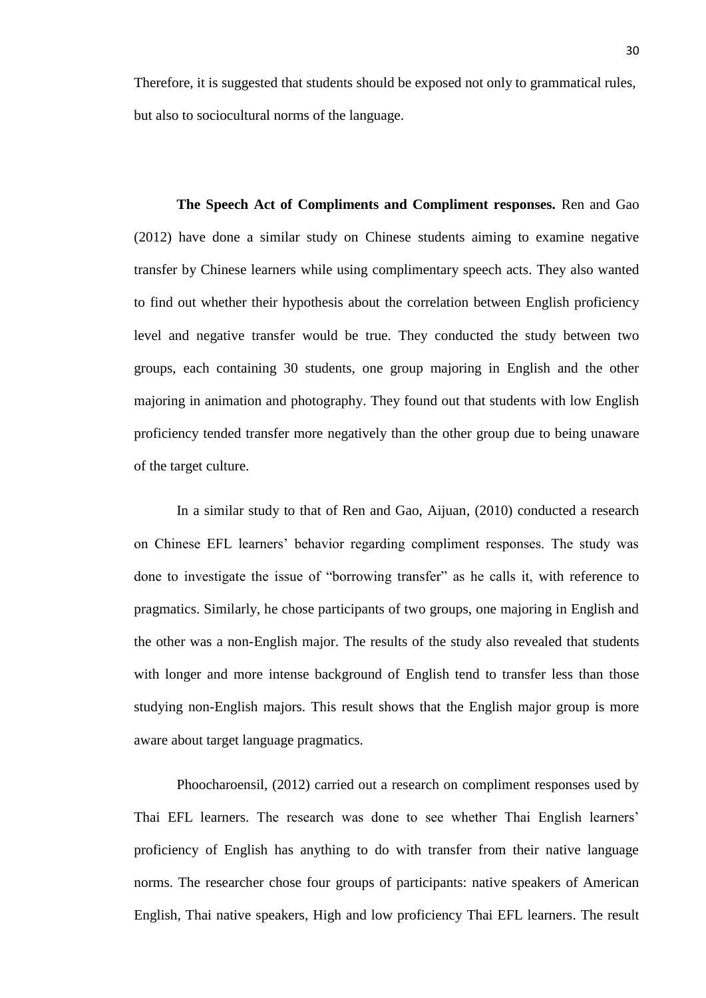Therefore, it is suggested that students should be exposed not only to grammatical rules, but also to sociocultural norms of the language.

<span id="page-29-0"></span>**The Speech Act of Compliments and Compliment responses.** Ren and Gao (2012) have done a similar study on Chinese students aiming to examine negative transfer by Chinese learners while using complimentary speech acts. They also wanted to find out whether their hypothesis about the correlation between English proficiency level and negative transfer would be true. They conducted the study between two groups, each containing 30 students, one group majoring in English and the other majoring in animation and photography. They found out that students with low English proficiency tended transfer more negatively than the other group due to being unaware of the target culture.

In a similar study to that of Ren and Gao, Aijuan, (2010) conducted a research on Chinese EFL learners' behavior regarding compliment responses. The study was done to investigate the issue of "borrowing transfer" as he calls it, with reference to pragmatics. Similarly, he chose participants of two groups, one majoring in English and the other was a non-English major. The results of the study also revealed that students with longer and more intense background of English tend to transfer less than those studying non-English majors. This result shows that the English major group is more aware about target language pragmatics.

Phoocharoensil, (2012) carried out a research on compliment responses used by Thai EFL learners. The research was done to see whether Thai English learners' proficiency of English has anything to do with transfer from their native language norms. The researcher chose four groups of participants: native speakers of American English, Thai native speakers, High and low proficiency Thai EFL learners. The result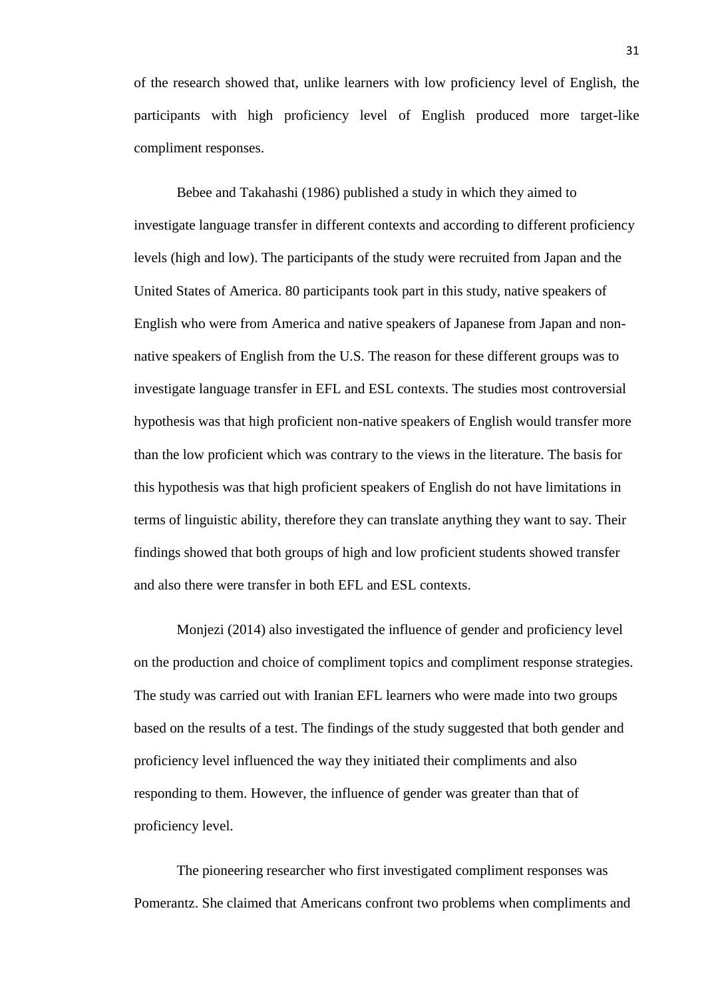of the research showed that, unlike learners with low proficiency level of English, the participants with high proficiency level of English produced more target-like compliment responses.

Bebee and Takahashi (1986) published a study in which they aimed to investigate language transfer in different contexts and according to different proficiency levels (high and low). The participants of the study were recruited from Japan and the United States of America. 80 participants took part in this study, native speakers of English who were from America and native speakers of Japanese from Japan and nonnative speakers of English from the U.S. The reason for these different groups was to investigate language transfer in EFL and ESL contexts. The studies most controversial hypothesis was that high proficient non-native speakers of English would transfer more than the low proficient which was contrary to the views in the literature. The basis for this hypothesis was that high proficient speakers of English do not have limitations in terms of linguistic ability, therefore they can translate anything they want to say. Their findings showed that both groups of high and low proficient students showed transfer and also there were transfer in both EFL and ESL contexts.

Monjezi (2014) also investigated the influence of gender and proficiency level on the production and choice of compliment topics and compliment response strategies. The study was carried out with Iranian EFL learners who were made into two groups based on the results of a test. The findings of the study suggested that both gender and proficiency level influenced the way they initiated their compliments and also responding to them. However, the influence of gender was greater than that of proficiency level.

The pioneering researcher who first investigated compliment responses was Pomerantz. She claimed that Americans confront two problems when compliments and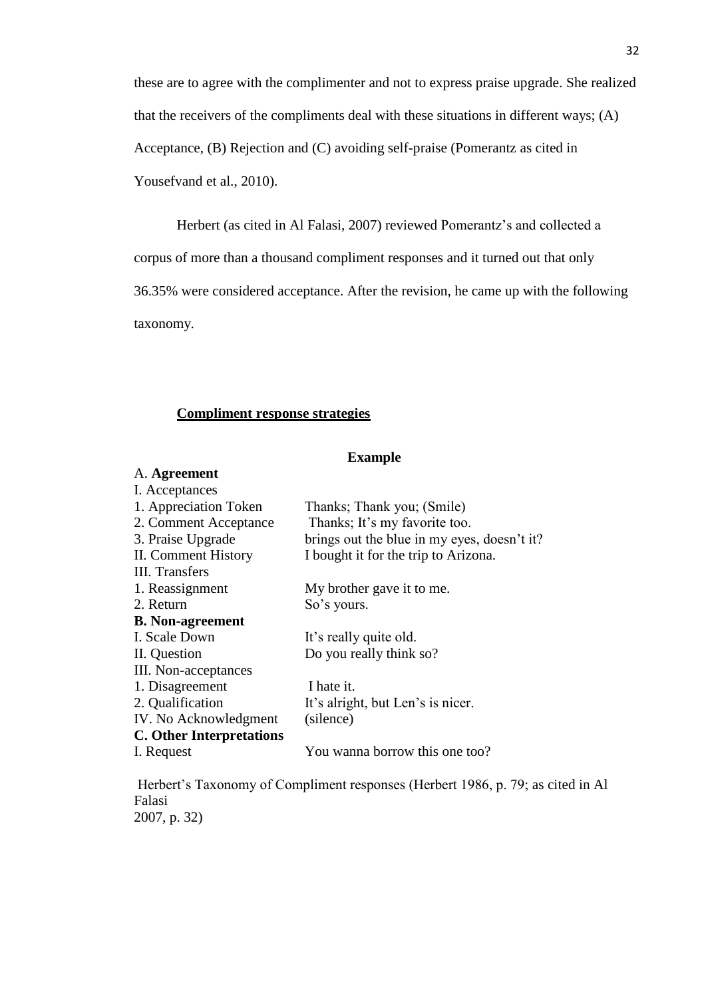these are to agree with the complimenter and not to express praise upgrade. She realized that the receivers of the compliments deal with these situations in different ways; (A) Acceptance, (B) Rejection and (C) avoiding self-praise (Pomerantz as cited in Yousefvand et al., 2010).

Herbert (as cited in Al Falasi, 2007) reviewed Pomerantz's and collected a corpus of more than a thousand compliment responses and it turned out that only 36.35% were considered acceptance. After the revision, he came up with the following taxonomy.

### **Compliment response strategies**

#### **Example**

#### A. **Agreement**

| I. Acceptances                  |                                             |
|---------------------------------|---------------------------------------------|
| 1. Appreciation Token           | Thanks; Thank you; (Smile)                  |
| 2. Comment Acceptance           | Thanks; It's my favorite too.               |
| 3. Praise Upgrade               | brings out the blue in my eyes, doesn't it? |
| II. Comment History             | I bought it for the trip to Arizona.        |
| <b>III.</b> Transfers           |                                             |
| 1. Reassignment                 | My brother gave it to me.                   |
| 2. Return                       | So's yours.                                 |
| <b>B.</b> Non-agreement         |                                             |
| I. Scale Down                   | It's really quite old.                      |
| II. Question                    | Do you really think so?                     |
| III. Non-acceptances            |                                             |
| 1. Disagreement                 | I hate it.                                  |
| 2. Qualification                | It's alright, but Len's is nicer.           |
| IV. No Acknowledgment           | (silence)                                   |
| <b>C.</b> Other Interpretations |                                             |
| I. Request                      | You wanna borrow this one too?              |

Herbert's Taxonomy of Compliment responses (Herbert 1986, p. 79; as cited in Al Falasi 2007, p. 32)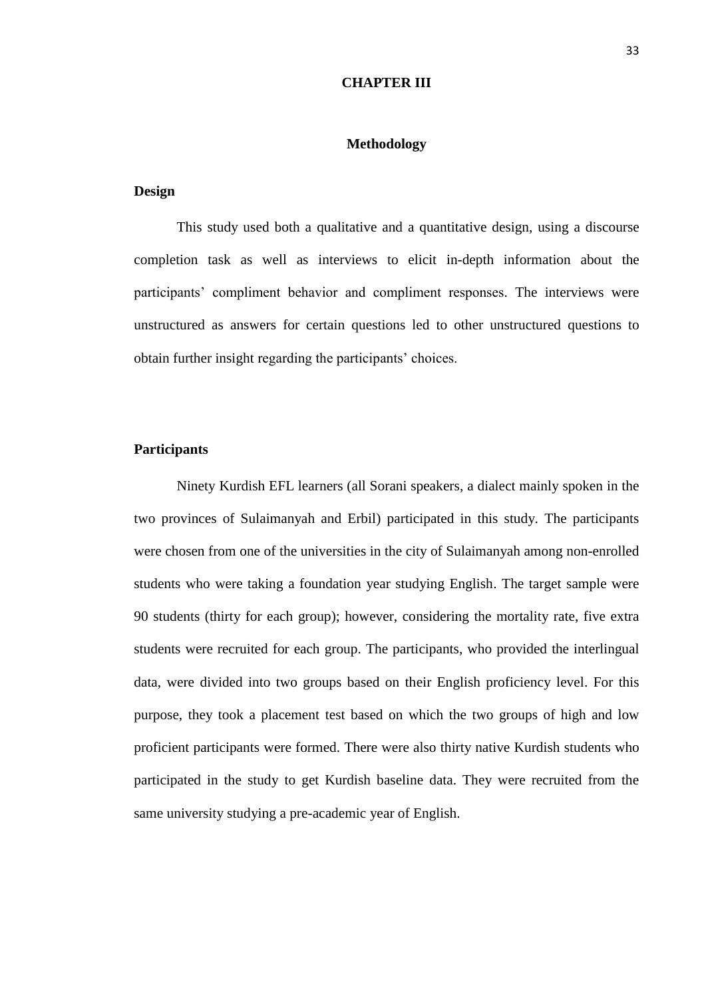#### **CHAPTER III**

#### **Methodology**

#### <span id="page-32-2"></span><span id="page-32-1"></span><span id="page-32-0"></span>**Design**

This study used both a qualitative and a quantitative design, using a discourse completion task as well as interviews to elicit in-depth information about the participants' compliment behavior and compliment responses. The interviews were unstructured as answers for certain questions led to other unstructured questions to obtain further insight regarding the participants' choices.

#### <span id="page-32-3"></span>**Participants**

Ninety Kurdish EFL learners (all Sorani speakers, a dialect mainly spoken in the two provinces of Sulaimanyah and Erbil) participated in this study. The participants were chosen from one of the universities in the city of Sulaimanyah among non-enrolled students who were taking a foundation year studying English. The target sample were 90 students (thirty for each group); however, considering the mortality rate, five extra students were recruited for each group. The participants, who provided the interlingual data, were divided into two groups based on their English proficiency level. For this purpose, they took a placement test based on which the two groups of high and low proficient participants were formed. There were also thirty native Kurdish students who participated in the study to get Kurdish baseline data. They were recruited from the same university studying a pre-academic year of English.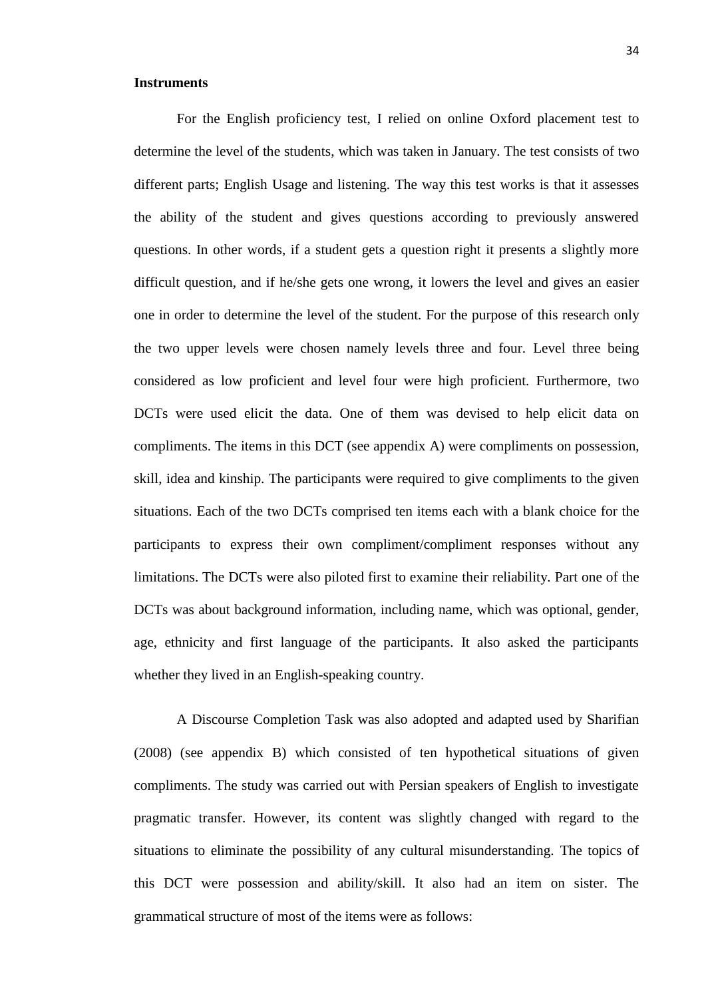#### <span id="page-33-0"></span>**Instruments**

For the English proficiency test, I relied on online Oxford placement test to determine the level of the students, which was taken in January. The test consists of two different parts; English Usage and listening. The way this test works is that it assesses the ability of the student and gives questions according to previously answered questions. In other words, if a student gets a question right it presents a slightly more difficult question, and if he/she gets one wrong, it lowers the level and gives an easier one in order to determine the level of the student. For the purpose of this research only the two upper levels were chosen namely levels three and four. Level three being considered as low proficient and level four were high proficient. Furthermore, two DCTs were used elicit the data. One of them was devised to help elicit data on compliments. The items in this DCT (see appendix A) were compliments on possession, skill, idea and kinship. The participants were required to give compliments to the given situations. Each of the two DCTs comprised ten items each with a blank choice for the participants to express their own compliment/compliment responses without any limitations. The DCTs were also piloted first to examine their reliability. Part one of the DCTs was about background information, including name, which was optional, gender, age, ethnicity and first language of the participants. It also asked the participants whether they lived in an English-speaking country.

A Discourse Completion Task was also adopted and adapted used by Sharifian (2008) (see appendix B) which consisted of ten hypothetical situations of given compliments. The study was carried out with Persian speakers of English to investigate pragmatic transfer. However, its content was slightly changed with regard to the situations to eliminate the possibility of any cultural misunderstanding. The topics of this DCT were possession and ability/skill. It also had an item on sister. The grammatical structure of most of the items were as follows: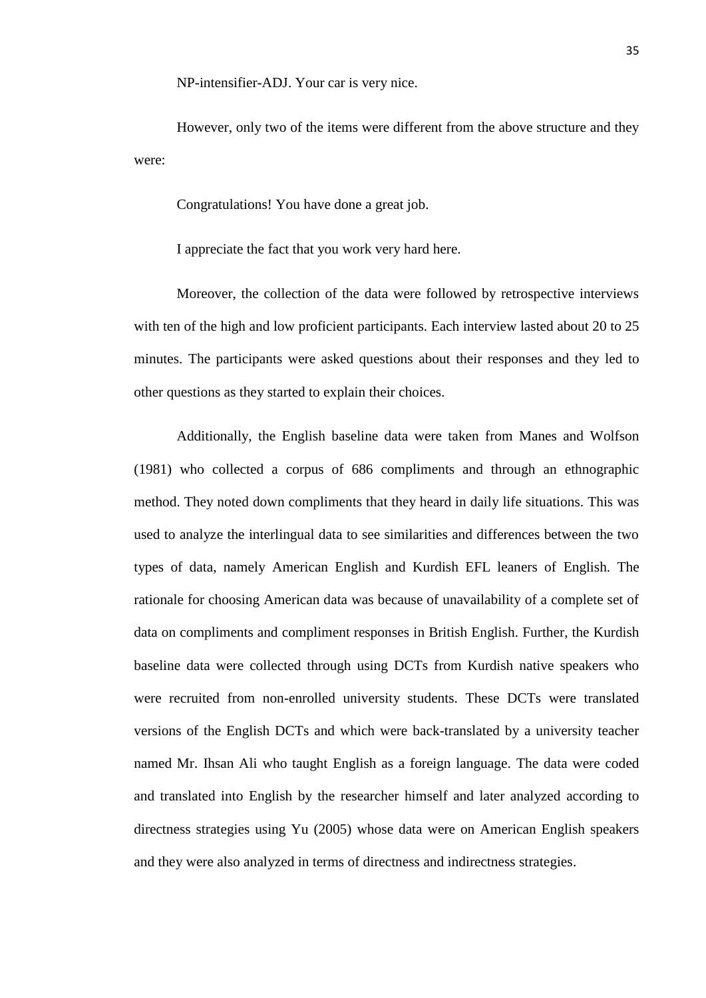NP-intensifier-ADJ. Your car is very nice.

However, only two of the items were different from the above structure and they were:

Congratulations! You have done a great job.

I appreciate the fact that you work very hard here.

Moreover, the collection of the data were followed by retrospective interviews with ten of the high and low proficient participants. Each interview lasted about 20 to 25 minutes. The participants were asked questions about their responses and they led to other questions as they started to explain their choices.

Additionally, the English baseline data were taken from Manes and Wolfson (1981) who collected a corpus of 686 compliments and through an ethnographic method. They noted down compliments that they heard in daily life situations. This was used to analyze the interlingual data to see similarities and differences between the two types of data, namely American English and Kurdish EFL leaners of English. The rationale for choosing American data was because of unavailability of a complete set of data on compliments and compliment responses in British English. Further, the Kurdish baseline data were collected through using DCTs from Kurdish native speakers who were recruited from non-enrolled university students. These DCTs were translated versions of the English DCTs and which were back-translated by a university teacher named Mr. Ihsan Ali who taught English as a foreign language. The data were coded and translated into English by the researcher himself and later analyzed according to directness strategies using Yu (2005) whose data were on American English speakers and they were also analyzed in terms of directness and indirectness strategies.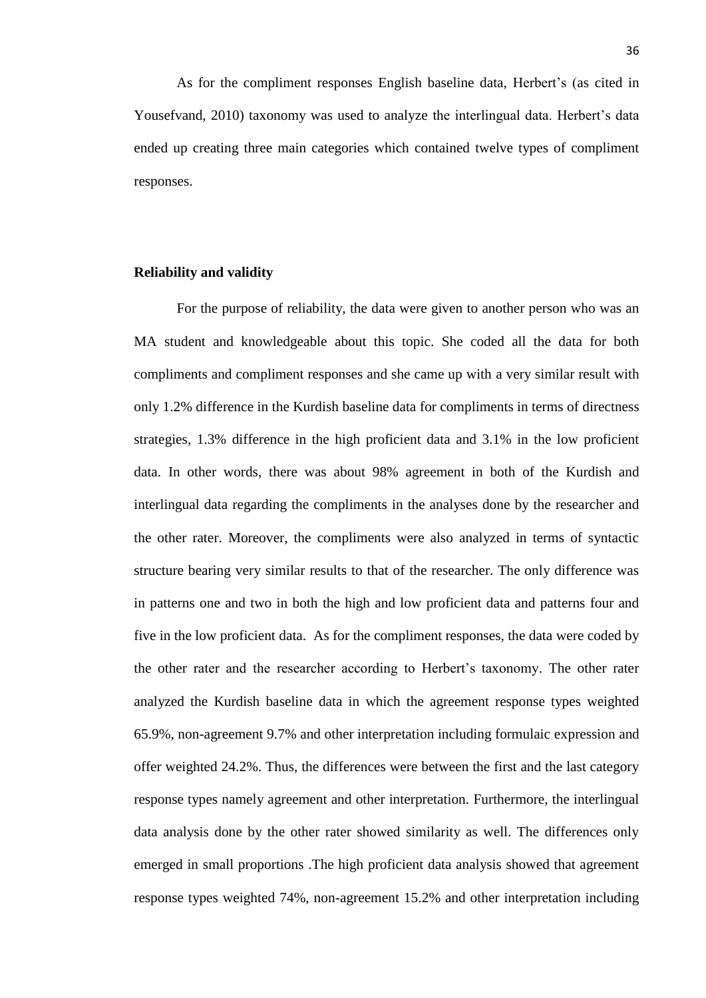As for the compliment responses English baseline data, Herbert's (as cited in Yousefvand, 2010) taxonomy was used to analyze the interlingual data. Herbert's data ended up creating three main categories which contained twelve types of compliment responses.

#### <span id="page-35-0"></span>**Reliability and validity**

For the purpose of reliability, the data were given to another person who was an MA student and knowledgeable about this topic. She coded all the data for both compliments and compliment responses and she came up with a very similar result with only 1.2% difference in the Kurdish baseline data for compliments in terms of directness strategies, 1.3% difference in the high proficient data and 3.1% in the low proficient data. In other words, there was about 98% agreement in both of the Kurdish and interlingual data regarding the compliments in the analyses done by the researcher and the other rater. Moreover, the compliments were also analyzed in terms of syntactic structure bearing very similar results to that of the researcher. The only difference was in patterns one and two in both the high and low proficient data and patterns four and five in the low proficient data. As for the compliment responses, the data were coded by the other rater and the researcher according to Herbert's taxonomy. The other rater analyzed the Kurdish baseline data in which the agreement response types weighted 65.9%, non-agreement 9.7% and other interpretation including formulaic expression and offer weighted 24.2%. Thus, the differences were between the first and the last category response types namely agreement and other interpretation. Furthermore, the interlingual data analysis done by the other rater showed similarity as well. The differences only emerged in small proportions .The high proficient data analysis showed that agreement response types weighted 74%, non-agreement 15.2% and other interpretation including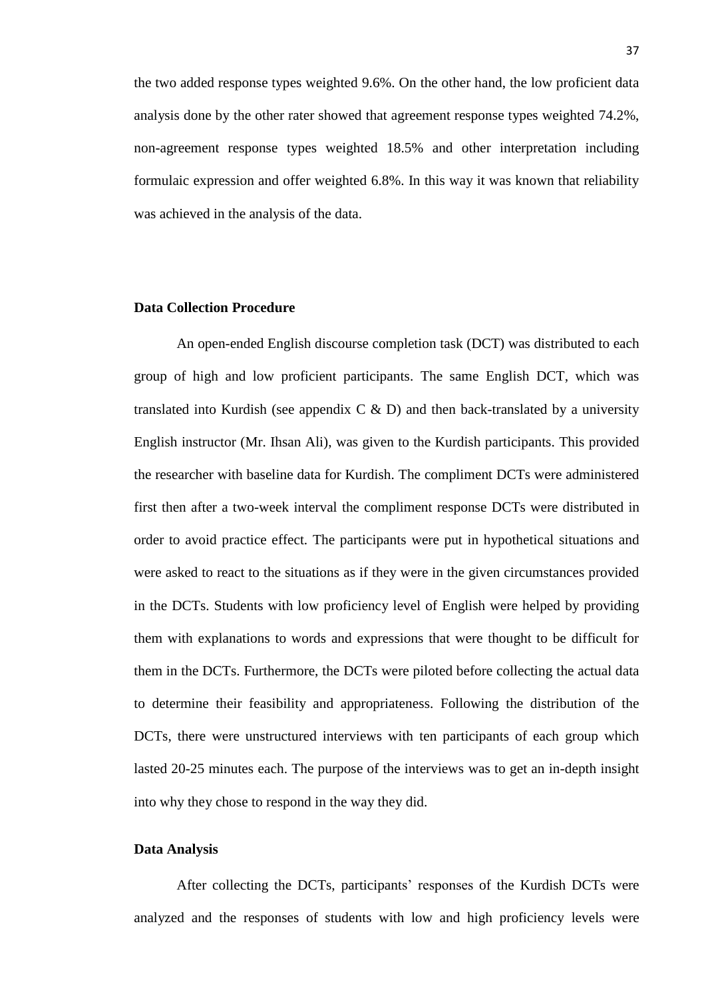the two added response types weighted 9.6%. On the other hand, the low proficient data analysis done by the other rater showed that agreement response types weighted 74.2%, non-agreement response types weighted 18.5% and other interpretation including formulaic expression and offer weighted 6.8%. In this way it was known that reliability was achieved in the analysis of the data.

# **Data Collection Procedure**

An open-ended English discourse completion task (DCT) was distributed to each group of high and low proficient participants. The same English DCT, which was translated into Kurdish (see appendix  $C \& D$ ) and then back-translated by a university English instructor (Mr. Ihsan Ali), was given to the Kurdish participants. This provided the researcher with baseline data for Kurdish. The compliment DCTs were administered first then after a two-week interval the compliment response DCTs were distributed in order to avoid practice effect. The participants were put in hypothetical situations and were asked to react to the situations as if they were in the given circumstances provided in the DCTs. Students with low proficiency level of English were helped by providing them with explanations to words and expressions that were thought to be difficult for them in the DCTs. Furthermore, the DCTs were piloted before collecting the actual data to determine their feasibility and appropriateness. Following the distribution of the DCTs, there were unstructured interviews with ten participants of each group which lasted 20-25 minutes each. The purpose of the interviews was to get an in-depth insight into why they chose to respond in the way they did.

### **Data Analysis**

After collecting the DCTs, participants' responses of the Kurdish DCTs were analyzed and the responses of students with low and high proficiency levels were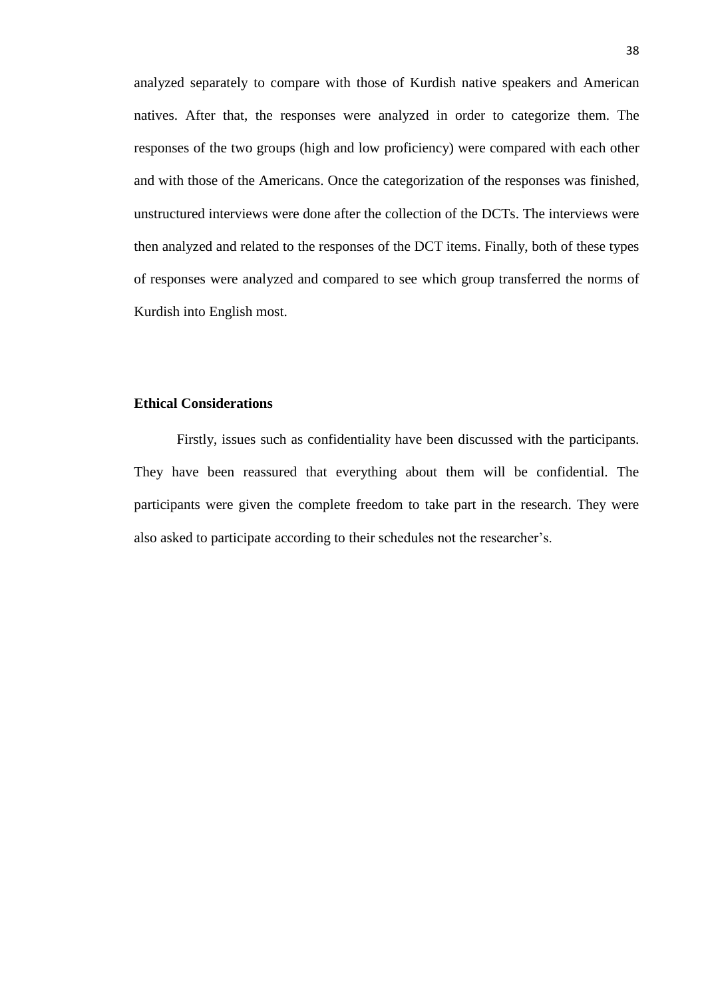analyzed separately to compare with those of Kurdish native speakers and American natives. After that, the responses were analyzed in order to categorize them. The responses of the two groups (high and low proficiency) were compared with each other and with those of the Americans. Once the categorization of the responses was finished, unstructured interviews were done after the collection of the DCTs. The interviews were then analyzed and related to the responses of the DCT items. Finally, both of these types of responses were analyzed and compared to see which group transferred the norms of Kurdish into English most.

# **Ethical Considerations**

Firstly, issues such as confidentiality have been discussed with the participants. They have been reassured that everything about them will be confidential. The participants were given the complete freedom to take part in the research. They were also asked to participate according to their schedules not the researcher's.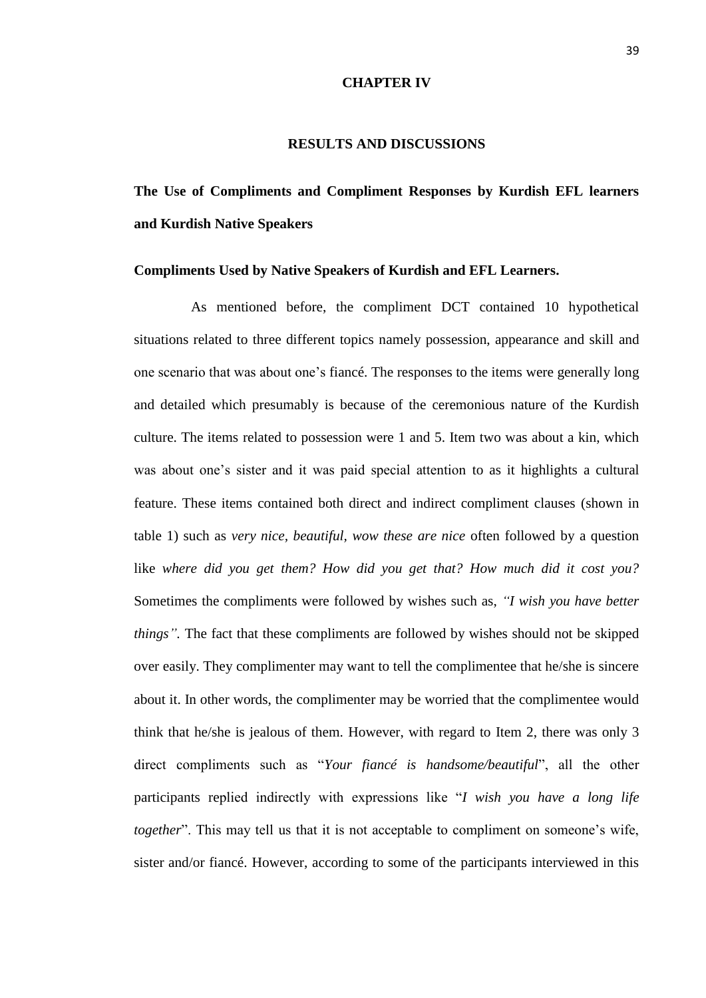#### **CHAPTER IV**

#### **RESULTS AND DISCUSSIONS**

# **The Use of Compliments and Compliment Responses by Kurdish EFL learners and Kurdish Native Speakers**

### **Compliments Used by Native Speakers of Kurdish and EFL Learners.**

As mentioned before, the compliment DCT contained 10 hypothetical situations related to three different topics namely possession, appearance and skill and one scenario that was about one's fiancé. The responses to the items were generally long and detailed which presumably is because of the ceremonious nature of the Kurdish culture. The items related to possession were 1 and 5. Item two was about a kin, which was about one's sister and it was paid special attention to as it highlights a cultural feature. These items contained both direct and indirect compliment clauses (shown in table 1) such as *very nice, beautiful, wow these are nice* often followed by a question like *where did you get them? How did you get that? How much did it cost you?*  Sometimes the compliments were followed by wishes such as, *"I wish you have better things".* The fact that these compliments are followed by wishes should not be skipped over easily. They complimenter may want to tell the complimentee that he/she is sincere about it. In other words, the complimenter may be worried that the complimentee would think that he/she is jealous of them. However, with regard to Item 2, there was only 3 direct compliments such as "*Your fiancé is handsome/beautiful*", all the other participants replied indirectly with expressions like "*I wish you have a long life together*". This may tell us that it is not acceptable to compliment on someone's wife, sister and/or fiancé. However, according to some of the participants interviewed in this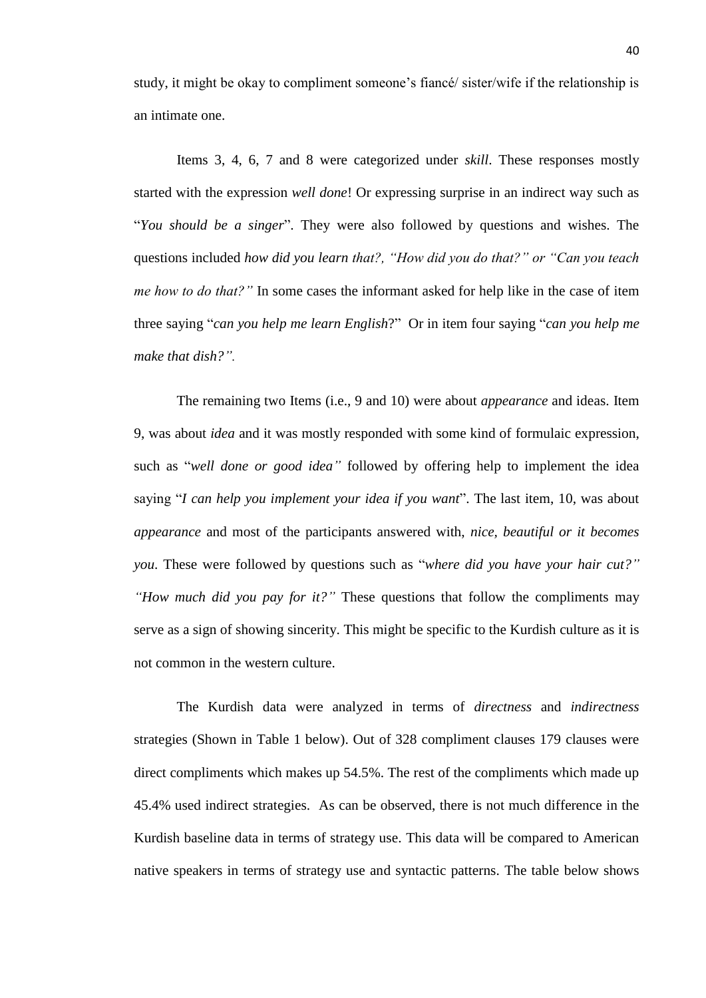study, it might be okay to compliment someone's fiancé/ sister/wife if the relationship is an intimate one.

Items 3, 4, 6, 7 and 8 were categorized under *skill*. These responses mostly started with the expression *well done*! Or expressing surprise in an indirect way such as "*You should be a singer*". They were also followed by questions and wishes. The questions included *how did you learn that?, "How did you do that?" or "Can you teach me how to do that?"* In some cases the informant asked for help like in the case of item three saying "*can you help me learn English*?" Or in item four saying "*can you help me make that dish?".*

The remaining two Items (i.e., 9 and 10) were about *appearance* and ideas. Item 9, was about *idea* and it was mostly responded with some kind of formulaic expression, such as "*well done or good idea"* followed by offering help to implement the idea saying "*I can help you implement your idea if you want*". The last item, 10, was about *appearance* and most of the participants answered with, *nice, beautiful or it becomes you*. These were followed by questions such as "*where did you have your hair cut?" "How much did you pay for it?"* These questions that follow the compliments may serve as a sign of showing sincerity. This might be specific to the Kurdish culture as it is not common in the western culture.

The Kurdish data were analyzed in terms of *directness* and *indirectness* strategies (Shown in Table 1 below). Out of 328 compliment clauses 179 clauses were direct compliments which makes up 54.5%. The rest of the compliments which made up 45.4% used indirect strategies. As can be observed, there is not much difference in the Kurdish baseline data in terms of strategy use. This data will be compared to American native speakers in terms of strategy use and syntactic patterns. The table below shows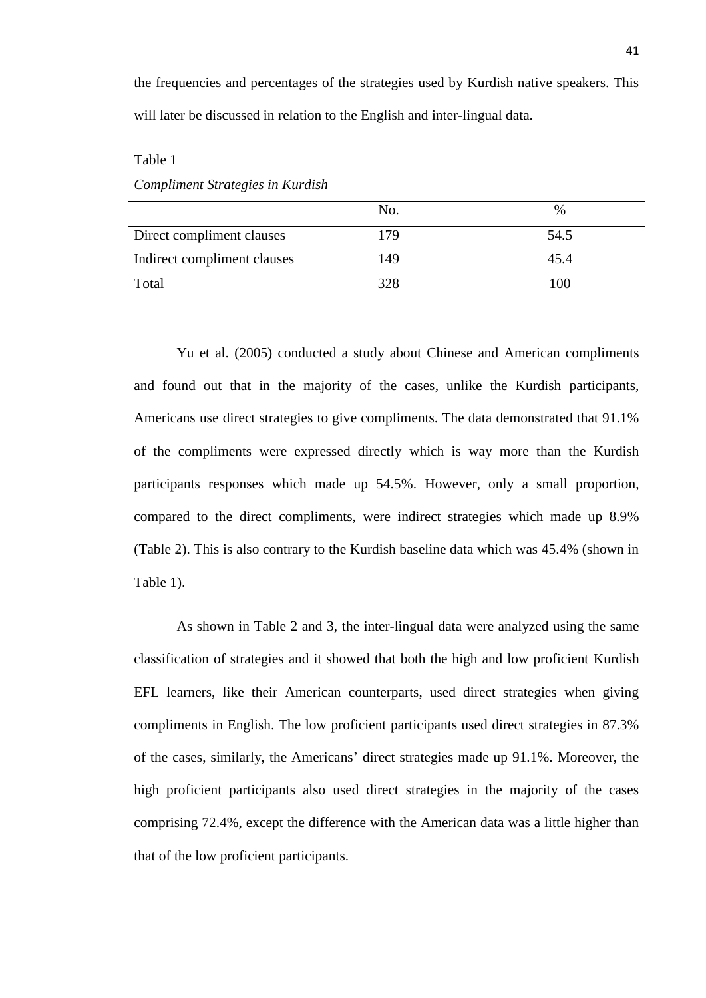the frequencies and percentages of the strategies used by Kurdish native speakers. This will later be discussed in relation to the English and inter-lingual data.

Table 1

*Compliment Strategies in Kurdish* 

|                             | No. | $\%$ |
|-----------------------------|-----|------|
| Direct compliment clauses   | 179 | 54.5 |
| Indirect compliment clauses | 149 | 45.4 |
| Total                       | 328 | 100  |

Yu et al. (2005) conducted a study about Chinese and American compliments and found out that in the majority of the cases, unlike the Kurdish participants, Americans use direct strategies to give compliments. The data demonstrated that 91.1% of the compliments were expressed directly which is way more than the Kurdish participants responses which made up 54.5%. However, only a small proportion, compared to the direct compliments, were indirect strategies which made up 8.9% (Table 2). This is also contrary to the Kurdish baseline data which was 45.4% (shown in Table 1).

As shown in Table 2 and 3, the inter-lingual data were analyzed using the same classification of strategies and it showed that both the high and low proficient Kurdish EFL learners, like their American counterparts, used direct strategies when giving compliments in English. The low proficient participants used direct strategies in 87.3% of the cases, similarly, the Americans' direct strategies made up 91.1%. Moreover, the high proficient participants also used direct strategies in the majority of the cases comprising 72.4%, except the difference with the American data was a little higher than that of the low proficient participants.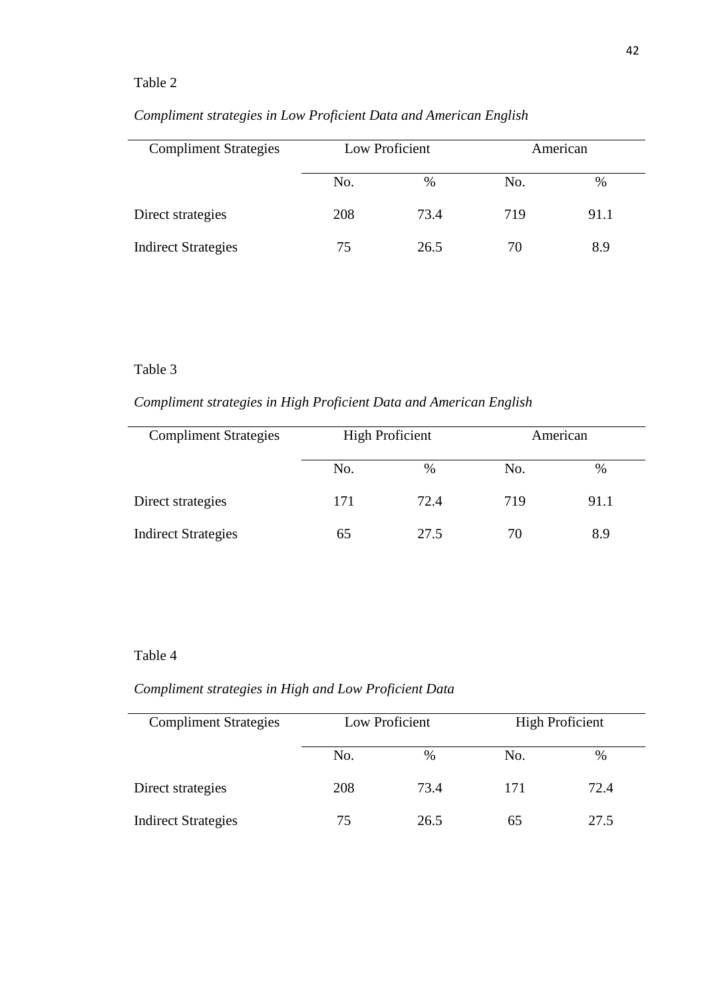# Table 2

| <b>Compliment Strategies</b> | Low Proficient |      |     | American |
|------------------------------|----------------|------|-----|----------|
|                              | No.            | $\%$ | No. | %        |
| Direct strategies            | 208            | 73.4 | 719 | 91.1     |
| <b>Indirect Strategies</b>   | 75             | 26.5 | 70  | 8.9      |

# *Compliment strategies in Low Proficient Data and American English*

# Table 3

*Compliment strategies in High Proficient Data and American English*

| <b>Compliment Strategies</b> | <b>High Proficient</b> |      | American |      |  |
|------------------------------|------------------------|------|----------|------|--|
|                              | No.                    | $\%$ | No.      | %    |  |
| Direct strategies            | 171                    | 72.4 | 719      | 91.1 |  |
| <b>Indirect Strategies</b>   | რ5                     | 27.5 | 70       | 8.9  |  |

# Table 4

# *Compliment strategies in High and Low Proficient Data*

| <b>Compliment Strategies</b> | Low Proficient |      | <b>High Proficient</b> |      |
|------------------------------|----------------|------|------------------------|------|
|                              | No.            | $\%$ | No.                    | $\%$ |
| Direct strategies            | 208            | 73.4 | 171                    | 72.4 |
| <b>Indirect Strategies</b>   | 75             | 26.5 | 65                     | 27.5 |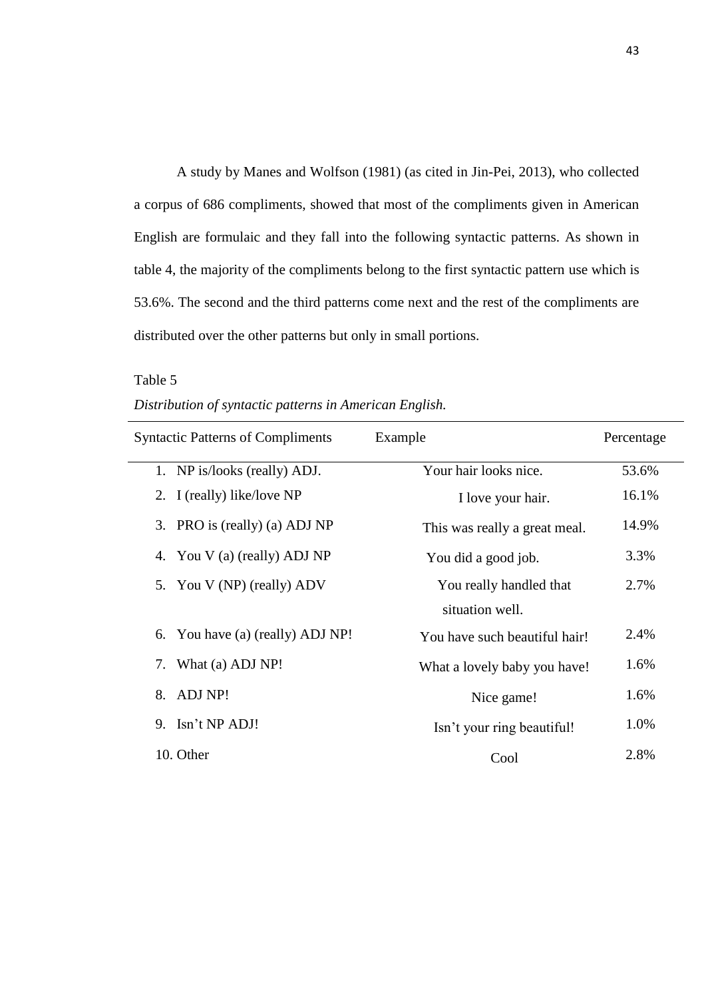A study by Manes and Wolfson (1981) (as cited in Jin-Pei, 2013), who collected a corpus of 686 compliments, showed that most of the compliments given in American English are formulaic and they fall into the following syntactic patterns. As shown in table 4, the majority of the compliments belong to the first syntactic pattern use which is 53.6%. The second and the third patterns come next and the rest of the compliments are distributed over the other patterns but only in small portions.

# Table 5

| Distribution of syntactic patterns in American English. |  |  |  |
|---------------------------------------------------------|--|--|--|
|                                                         |  |  |  |

| <b>Syntactic Patterns of Compliments</b> | Example                       | Percentage |
|------------------------------------------|-------------------------------|------------|
| 1. NP is/looks (really) ADJ.             | Your hair looks nice.         | 53.6%      |
| 2. I (really) like/love NP               | I love your hair.             | 16.1%      |
| 3. PRO is (really) (a) ADJ NP            | This was really a great meal. | 14.9%      |
| 4. You V (a) (really) ADJ NP             | You did a good job.           | 3.3%       |
| 5. You V (NP) (really) ADV               | You really handled that       | 2.7%       |
|                                          | situation well.               |            |
| You have (a) (really) ADJ NP!<br>6.      | You have such beautiful hair! | 2.4%       |
| What (a) ADJ NP!<br>7.                   | What a lovely baby you have!  | 1.6%       |
| ADJ NP!<br>8.                            | Nice game!                    | 1.6%       |
| 9. Isn't NP ADJ!                         | Isn't your ring beautiful!    | 1.0%       |
| 10. Other                                | Cool                          | 2.8%       |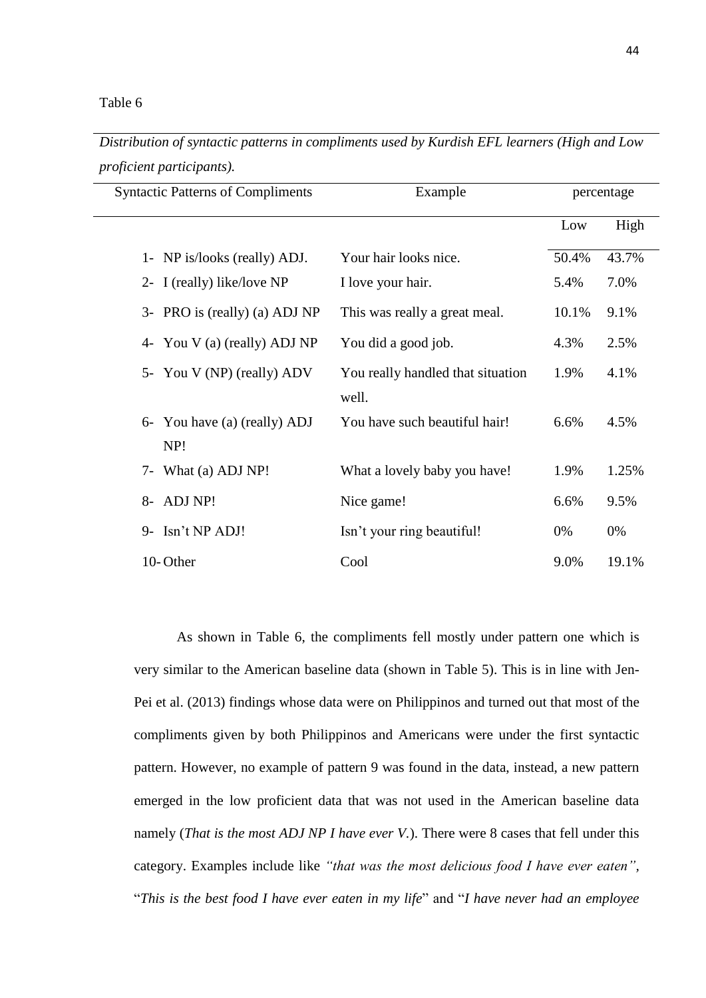### Table 6

*Distribution of syntactic patterns in compliments used by Kurdish EFL learners (High and Low proficient participants).*

| <b>Syntactic Patterns of Compliments</b><br>Example |                                            |       | percentage |
|-----------------------------------------------------|--------------------------------------------|-------|------------|
|                                                     |                                            | Low   | High       |
| 1- NP is/looks (really) ADJ.                        | Your hair looks nice.                      | 50.4% | 43.7%      |
| 2- I (really) like/love NP                          | I love your hair.                          | 5.4%  | 7.0%       |
| 3- PRO is (really) (a) ADJ NP                       | This was really a great meal.              | 10.1% | 9.1%       |
| 4- You V (a) (really) ADJ NP                        | You did a good job.                        | 4.3%  | 2.5%       |
| 5- You V (NP) (really) ADV                          | You really handled that situation<br>well. | 1.9%  | 4.1%       |
| 6- You have (a) (really) ADJ<br>NP!                 | You have such beautiful hair!              | 6.6%  | 4.5%       |
| What (a) ADJ NP!<br>$7-$                            | What a lovely baby you have!               | 1.9%  | 1.25%      |
| 8- ADJ NP!                                          | Nice game!                                 | 6.6%  | 9.5%       |
| 9- Isn't NP ADJ!                                    | Isn't your ring beautiful!                 | $0\%$ | 0%         |
| 10-Other                                            | Cool                                       | 9.0%  | 19.1%      |

As shown in Table 6, the compliments fell mostly under pattern one which is very similar to the American baseline data (shown in Table 5). This is in line with Jen-Pei et al. (2013) findings whose data were on Philippinos and turned out that most of the compliments given by both Philippinos and Americans were under the first syntactic pattern. However, no example of pattern 9 was found in the data, instead, a new pattern emerged in the low proficient data that was not used in the American baseline data namely (*That is the most ADJ NP I have ever V.*). There were 8 cases that fell under this category. Examples include like *"that was the most delicious food I have ever eaten",*  "*This is the best food I have ever eaten in my life*" and "*I have never had an employee*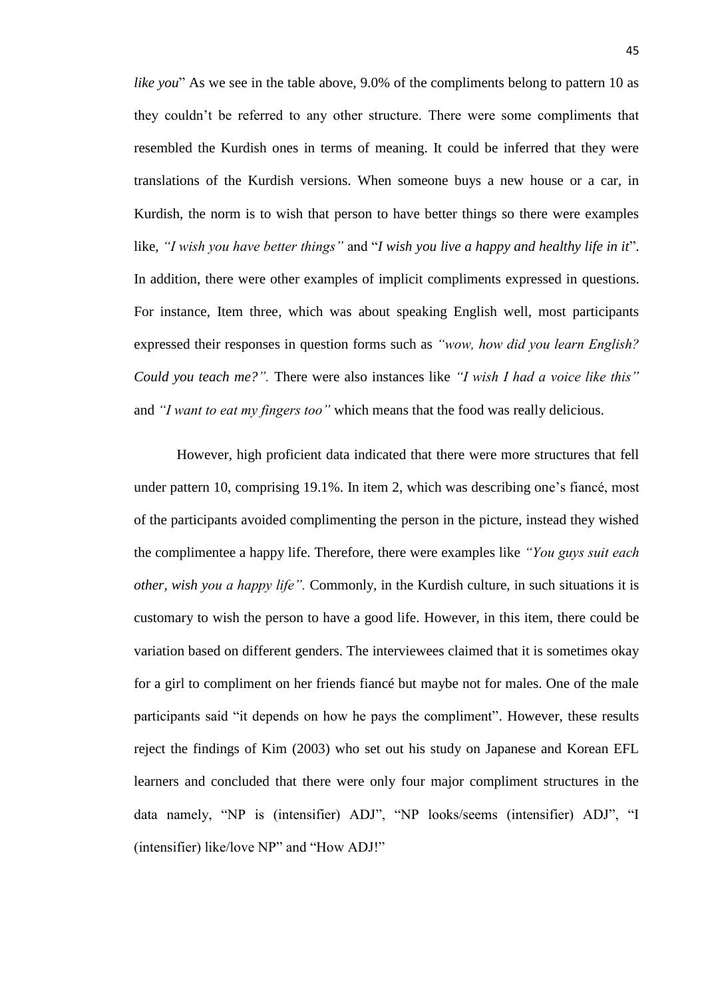*like you*" As we see in the table above, 9.0% of the compliments belong to pattern 10 as they couldn't be referred to any other structure. There were some compliments that resembled the Kurdish ones in terms of meaning. It could be inferred that they were translations of the Kurdish versions. When someone buys a new house or a car, in Kurdish, the norm is to wish that person to have better things so there were examples like, *"I wish you have better things"* and "*I wish you live a happy and healthy life in it*". In addition, there were other examples of implicit compliments expressed in questions. For instance, Item three, which was about speaking English well, most participants expressed their responses in question forms such as *"wow, how did you learn English? Could you teach me?".* There were also instances like *"I wish I had a voice like this"* and *"I want to eat my fingers too"* which means that the food was really delicious.

However, high proficient data indicated that there were more structures that fell under pattern 10, comprising 19.1%. In item 2, which was describing one's fiancé, most of the participants avoided complimenting the person in the picture, instead they wished the complimentee a happy life. Therefore, there were examples like *"You guys suit each other, wish you a happy life".* Commonly, in the Kurdish culture, in such situations it is customary to wish the person to have a good life. However, in this item, there could be variation based on different genders. The interviewees claimed that it is sometimes okay for a girl to compliment on her friends fiancé but maybe not for males. One of the male participants said "it depends on how he pays the compliment". However, these results reject the findings of Kim (2003) who set out his study on Japanese and Korean EFL learners and concluded that there were only four major compliment structures in the data namely, "NP is (intensifier) ADJ", "NP looks/seems (intensifier) ADJ", "I (intensifier) like/love NP" and "How ADJ!"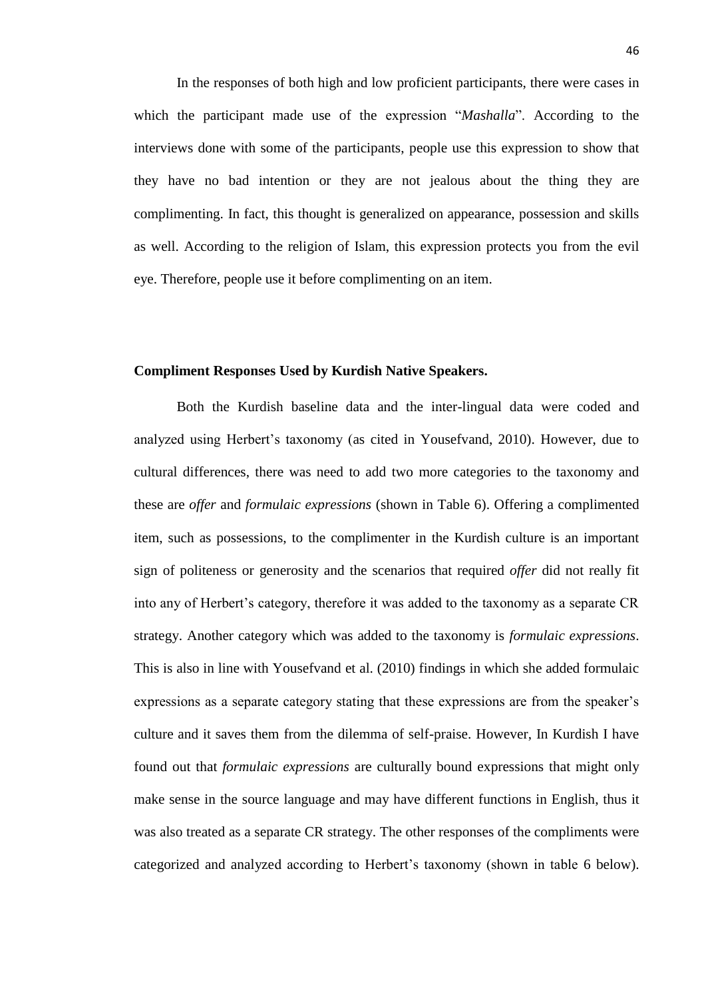In the responses of both high and low proficient participants, there were cases in which the participant made use of the expression "*Mashalla*". According to the interviews done with some of the participants, people use this expression to show that they have no bad intention or they are not jealous about the thing they are complimenting. In fact, this thought is generalized on appearance, possession and skills as well. According to the religion of Islam, this expression protects you from the evil eye. Therefore, people use it before complimenting on an item.

# **Compliment Responses Used by Kurdish Native Speakers.**

Both the Kurdish baseline data and the inter-lingual data were coded and analyzed using Herbert's taxonomy (as cited in Yousefvand, 2010). However, due to cultural differences, there was need to add two more categories to the taxonomy and these are *offer* and *formulaic expressions* (shown in Table 6). Offering a complimented item, such as possessions, to the complimenter in the Kurdish culture is an important sign of politeness or generosity and the scenarios that required *offer* did not really fit into any of Herbert's category, therefore it was added to the taxonomy as a separate CR strategy. Another category which was added to the taxonomy is *formulaic expressions*. This is also in line with Yousefvand et al. (2010) findings in which she added formulaic expressions as a separate category stating that these expressions are from the speaker's culture and it saves them from the dilemma of self-praise. However, In Kurdish I have found out that *formulaic expressions* are culturally bound expressions that might only make sense in the source language and may have different functions in English, thus it was also treated as a separate CR strategy. The other responses of the compliments were categorized and analyzed according to Herbert's taxonomy (shown in table 6 below).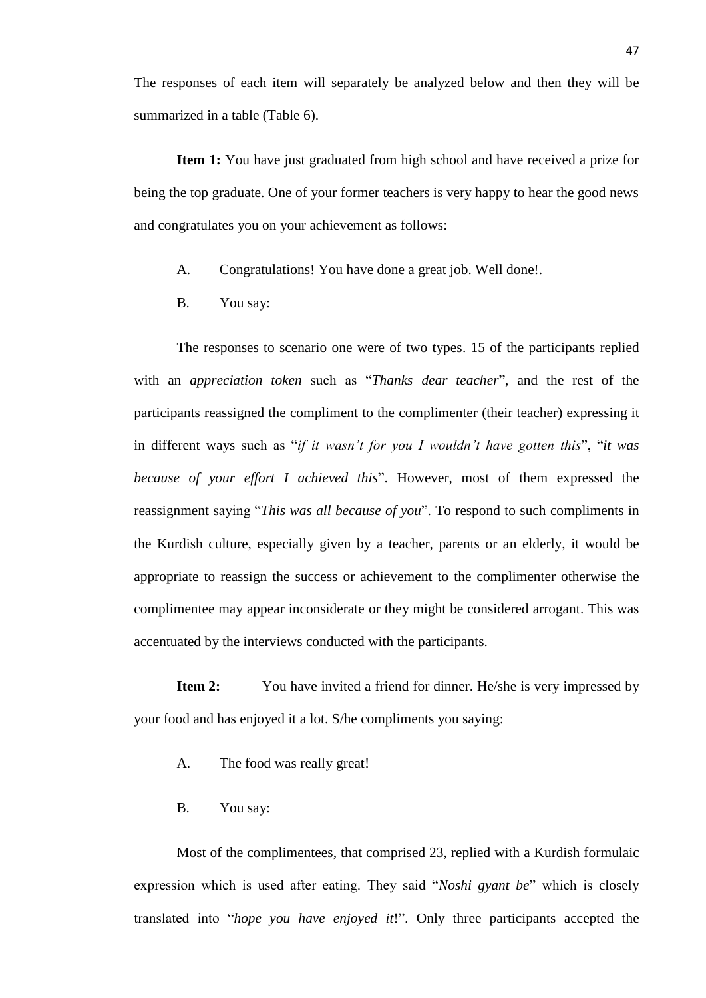The responses of each item will separately be analyzed below and then they will be summarized in a table (Table 6).

**Item 1:** You have just graduated from high school and have received a prize for being the top graduate. One of your former teachers is very happy to hear the good news and congratulates you on your achievement as follows:

- A. Congratulations! You have done a great job. Well done!.
- B. You say:

The responses to scenario one were of two types. 15 of the participants replied with an *appreciation token* such as "*Thanks dear teacher*", and the rest of the participants reassigned the compliment to the complimenter (their teacher) expressing it in different ways such as "*if it wasn't for you I wouldn't have gotten this*", "*it was because of your effort I achieved this*". However, most of them expressed the reassignment saying "*This was all because of you*". To respond to such compliments in the Kurdish culture, especially given by a teacher, parents or an elderly, it would be appropriate to reassign the success or achievement to the complimenter otherwise the complimentee may appear inconsiderate or they might be considered arrogant. This was accentuated by the interviews conducted with the participants.

**Item 2:** You have invited a friend for dinner. He/she is very impressed by your food and has enjoyed it a lot. S/he compliments you saying:

- A. The food was really great!
- B. You say:

Most of the complimentees, that comprised 23, replied with a Kurdish formulaic expression which is used after eating. They said "*Noshi gyant be*" which is closely translated into "*hope you have enjoyed it*!". Only three participants accepted the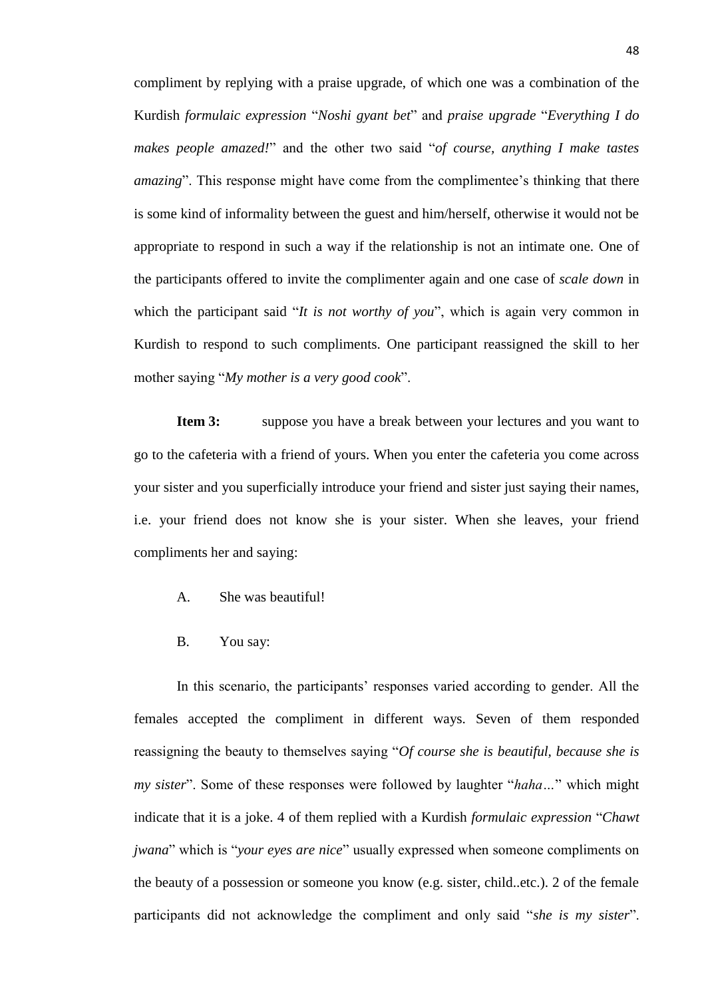compliment by replying with a praise upgrade, of which one was a combination of the Kurdish *formulaic expression* "*Noshi gyant bet*" and *praise upgrade* "*Everything I do makes people amazed!*" and the other two said "*of course, anything I make tastes amazing*". This response might have come from the complimentee's thinking that there is some kind of informality between the guest and him/herself, otherwise it would not be appropriate to respond in such a way if the relationship is not an intimate one. One of the participants offered to invite the complimenter again and one case of *scale down* in which the participant said "*It is not worthy of you*", which is again very common in Kurdish to respond to such compliments. One participant reassigned the skill to her mother saying "*My mother is a very good cook*".

**Item 3:** suppose you have a break between your lectures and you want to go to the cafeteria with a friend of yours. When you enter the cafeteria you come across your sister and you superficially introduce your friend and sister just saying their names, i.e. your friend does not know she is your sister. When she leaves, your friend compliments her and saying:

- A. She was beautiful!
- B. You say:

In this scenario, the participants' responses varied according to gender. All the females accepted the compliment in different ways. Seven of them responded reassigning the beauty to themselves saying "*Of course she is beautiful, because she is my sister*". Some of these responses were followed by laughter "*haha…*" which might indicate that it is a joke. 4 of them replied with a Kurdish *formulaic expression* "*Chawt jwana*" which is "*your eyes are nice*" usually expressed when someone compliments on the beauty of a possession or someone you know (e.g. sister, child..etc.). 2 of the female participants did not acknowledge the compliment and only said "*she is my sister*".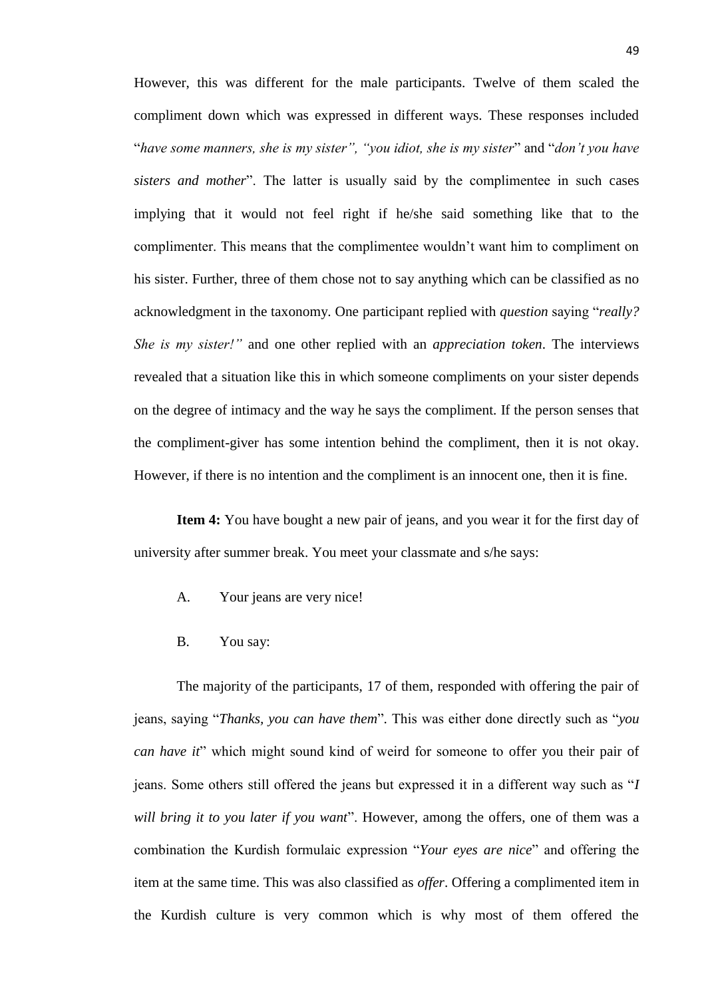However, this was different for the male participants. Twelve of them scaled the compliment down which was expressed in different ways. These responses included "*have some manners, she is my sister", "you idiot, she is my sister*" and "*don't you have sisters and mother*". The latter is usually said by the complimentee in such cases implying that it would not feel right if he/she said something like that to the complimenter. This means that the complimentee wouldn't want him to compliment on his sister. Further, three of them chose not to say anything which can be classified as no acknowledgment in the taxonomy. One participant replied with *question* saying "*really? She is my sister!"* and one other replied with an *appreciation token*. The interviews revealed that a situation like this in which someone compliments on your sister depends on the degree of intimacy and the way he says the compliment. If the person senses that the compliment-giver has some intention behind the compliment, then it is not okay. However, if there is no intention and the compliment is an innocent one, then it is fine.

**Item 4:** You have bought a new pair of jeans, and you wear it for the first day of university after summer break. You meet your classmate and s/he says:

- A. Your jeans are very nice!
- B. You say:

The majority of the participants, 17 of them, responded with offering the pair of jeans, saying "*Thanks, you can have them*". This was either done directly such as "*you can have it*" which might sound kind of weird for someone to offer you their pair of jeans. Some others still offered the jeans but expressed it in a different way such as "*I will bring it to you later if you want*". However, among the offers, one of them was a combination the Kurdish formulaic expression "*Your eyes are nice*" and offering the item at the same time. This was also classified as *offer*. Offering a complimented item in the Kurdish culture is very common which is why most of them offered the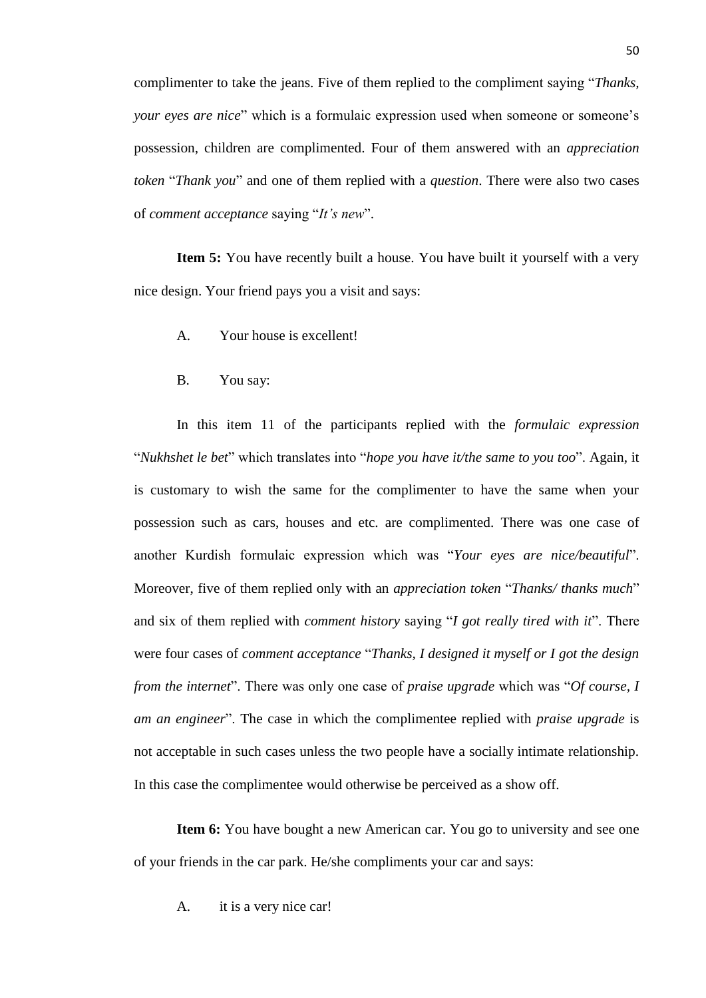complimenter to take the jeans. Five of them replied to the compliment saying "*Thanks, your eyes are nice*" which is a formulaic expression used when someone or someone's possession, children are complimented. Four of them answered with an *appreciation token* "*Thank you*" and one of them replied with a *question*. There were also two cases of *comment acceptance* saying "*It's new*".

**Item 5:** You have recently built a house. You have built it yourself with a very nice design. Your friend pays you a visit and says:

- A. Your house is excellent!
- B. You say:

In this item 11 of the participants replied with the *formulaic expression* "*Nukhshet le bet*" which translates into "*hope you have it/the same to you too*". Again, it is customary to wish the same for the complimenter to have the same when your possession such as cars, houses and etc. are complimented. There was one case of another Kurdish formulaic expression which was "*Your eyes are nice/beautiful*". Moreover, five of them replied only with an *appreciation token* "*Thanks/ thanks much*" and six of them replied with *comment history* saying "*I got really tired with it*". There were four cases of *comment acceptance* "*Thanks, I designed it myself or I got the design from the internet*". There was only one case of *praise upgrade* which was "*Of course, I am an engineer*". The case in which the complimentee replied with *praise upgrade* is not acceptable in such cases unless the two people have a socially intimate relationship. In this case the complimentee would otherwise be perceived as a show off.

**Item 6:** You have bought a new American car. You go to university and see one of your friends in the car park. He/she compliments your car and says:

A. it is a very nice car!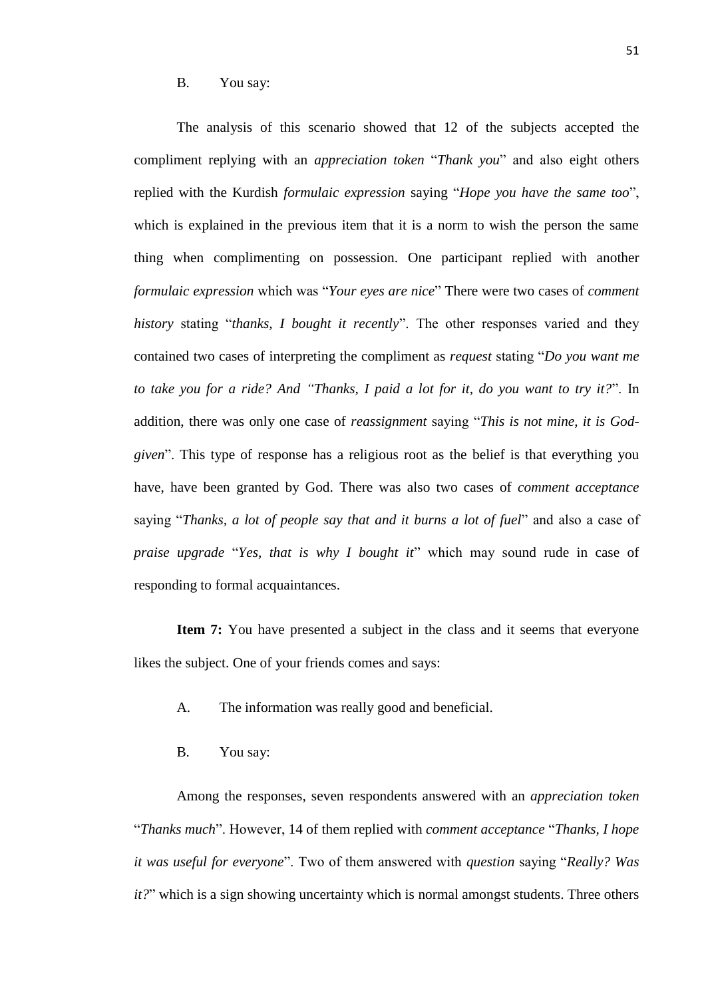#### B. You say:

The analysis of this scenario showed that 12 of the subjects accepted the compliment replying with an *appreciation token* "*Thank you*" and also eight others replied with the Kurdish *formulaic expression* saying "*Hope you have the same too*", which is explained in the previous item that it is a norm to wish the person the same thing when complimenting on possession. One participant replied with another *formulaic expression* which was "*Your eyes are nice*" There were two cases of *comment history* stating "*thanks, I bought it recently*". The other responses varied and they contained two cases of interpreting the compliment as *request* stating "*Do you want me to take you for a ride? And "Thanks, I paid a lot for it, do you want to try it?*". In addition, there was only one case of *reassignment* saying "*This is not mine, it is Godgiven*". This type of response has a religious root as the belief is that everything you have, have been granted by God. There was also two cases of *comment acceptance* saying "*Thanks, a lot of people say that and it burns a lot of fuel*" and also a case of *praise upgrade* "*Yes, that is why I bought it*" which may sound rude in case of responding to formal acquaintances.

**Item 7:** You have presented a subject in the class and it seems that everyone likes the subject. One of your friends comes and says:

- A. The information was really good and beneficial.
- B. You say:

Among the responses, seven respondents answered with an *appreciation token* "*Thanks much*". However, 14 of them replied with *comment acceptance* "*Thanks, I hope it was useful for everyone*". Two of them answered with *question* saying "*Really? Was it?*" which is a sign showing uncertainty which is normal amongst students. Three others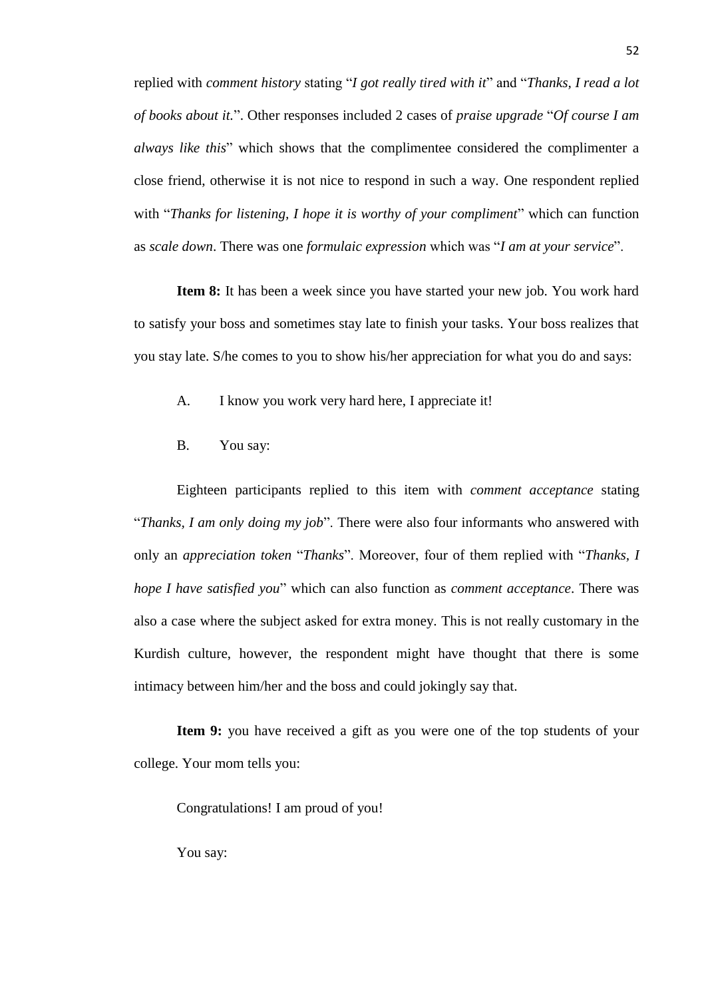replied with *comment history* stating "*I got really tired with it*" and "*Thanks, I read a lot of books about it.*". Other responses included 2 cases of *praise upgrade* "*Of course I am always like this*" which shows that the complimentee considered the complimenter a close friend, otherwise it is not nice to respond in such a way. One respondent replied with "*Thanks for listening, I hope it is worthy of your compliment*" which can function as *scale down*. There was one *formulaic expression* which was "*I am at your service*".

**Item 8:** It has been a week since you have started your new job. You work hard to satisfy your boss and sometimes stay late to finish your tasks. Your boss realizes that you stay late. S/he comes to you to show his/her appreciation for what you do and says:

A. I know you work very hard here, I appreciate it!

B. You say:

Eighteen participants replied to this item with *comment acceptance* stating "*Thanks, I am only doing my job*". There were also four informants who answered with only an *appreciation token* "*Thanks*". Moreover, four of them replied with "*Thanks, I hope I have satisfied you*" which can also function as *comment acceptance*. There was also a case where the subject asked for extra money. This is not really customary in the Kurdish culture, however, the respondent might have thought that there is some intimacy between him/her and the boss and could jokingly say that.

**Item 9:** you have received a gift as you were one of the top students of your college. Your mom tells you:

Congratulations! I am proud of you!

You say: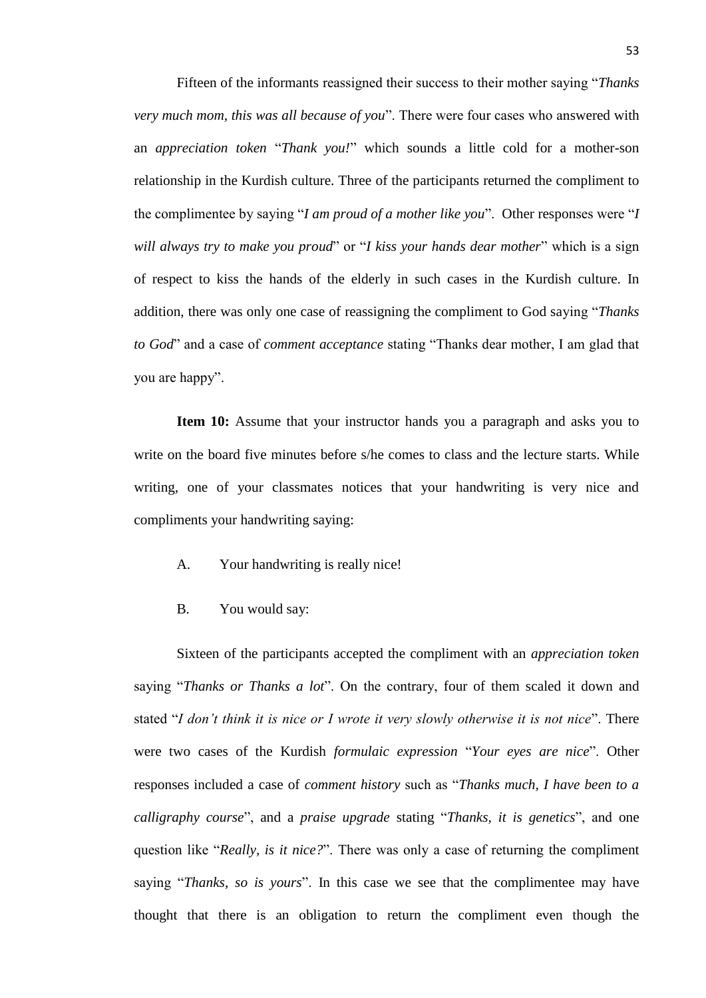Fifteen of the informants reassigned their success to their mother saying "*Thanks very much mom, this was all because of you*". There were four cases who answered with an *appreciation token* "*Thank you!*" which sounds a little cold for a mother-son relationship in the Kurdish culture. Three of the participants returned the compliment to the complimentee by saying "*I am proud of a mother like you*". Other responses were "*I will always try to make you proud*" or "*I kiss your hands dear mother*" which is a sign of respect to kiss the hands of the elderly in such cases in the Kurdish culture. In addition, there was only one case of reassigning the compliment to God saying "*Thanks to God*" and a case of *comment acceptance* stating "Thanks dear mother, I am glad that you are happy".

**Item 10:** Assume that your instructor hands you a paragraph and asks you to write on the board five minutes before s/he comes to class and the lecture starts. While writing, one of your classmates notices that your handwriting is very nice and compliments your handwriting saying:

- A. Your handwriting is really nice!
- B. You would say:

Sixteen of the participants accepted the compliment with an *appreciation token* saying "*Thanks or Thanks a lot*". On the contrary, four of them scaled it down and stated "*I don't think it is nice or I wrote it very slowly otherwise it is not nice*". There were two cases of the Kurdish *formulaic expression* "*Your eyes are nice*". Other responses included a case of *comment history* such as "*Thanks much, I have been to a calligraphy course*", and a *praise upgrade* stating "*Thanks, it is genetics*", and one question like "*Really, is it nice?*". There was only a case of returning the compliment saying "*Thanks, so is yours*". In this case we see that the complimentee may have thought that there is an obligation to return the compliment even though the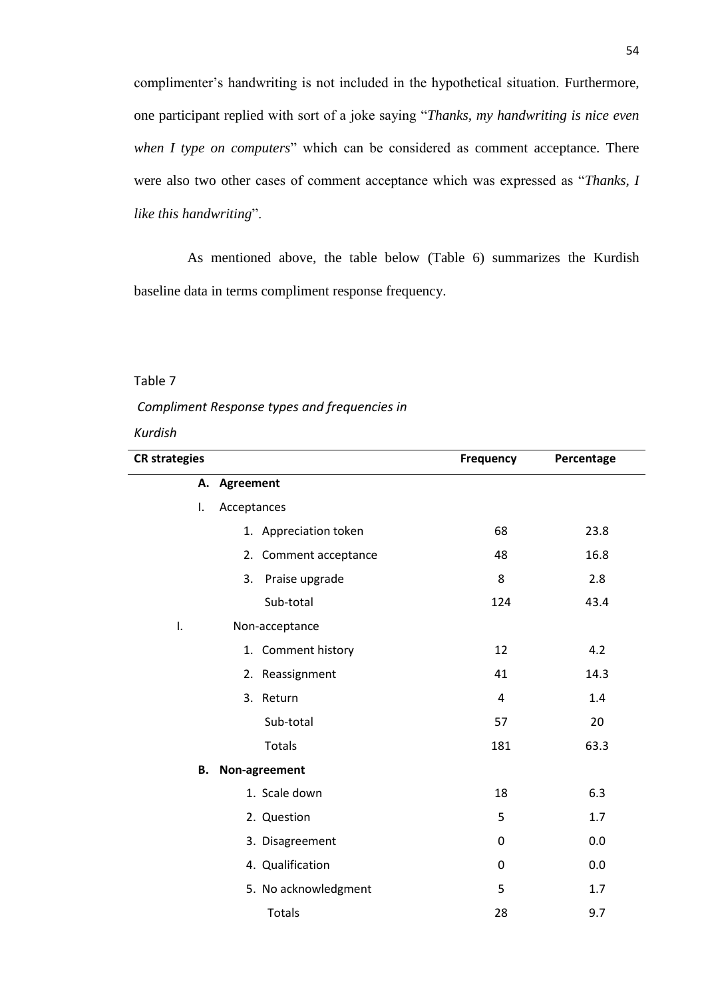complimenter's handwriting is not included in the hypothetical situation. Furthermore, one participant replied with sort of a joke saying "*Thanks, my handwriting is nice even when I type on computers*" which can be considered as comment acceptance. There were also two other cases of comment acceptance which was expressed as "*Thanks, I like this handwriting*".

 As mentioned above, the table below (Table 6) summarizes the Kurdish baseline data in terms compliment response frequency.

# Table 7

# *Compliment Response types and frequencies in*

#### *Kurdish*

| <b>CR</b> strategies |                       | Frequency   | Percentage |
|----------------------|-----------------------|-------------|------------|
|                      | A. Agreement          |             |            |
| I.                   | Acceptances           |             |            |
|                      | 1. Appreciation token | 68          | 23.8       |
|                      | 2. Comment acceptance | 48          | 16.8       |
|                      | 3.<br>Praise upgrade  | 8           | 2.8        |
|                      | Sub-total             | 124         | 43.4       |
| I.                   | Non-acceptance        |             |            |
|                      | 1. Comment history    | 12          | 4.2        |
|                      | 2. Reassignment       | 41          | 14.3       |
|                      | 3. Return             | 4           | 1.4        |
|                      | Sub-total             | 57          | 20         |
|                      | <b>Totals</b>         | 181         | 63.3       |
| В.                   | Non-agreement         |             |            |
|                      | 1. Scale down         | 18          | 6.3        |
|                      | 2. Question           | 5           | 1.7        |
|                      | 3. Disagreement       | $\mathbf 0$ | 0.0        |
|                      | 4. Qualification      | $\mathbf 0$ | 0.0        |
|                      | 5. No acknowledgment  | 5           | 1.7        |
|                      | <b>Totals</b>         | 28          | 9.7        |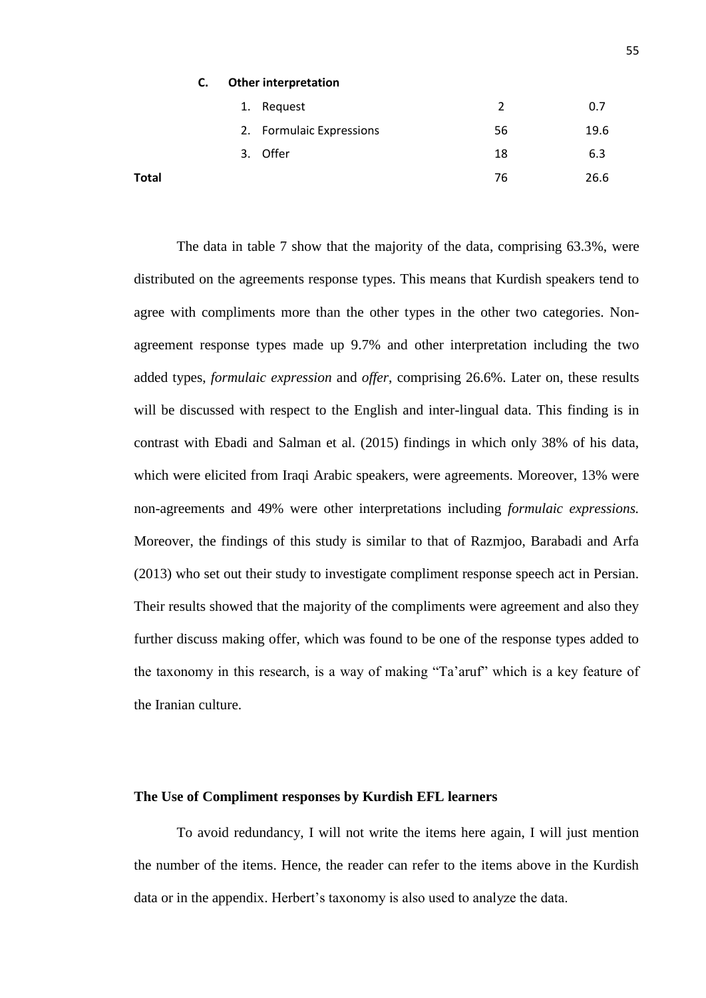| $\epsilon$<br>J. |  | <b>Other interpretation</b> |
|------------------|--|-----------------------------|
|------------------|--|-----------------------------|

|       | 1. Request               | 2  | 0.7  |
|-------|--------------------------|----|------|
|       | 2. Formulaic Expressions | 56 | 19.6 |
|       | Offer<br>3.              | 18 | 6.3  |
| Total |                          | 76 | 26.6 |

The data in table 7 show that the majority of the data, comprising 63.3%, were distributed on the agreements response types. This means that Kurdish speakers tend to agree with compliments more than the other types in the other two categories. Nonagreement response types made up 9.7% and other interpretation including the two added types, *formulaic expression* and *offer*, comprising 26.6%. Later on, these results will be discussed with respect to the English and inter-lingual data. This finding is in contrast with Ebadi and Salman et al. (2015) findings in which only 38% of his data, which were elicited from Iraqi Arabic speakers, were agreements. Moreover, 13% were non-agreements and 49% were other interpretations including *formulaic expressions.* Moreover, the findings of this study is similar to that of Razmjoo, Barabadi and Arfa (2013) who set out their study to investigate compliment response speech act in Persian. Their results showed that the majority of the compliments were agreement and also they further discuss making offer, which was found to be one of the response types added to the taxonomy in this research, is a way of making "Ta'aruf" which is a key feature of the Iranian culture.

#### **The Use of Compliment responses by Kurdish EFL learners**

To avoid redundancy, I will not write the items here again, I will just mention the number of the items. Hence, the reader can refer to the items above in the Kurdish data or in the appendix. Herbert's taxonomy is also used to analyze the data.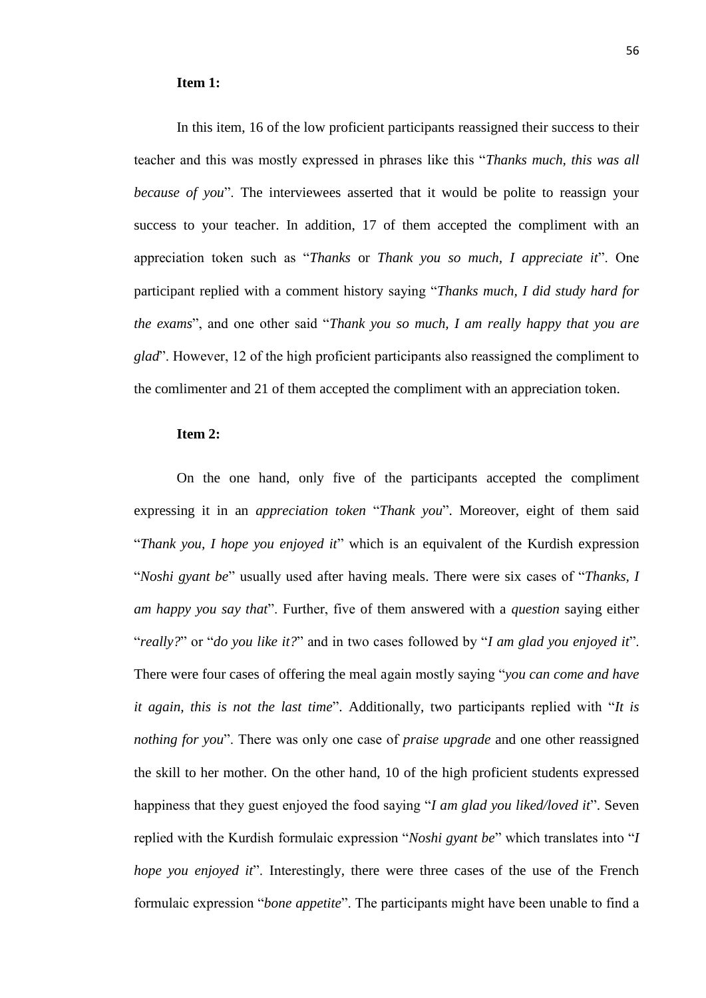#### **Item 1:**

In this item, 16 of the low proficient participants reassigned their success to their teacher and this was mostly expressed in phrases like this "*Thanks much, this was all because of you*". The interviewees asserted that it would be polite to reassign your success to your teacher. In addition, 17 of them accepted the compliment with an appreciation token such as "*Thanks* or *Thank you so much, I appreciate it*". One participant replied with a comment history saying "*Thanks much, I did study hard for the exams*", and one other said "*Thank you so much, I am really happy that you are glad*". However, 12 of the high proficient participants also reassigned the compliment to the comlimenter and 21 of them accepted the compliment with an appreciation token.

# **Item 2:**

On the one hand, only five of the participants accepted the compliment expressing it in an *appreciation token* "*Thank you*". Moreover, eight of them said "*Thank you, I hope you enjoyed it*" which is an equivalent of the Kurdish expression "*Noshi gyant be*" usually used after having meals. There were six cases of "*Thanks, I am happy you say that*". Further, five of them answered with a *question* saying either "*really?*" or "*do you like it?*" and in two cases followed by "*I am glad you enjoyed it*". There were four cases of offering the meal again mostly saying "*you can come and have it again, this is not the last time*". Additionally, two participants replied with "*It is nothing for you*". There was only one case of *praise upgrade* and one other reassigned the skill to her mother. On the other hand, 10 of the high proficient students expressed happiness that they guest enjoyed the food saying "*I am glad you liked/loved it*". Seven replied with the Kurdish formulaic expression "*Noshi gyant be*" which translates into "*I hope you enjoyed it*". Interestingly, there were three cases of the use of the French formulaic expression "*bone appetite*". The participants might have been unable to find a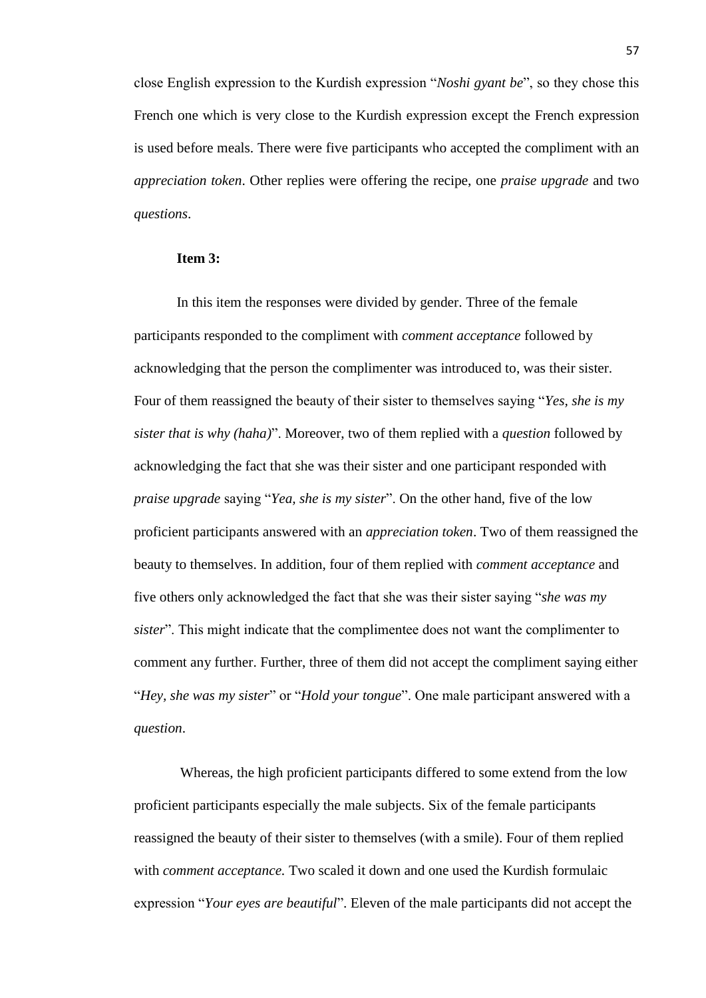close English expression to the Kurdish expression "*Noshi gyant be*", so they chose this French one which is very close to the Kurdish expression except the French expression is used before meals. There were five participants who accepted the compliment with an *appreciation token*. Other replies were offering the recipe, one *praise upgrade* and two *questions*.

#### **Item 3:**

In this item the responses were divided by gender. Three of the female participants responded to the compliment with *comment acceptance* followed by acknowledging that the person the complimenter was introduced to, was their sister. Four of them reassigned the beauty of their sister to themselves saying "*Yes, she is my sister that is why (haha)*". Moreover, two of them replied with a *question* followed by acknowledging the fact that she was their sister and one participant responded with *praise upgrade* saying "*Yea, she is my sister*". On the other hand, five of the low proficient participants answered with an *appreciation token*. Two of them reassigned the beauty to themselves. In addition, four of them replied with *comment acceptance* and five others only acknowledged the fact that she was their sister saying "*she was my sister*". This might indicate that the complimentee does not want the complimenter to comment any further. Further, three of them did not accept the compliment saying either "*Hey, she was my sister*" or "*Hold your tongue*". One male participant answered with a *question*.

Whereas, the high proficient participants differed to some extend from the low proficient participants especially the male subjects. Six of the female participants reassigned the beauty of their sister to themselves (with a smile). Four of them replied with *comment acceptance.* Two scaled it down and one used the Kurdish formulaic expression "*Your eyes are beautiful*". Eleven of the male participants did not accept the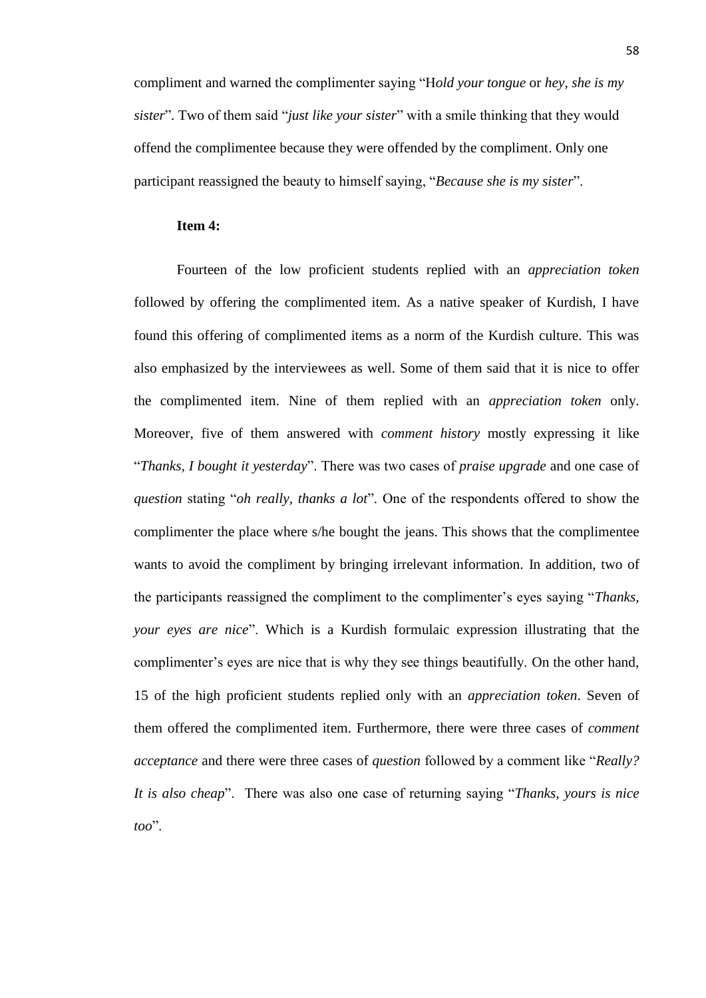compliment and warned the complimenter saying "H*old your tongue* or *hey, she is my sister*". Two of them said "*just like your sister*" with a smile thinking that they would offend the complimentee because they were offended by the compliment. Only one participant reassigned the beauty to himself saying, "*Because she is my sister*".

### **Item 4:**

Fourteen of the low proficient students replied with an *appreciation token* followed by offering the complimented item. As a native speaker of Kurdish, I have found this offering of complimented items as a norm of the Kurdish culture. This was also emphasized by the interviewees as well. Some of them said that it is nice to offer the complimented item. Nine of them replied with an *appreciation token* only. Moreover, five of them answered with *comment history* mostly expressing it like "*Thanks, I bought it yesterday*". There was two cases of *praise upgrade* and one case of *question* stating "*oh really, thanks a lot*". One of the respondents offered to show the complimenter the place where s/he bought the jeans. This shows that the complimentee wants to avoid the compliment by bringing irrelevant information. In addition, two of the participants reassigned the compliment to the complimenter's eyes saying "*Thanks, your eyes are nice*". Which is a Kurdish formulaic expression illustrating that the complimenter's eyes are nice that is why they see things beautifully. On the other hand, 15 of the high proficient students replied only with an *appreciation token*. Seven of them offered the complimented item. Furthermore, there were three cases of *comment acceptance* and there were three cases of *question* followed by a comment like "*Really? It is also cheap*". There was also one case of returning saying "*Thanks, yours is nice too*".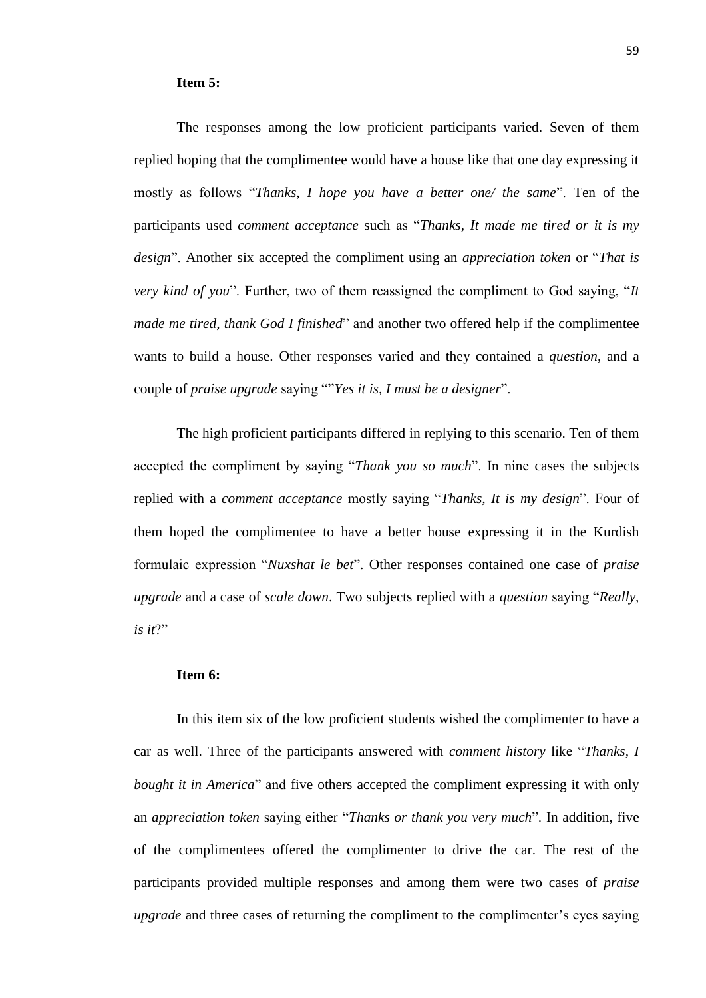#### **Item 5:**

The responses among the low proficient participants varied. Seven of them replied hoping that the complimentee would have a house like that one day expressing it mostly as follows "*Thanks, I hope you have a better one/ the same*". Ten of the participants used *comment acceptance* such as "*Thanks, It made me tired or it is my design*". Another six accepted the compliment using an *appreciation token* or "*That is very kind of you*". Further, two of them reassigned the compliment to God saying, "*It made me tired, thank God I finished*" and another two offered help if the complimentee wants to build a house. Other responses varied and they contained a *question*, and a couple of *praise upgrade* saying ""*Yes it is, I must be a designer*".

The high proficient participants differed in replying to this scenario. Ten of them accepted the compliment by saying "*Thank you so much*". In nine cases the subjects replied with a *comment acceptance* mostly saying "*Thanks, It is my design*". Four of them hoped the complimentee to have a better house expressing it in the Kurdish formulaic expression "*Nuxshat le bet*". Other responses contained one case of *praise upgrade* and a case of *scale down*. Two subjects replied with a *question* saying "*Really, is it*?"

#### **Item 6:**

In this item six of the low proficient students wished the complimenter to have a car as well. Three of the participants answered with *comment history* like "*Thanks, I bought it in America*" and five others accepted the compliment expressing it with only an *appreciation token* saying either "*Thanks or thank you very much*". In addition, five of the complimentees offered the complimenter to drive the car. The rest of the participants provided multiple responses and among them were two cases of *praise upgrade* and three cases of returning the compliment to the complimenter's eyes saying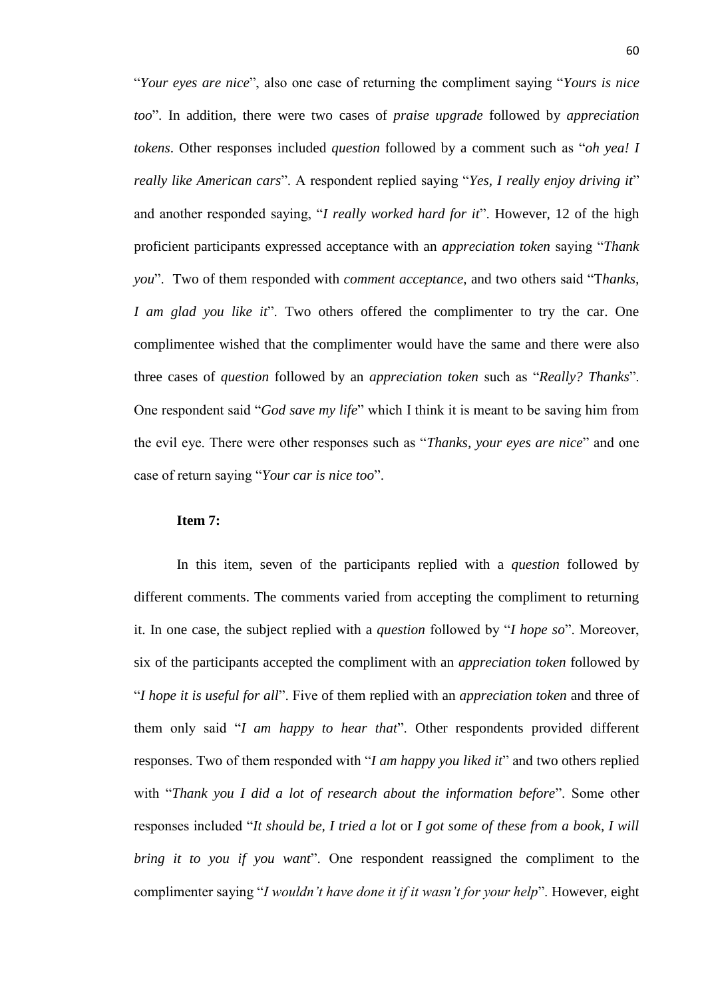"*Your eyes are nice*", also one case of returning the compliment saying "*Yours is nice too*". In addition, there were two cases of *praise upgrade* followed by *appreciation tokens*. Other responses included *question* followed by a comment such as "*oh yea! I really like American cars*". A respondent replied saying "*Yes, I really enjoy driving it*" and another responded saying, "*I really worked hard for it*". However, 12 of the high proficient participants expressed acceptance with an *appreciation token* saying "*Thank you*". Two of them responded with *comment acceptance*, and two others said "T*hanks, I am glad you like it*". Two others offered the complimenter to try the car. One complimentee wished that the complimenter would have the same and there were also three cases of *question* followed by an *appreciation token* such as "*Really? Thanks*". One respondent said "*God save my life*" which I think it is meant to be saving him from the evil eye. There were other responses such as "*Thanks, your eyes are nice*" and one case of return saying "*Your car is nice too*".

#### **Item 7:**

In this item, seven of the participants replied with a *question* followed by different comments. The comments varied from accepting the compliment to returning it. In one case, the subject replied with a *question* followed by "*I hope so*". Moreover, six of the participants accepted the compliment with an *appreciation token* followed by "*I hope it is useful for all*". Five of them replied with an *appreciation token* and three of them only said "*I am happy to hear that*". Other respondents provided different responses. Two of them responded with "*I am happy you liked it*" and two others replied with "*Thank you I did a lot of research about the information before*". Some other responses included "*It should be, I tried a lot* or *I got some of these from a book, I will bring it to you if you want*". One respondent reassigned the compliment to the complimenter saying "*I wouldn't have done it if it wasn't for your help*". However, eight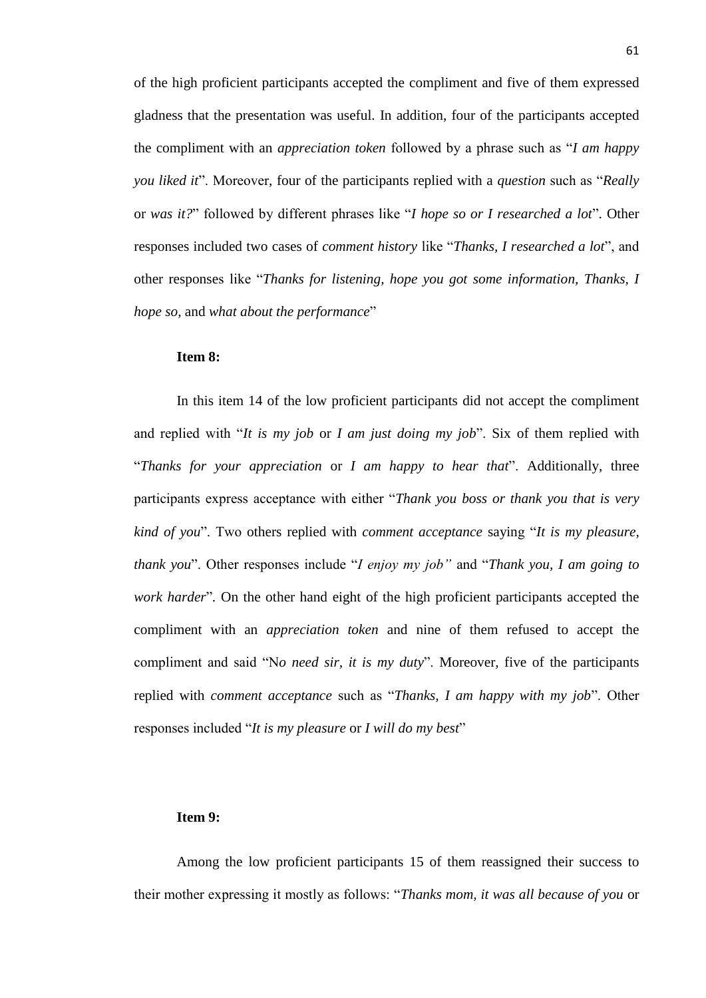of the high proficient participants accepted the compliment and five of them expressed gladness that the presentation was useful. In addition, four of the participants accepted the compliment with an *appreciation token* followed by a phrase such as "*I am happy you liked it*". Moreover, four of the participants replied with a *question* such as "*Really* or *was it?*" followed by different phrases like "*I hope so or I researched a lot*". Other responses included two cases of *comment history* like "*Thanks, I researched a lot*", and other responses like "*Thanks for listening, hope you got some information, Thanks, I hope so,* and *what about the performance*"

### **Item 8:**

In this item 14 of the low proficient participants did not accept the compliment and replied with "*It is my job* or *I am just doing my job*". Six of them replied with "*Thanks for your appreciation* or *I am happy to hear that*". Additionally, three participants express acceptance with either "*Thank you boss or thank you that is very kind of you*". Two others replied with *comment acceptance* saying "*It is my pleasure, thank you*". Other responses include "*I enjoy my job"* and "*Thank you, I am going to work harder*"*.* On the other hand eight of the high proficient participants accepted the compliment with an *appreciation token* and nine of them refused to accept the compliment and said "N*o need sir, it is my duty*". Moreover, five of the participants replied with *comment acceptance* such as "*Thanks, I am happy with my job*". Other responses included "*It is my pleasure* or *I will do my best*"

# **Item 9:**

Among the low proficient participants 15 of them reassigned their success to their mother expressing it mostly as follows: "*Thanks mom, it was all because of you* or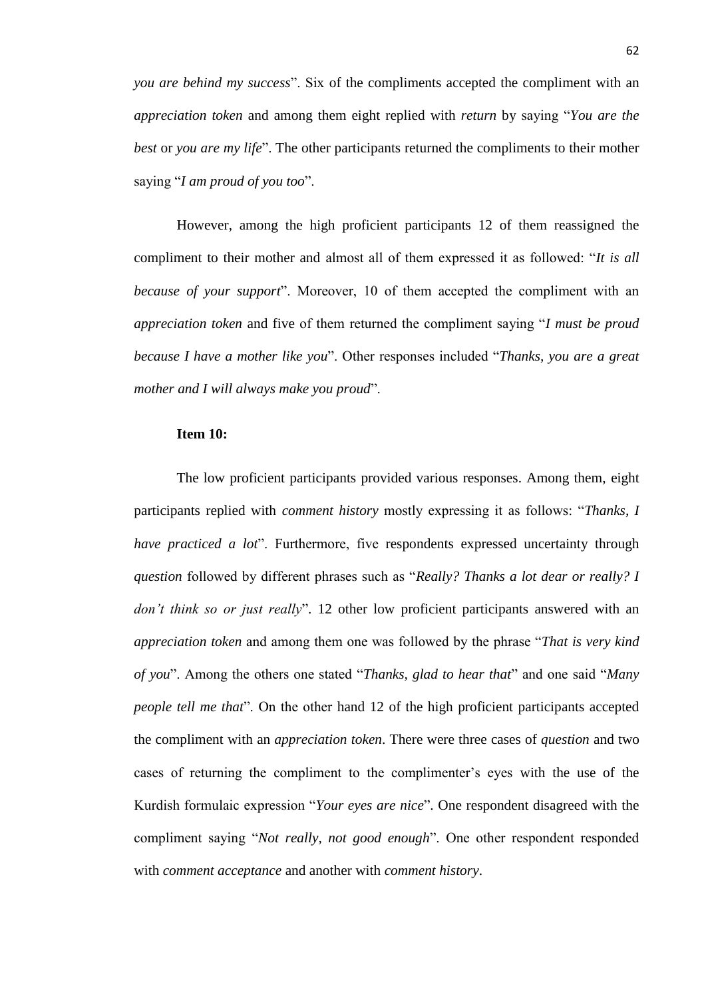*you are behind my success*". Six of the compliments accepted the compliment with an *appreciation token* and among them eight replied with *return* by saying "*You are the best* or *you are my life*". The other participants returned the compliments to their mother saying "*I am proud of you too*".

However, among the high proficient participants 12 of them reassigned the compliment to their mother and almost all of them expressed it as followed: "*It is all because of your support*". Moreover, 10 of them accepted the compliment with an *appreciation token* and five of them returned the compliment saying "*I must be proud because I have a mother like you*". Other responses included "*Thanks, you are a great mother and I will always make you proud*".

# **Item 10:**

The low proficient participants provided various responses. Among them, eight participants replied with *comment history* mostly expressing it as follows: "*Thanks, I have practiced a lot*". Furthermore, five respondents expressed uncertainty through *question* followed by different phrases such as "*Really? Thanks a lot dear or really? I don't think so or just really*". 12 other low proficient participants answered with an *appreciation token* and among them one was followed by the phrase "*That is very kind of you*". Among the others one stated "*Thanks, glad to hear that*" and one said "*Many people tell me that*". On the other hand 12 of the high proficient participants accepted the compliment with an *appreciation token*. There were three cases of *question* and two cases of returning the compliment to the complimenter's eyes with the use of the Kurdish formulaic expression "*Your eyes are nice*". One respondent disagreed with the compliment saying "*Not really, not good enough*". One other respondent responded with *comment acceptance* and another with *comment history*.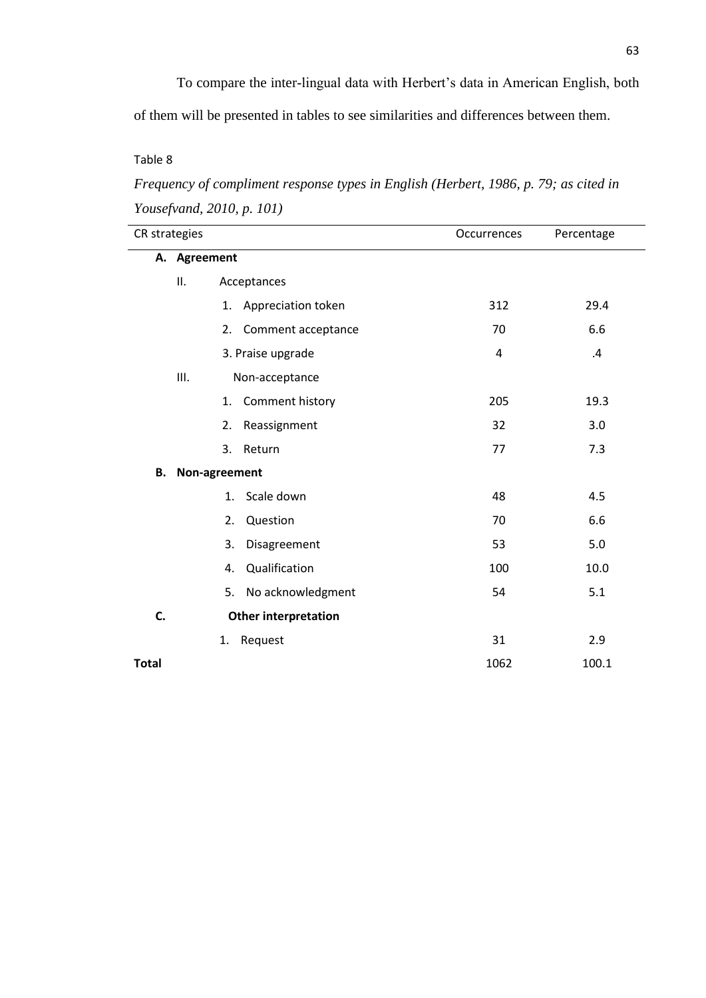To compare the inter-lingual data with Herbert's data in American English, both

of them will be presented in tables to see similarities and differences between them.

Table 8

*Frequency of compliment response types in English (Herbert, 1986, p. 79; as cited in Yousefvand, 2010, p. 101)*

|              | CR strategies |    |                             | Occurrences | Percentage |
|--------------|---------------|----|-----------------------------|-------------|------------|
|              | A. Agreement  |    |                             |             |            |
|              | ΙΙ.           |    | Acceptances                 |             |            |
|              |               | 1. | Appreciation token          | 312         | 29.4       |
|              |               | 2. | Comment acceptance          | 70          | 6.6        |
|              |               |    | 3. Praise upgrade           | 4           | .4         |
|              | Ш.            |    | Non-acceptance              |             |            |
|              |               | 1. | Comment history             | 205         | 19.3       |
|              |               | 2. | Reassignment                | 32          | 3.0        |
|              |               | 3. | Return                      | 77          | 7.3        |
| В.           | Non-agreement |    |                             |             |            |
|              |               | 1. | Scale down                  | 48          | 4.5        |
|              |               | 2. | Question                    | 70          | 6.6        |
|              |               | 3. | Disagreement                | 53          | 5.0        |
|              |               | 4. | Qualification               | 100         | 10.0       |
|              |               | 5. | No acknowledgment           | 54          | 5.1        |
| C.           |               |    | <b>Other interpretation</b> |             |            |
|              |               | 1. | Request                     | 31          | 2.9        |
| <b>Total</b> |               |    |                             | 1062        | 100.1      |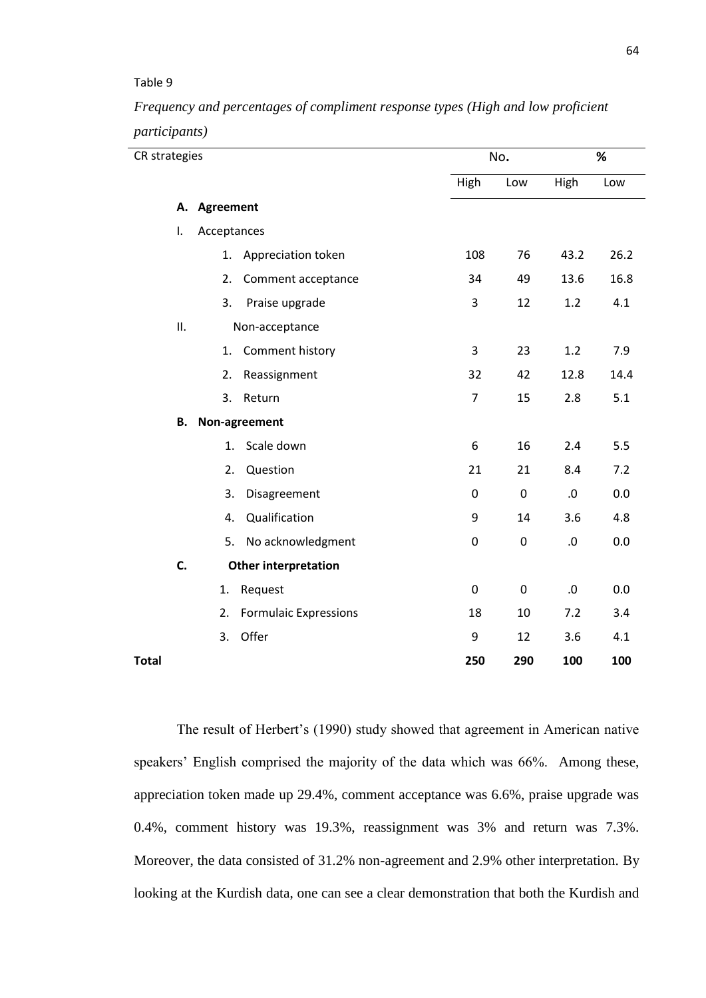### Table 9

*Frequency and percentages of compliment response types (High and low proficient participants)*

| CR strategies |     |                  | No.                          | %                |             |        |      |
|---------------|-----|------------------|------------------------------|------------------|-------------|--------|------|
|               |     |                  |                              | High             | Low         | High   | Low  |
|               | А.  | <b>Agreement</b> |                              |                  |             |        |      |
|               | I.  | Acceptances      |                              |                  |             |        |      |
|               |     | 1.               | Appreciation token           | 108              | 76          | 43.2   | 26.2 |
|               |     | 2.               | Comment acceptance           | 34               | 49          | 13.6   | 16.8 |
|               |     | 3.               | Praise upgrade               | 3                | 12          | 1.2    | 4.1  |
|               | ΙΙ. |                  | Non-acceptance               |                  |             |        |      |
|               |     | 1.               | Comment history              | 3                | 23          | 1.2    | 7.9  |
|               |     | 2.               | Reassignment                 | 32               | 42          | 12.8   | 14.4 |
|               |     | 3.               | Return                       | $\overline{7}$   | 15          | 2.8    | 5.1  |
|               | В.  |                  | Non-agreement                |                  |             |        |      |
|               |     | 1.               | Scale down                   | 6                | 16          | 2.4    | 5.5  |
|               |     | 2.               | Question                     | 21               | 21          | 8.4    | 7.2  |
|               |     | 3.               | Disagreement                 | $\mathbf 0$      | $\pmb{0}$   | $.0\,$ | 0.0  |
|               |     | 4.               | Qualification                | 9                | 14          | 3.6    | 4.8  |
|               |     | 5.               | No acknowledgment            | $\boldsymbol{0}$ | $\pmb{0}$   | $.0\,$ | 0.0  |
|               | C.  |                  | <b>Other interpretation</b>  |                  |             |        |      |
|               |     | 1.               | Request                      | 0                | $\mathbf 0$ | .0     | 0.0  |
|               |     | 2.               | <b>Formulaic Expressions</b> | 18               | 10          | 7.2    | 3.4  |
|               |     | 3.               | Offer                        | 9                | 12          | 3.6    | 4.1  |
| <b>Total</b>  |     |                  |                              | 250              | 290         | 100    | 100  |

The result of Herbert's (1990) study showed that agreement in American native speakers' English comprised the majority of the data which was 66%. Among these, appreciation token made up 29.4%, comment acceptance was 6.6%, praise upgrade was 0.4%, comment history was 19.3%, reassignment was 3% and return was 7.3%. Moreover, the data consisted of 31.2% non-agreement and 2.9% other interpretation. By looking at the Kurdish data, one can see a clear demonstration that both the Kurdish and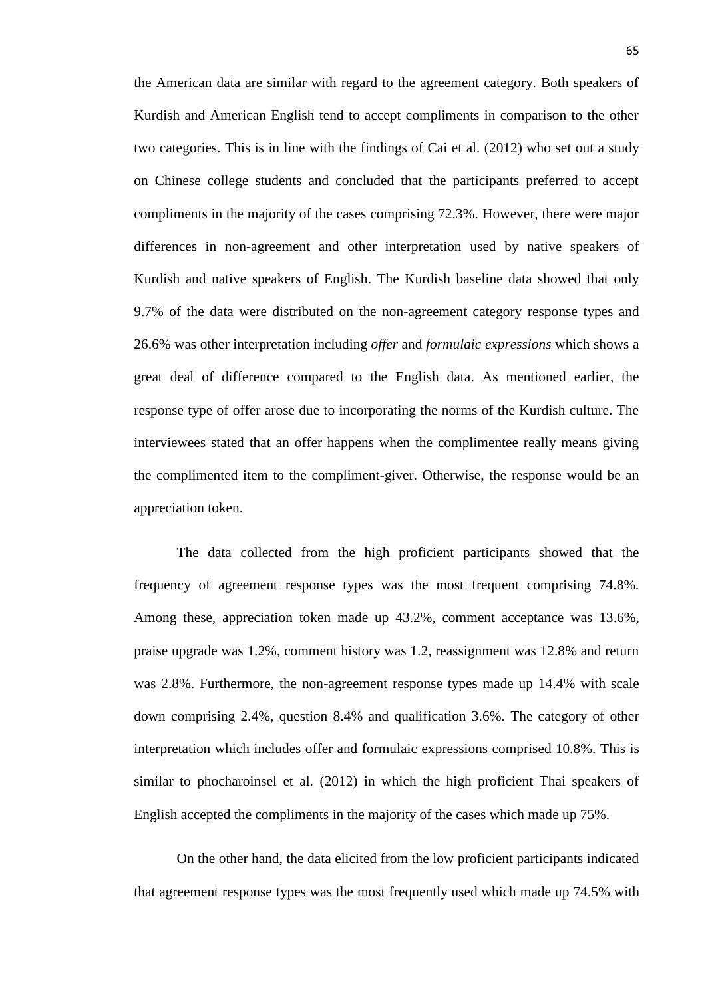the American data are similar with regard to the agreement category. Both speakers of Kurdish and American English tend to accept compliments in comparison to the other two categories. This is in line with the findings of Cai et al. (2012) who set out a study on Chinese college students and concluded that the participants preferred to accept compliments in the majority of the cases comprising 72.3%. However, there were major differences in non-agreement and other interpretation used by native speakers of Kurdish and native speakers of English. The Kurdish baseline data showed that only 9.7% of the data were distributed on the non-agreement category response types and 26.6% was other interpretation including *offer* and *formulaic expressions* which shows a great deal of difference compared to the English data. As mentioned earlier, the response type of offer arose due to incorporating the norms of the Kurdish culture. The interviewees stated that an offer happens when the complimentee really means giving the complimented item to the compliment-giver. Otherwise, the response would be an appreciation token.

The data collected from the high proficient participants showed that the frequency of agreement response types was the most frequent comprising 74.8%. Among these, appreciation token made up 43.2%, comment acceptance was 13.6%, praise upgrade was 1.2%, comment history was 1.2, reassignment was 12.8% and return was 2.8%. Furthermore, the non-agreement response types made up 14.4% with scale down comprising 2.4%, question 8.4% and qualification 3.6%. The category of other interpretation which includes offer and formulaic expressions comprised 10.8%. This is similar to phocharoinsel et al. (2012) in which the high proficient Thai speakers of English accepted the compliments in the majority of the cases which made up 75%.

On the other hand, the data elicited from the low proficient participants indicated that agreement response types was the most frequently used which made up 74.5% with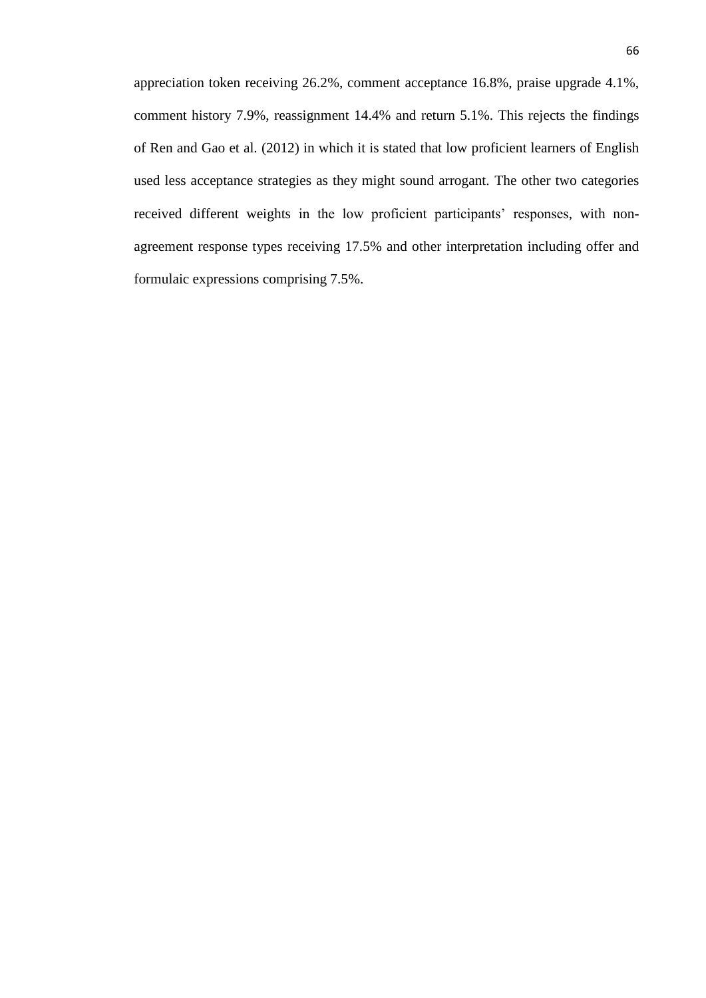appreciation token receiving 26.2%, comment acceptance 16.8%, praise upgrade 4.1%, comment history 7.9%, reassignment 14.4% and return 5.1%. This rejects the findings of Ren and Gao et al. (2012) in which it is stated that low proficient learners of English used less acceptance strategies as they might sound arrogant. The other two categories received different weights in the low proficient participants' responses, with nonagreement response types receiving 17.5% and other interpretation including offer and formulaic expressions comprising 7.5%.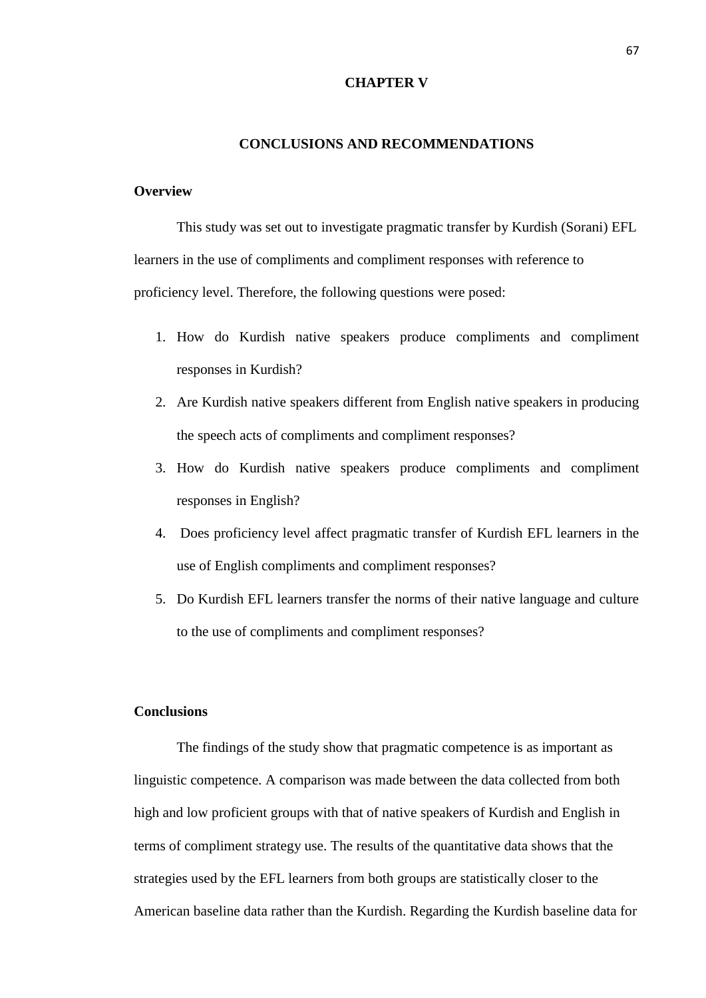#### **CHAPTER V**

#### **CONCLUSIONS AND RECOMMENDATIONS**

# **Overview**

This study was set out to investigate pragmatic transfer by Kurdish (Sorani) EFL learners in the use of compliments and compliment responses with reference to proficiency level. Therefore, the following questions were posed:

- 1. How do Kurdish native speakers produce compliments and compliment responses in Kurdish?
- 2. Are Kurdish native speakers different from English native speakers in producing the speech acts of compliments and compliment responses?
- 3. How do Kurdish native speakers produce compliments and compliment responses in English?
- 4. Does proficiency level affect pragmatic transfer of Kurdish EFL learners in the use of English compliments and compliment responses?
- 5. Do Kurdish EFL learners transfer the norms of their native language and culture to the use of compliments and compliment responses?

# **Conclusions**

The findings of the study show that pragmatic competence is as important as linguistic competence. A comparison was made between the data collected from both high and low proficient groups with that of native speakers of Kurdish and English in terms of compliment strategy use. The results of the quantitative data shows that the strategies used by the EFL learners from both groups are statistically closer to the American baseline data rather than the Kurdish. Regarding the Kurdish baseline data for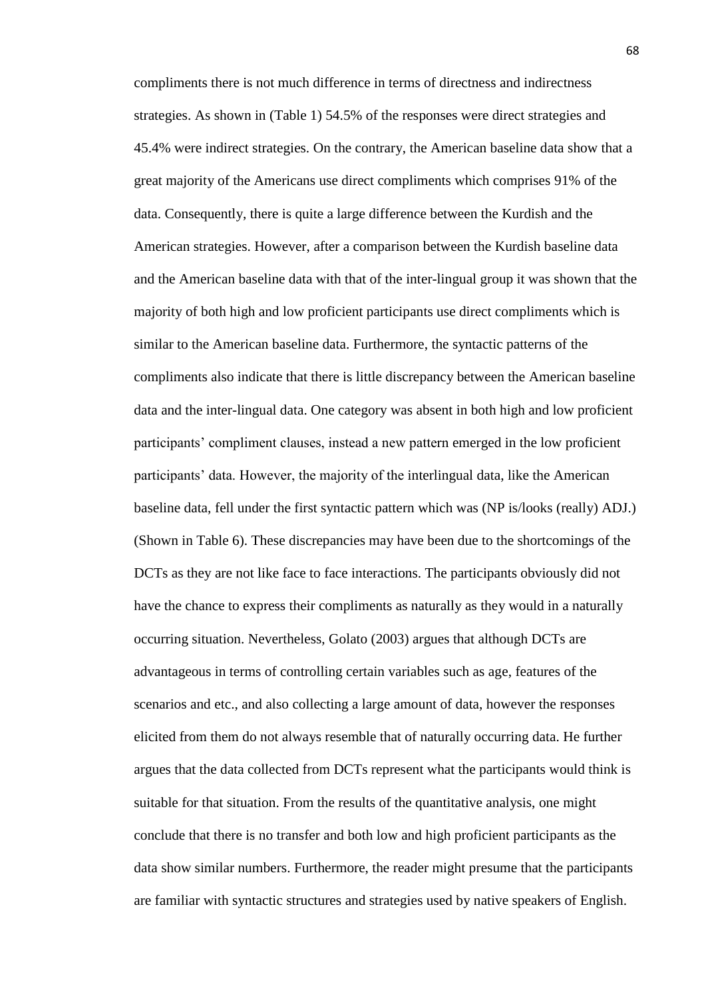compliments there is not much difference in terms of directness and indirectness strategies. As shown in (Table 1) 54.5% of the responses were direct strategies and 45.4% were indirect strategies. On the contrary, the American baseline data show that a great majority of the Americans use direct compliments which comprises 91% of the data. Consequently, there is quite a large difference between the Kurdish and the American strategies. However, after a comparison between the Kurdish baseline data and the American baseline data with that of the inter-lingual group it was shown that the majority of both high and low proficient participants use direct compliments which is similar to the American baseline data. Furthermore, the syntactic patterns of the compliments also indicate that there is little discrepancy between the American baseline data and the inter-lingual data. One category was absent in both high and low proficient participants' compliment clauses, instead a new pattern emerged in the low proficient participants' data. However, the majority of the interlingual data, like the American baseline data, fell under the first syntactic pattern which was (NP is/looks (really) ADJ.) (Shown in Table 6). These discrepancies may have been due to the shortcomings of the DCTs as they are not like face to face interactions. The participants obviously did not have the chance to express their compliments as naturally as they would in a naturally occurring situation. Nevertheless, Golato (2003) argues that although DCTs are advantageous in terms of controlling certain variables such as age, features of the scenarios and etc., and also collecting a large amount of data, however the responses elicited from them do not always resemble that of naturally occurring data. He further argues that the data collected from DCTs represent what the participants would think is suitable for that situation. From the results of the quantitative analysis, one might conclude that there is no transfer and both low and high proficient participants as the data show similar numbers. Furthermore, the reader might presume that the participants are familiar with syntactic structures and strategies used by native speakers of English.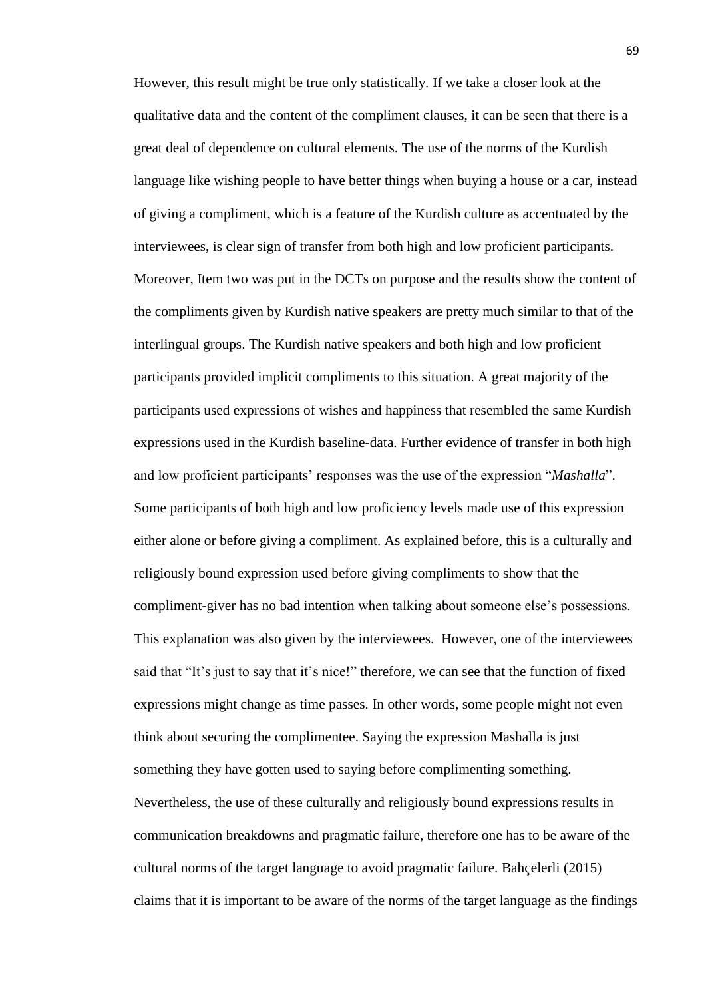However, this result might be true only statistically. If we take a closer look at the qualitative data and the content of the compliment clauses, it can be seen that there is a great deal of dependence on cultural elements. The use of the norms of the Kurdish language like wishing people to have better things when buying a house or a car, instead of giving a compliment, which is a feature of the Kurdish culture as accentuated by the interviewees, is clear sign of transfer from both high and low proficient participants. Moreover, Item two was put in the DCTs on purpose and the results show the content of the compliments given by Kurdish native speakers are pretty much similar to that of the interlingual groups. The Kurdish native speakers and both high and low proficient participants provided implicit compliments to this situation. A great majority of the participants used expressions of wishes and happiness that resembled the same Kurdish expressions used in the Kurdish baseline-data. Further evidence of transfer in both high and low proficient participants' responses was the use of the expression "*Mashalla*". Some participants of both high and low proficiency levels made use of this expression either alone or before giving a compliment. As explained before, this is a culturally and religiously bound expression used before giving compliments to show that the compliment-giver has no bad intention when talking about someone else's possessions. This explanation was also given by the interviewees. However, one of the interviewees said that "It's just to say that it's nice!" therefore, we can see that the function of fixed expressions might change as time passes. In other words, some people might not even think about securing the complimentee. Saying the expression Mashalla is just something they have gotten used to saying before complimenting something. Nevertheless, the use of these culturally and religiously bound expressions results in communication breakdowns and pragmatic failure, therefore one has to be aware of the cultural norms of the target language to avoid pragmatic failure. Bahçelerli (2015) claims that it is important to be aware of the norms of the target language as the findings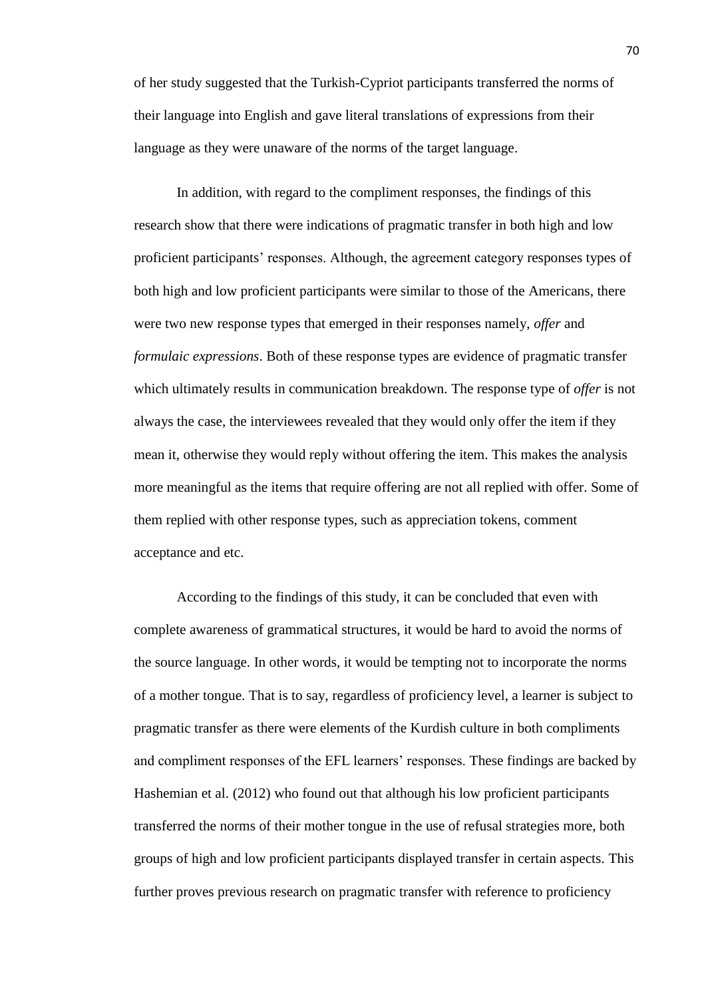of her study suggested that the Turkish-Cypriot participants transferred the norms of their language into English and gave literal translations of expressions from their language as they were unaware of the norms of the target language.

In addition, with regard to the compliment responses, the findings of this research show that there were indications of pragmatic transfer in both high and low proficient participants' responses. Although, the agreement category responses types of both high and low proficient participants were similar to those of the Americans, there were two new response types that emerged in their responses namely, *offer* and *formulaic expressions*. Both of these response types are evidence of pragmatic transfer which ultimately results in communication breakdown. The response type of *offer* is not always the case, the interviewees revealed that they would only offer the item if they mean it, otherwise they would reply without offering the item. This makes the analysis more meaningful as the items that require offering are not all replied with offer. Some of them replied with other response types, such as appreciation tokens, comment acceptance and etc.

According to the findings of this study, it can be concluded that even with complete awareness of grammatical structures, it would be hard to avoid the norms of the source language. In other words, it would be tempting not to incorporate the norms of a mother tongue. That is to say, regardless of proficiency level, a learner is subject to pragmatic transfer as there were elements of the Kurdish culture in both compliments and compliment responses of the EFL learners' responses. These findings are backed by Hashemian et al. (2012) who found out that although his low proficient participants transferred the norms of their mother tongue in the use of refusal strategies more, both groups of high and low proficient participants displayed transfer in certain aspects. This further proves previous research on pragmatic transfer with reference to proficiency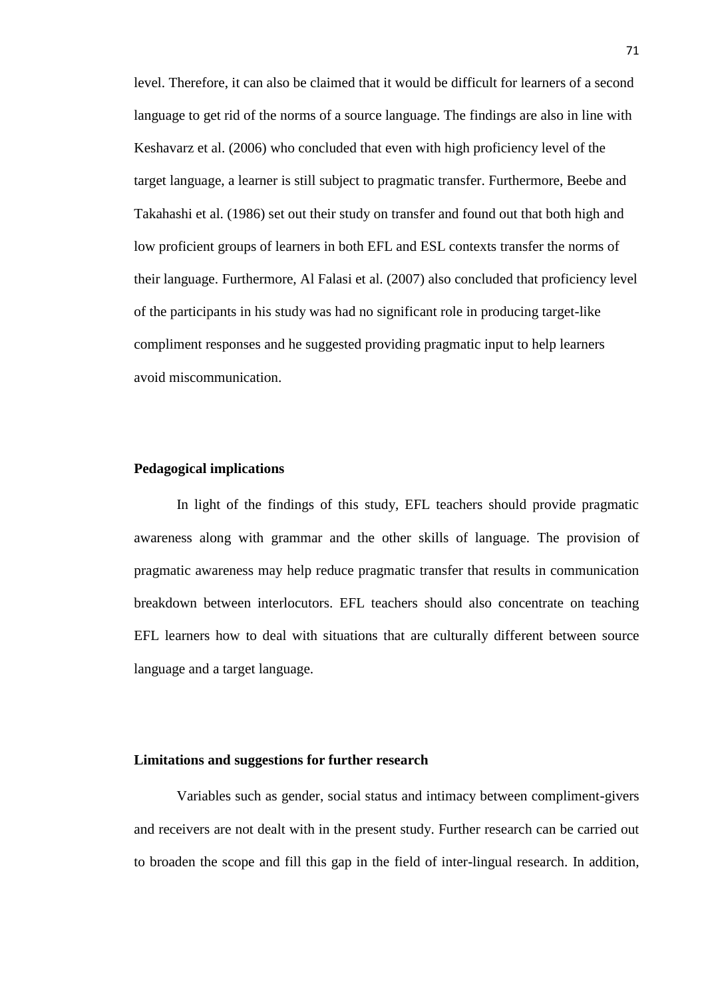level. Therefore, it can also be claimed that it would be difficult for learners of a second language to get rid of the norms of a source language. The findings are also in line with Keshavarz et al. (2006) who concluded that even with high proficiency level of the target language, a learner is still subject to pragmatic transfer. Furthermore, Beebe and Takahashi et al. (1986) set out their study on transfer and found out that both high and low proficient groups of learners in both EFL and ESL contexts transfer the norms of their language. Furthermore, Al Falasi et al. (2007) also concluded that proficiency level of the participants in his study was had no significant role in producing target-like compliment responses and he suggested providing pragmatic input to help learners avoid miscommunication.

#### **Pedagogical implications**

In light of the findings of this study, EFL teachers should provide pragmatic awareness along with grammar and the other skills of language. The provision of pragmatic awareness may help reduce pragmatic transfer that results in communication breakdown between interlocutors. EFL teachers should also concentrate on teaching EFL learners how to deal with situations that are culturally different between source language and a target language.

# **Limitations and suggestions for further research**

Variables such as gender, social status and intimacy between compliment-givers and receivers are not dealt with in the present study. Further research can be carried out to broaden the scope and fill this gap in the field of inter-lingual research. In addition,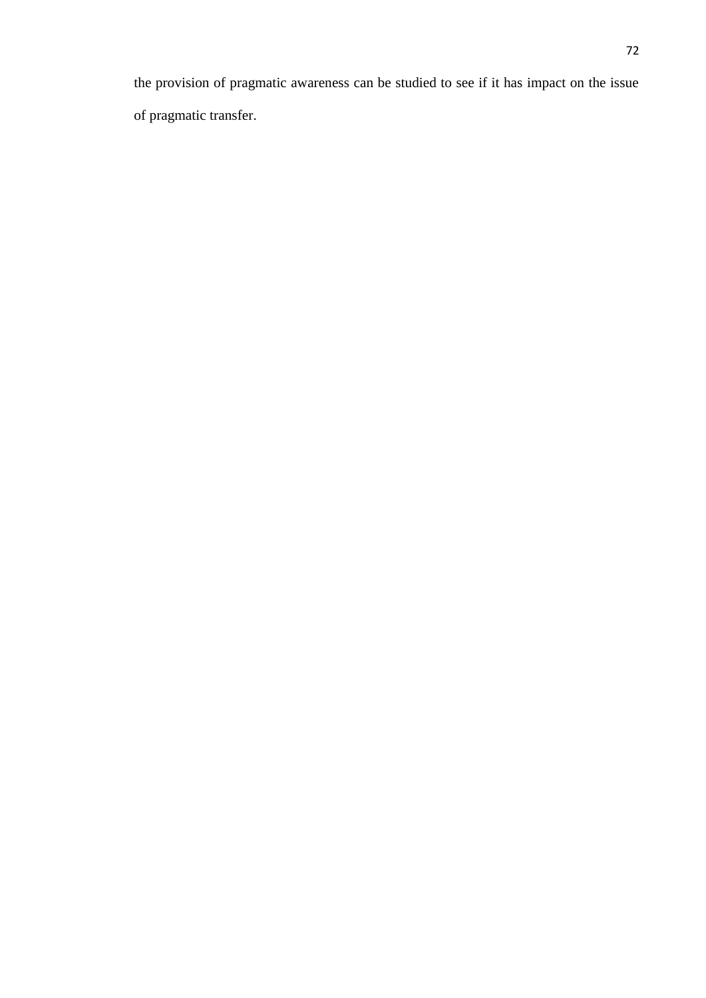the provision of pragmatic awareness can be studied to see if it has impact on the issue of pragmatic transfer.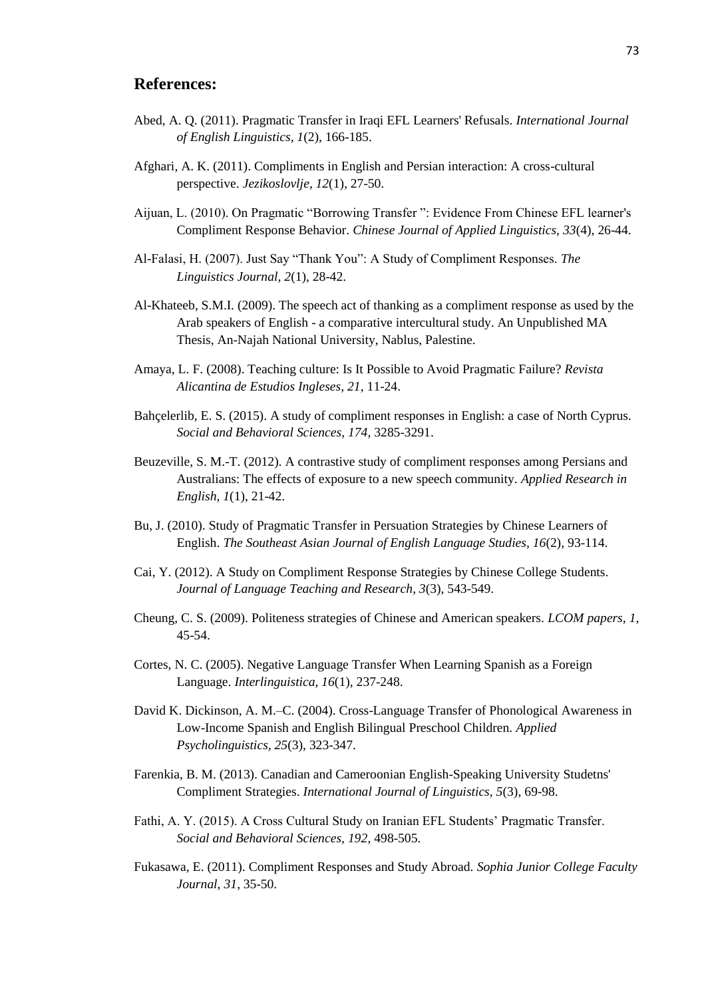# **References:**

- Abed, A. Q. (2011). Pragmatic Transfer in Iraqi EFL Learners' Refusals. *International Journal of English Linguistics, 1*(2), 166-185.
- Afghari, A. K. (2011). Compliments in English and Persian interaction: A cross-cultural perspective. *Jezikoslovlje, 12*(1), 27-50.
- Aijuan, L. (2010). On Pragmatic "Borrowing Transfer ": Evidence From Chinese EFL learner's Compliment Response Behavior. *Chinese Journal of Applied Linguistics, 33*(4), 26-44.
- Al-Falasi, H. (2007). Just Say "Thank You": A Study of Compliment Responses. *The Linguistics Journal, 2*(1), 28-42.
- Al-Khateeb, S.M.I. (2009). The speech act of thanking as a compliment response as used by the Arab speakers of English - a comparative intercultural study. An Unpublished MA Thesis, An-Najah National University, Nablus, Palestine.
- Amaya, L. F. (2008). Teaching culture: Is It Possible to Avoid Pragmatic Failure? *Revista Alicantina de Estudios Ingleses, 21*, 11-24.
- Bahçelerlib, E. S. (2015). A study of compliment responses in English: a case of North Cyprus. *Social and Behavioral Sciences, 174*, 3285-3291.
- Beuzeville, S. M.-T. (2012). A contrastive study of compliment responses among Persians and Australians: The effects of exposure to a new speech community. *Applied Research in English, 1*(1), 21-42.
- Bu, J. (2010). Study of Pragmatic Transfer in Persuation Strategies by Chinese Learners of English. *The Southeast Asian Journal of English Language Studies, 16*(2), 93-114.
- Cai, Y. (2012). A Study on Compliment Response Strategies by Chinese College Students. *Journal of Language Teaching and Research, 3*(3), 543-549.
- Cheung, C. S. (2009). Politeness strategies of Chinese and American speakers. *LCOM papers, 1*, 45-54.
- Cortes, N. C. (2005). Negative Language Transfer When Learning Spanish as a Foreign Language. *Interlinguistica, 16*(1), 237-248.
- David K. Dickinson, A. M.–C. (2004). Cross-Language Transfer of Phonological Awareness in Low-Income Spanish and English Bilingual Preschool Children. *Applied Psycholinguistics, 25*(3), 323-347.
- Farenkia, B. M. (2013). Canadian and Cameroonian English-Speaking University Studetns' Compliment Strategies. *International Journal of Linguistics, 5*(3), 69-98.
- Fathi, A. Y. (2015). A Cross Cultural Study on Iranian EFL Students' Pragmatic Transfer. *Social and Behavioral Sciences, 192*, 498-505.
- Fukasawa, E. (2011). Compliment Responses and Study Abroad. *Sophia Junior College Faculty Journal, 31*, 35-50.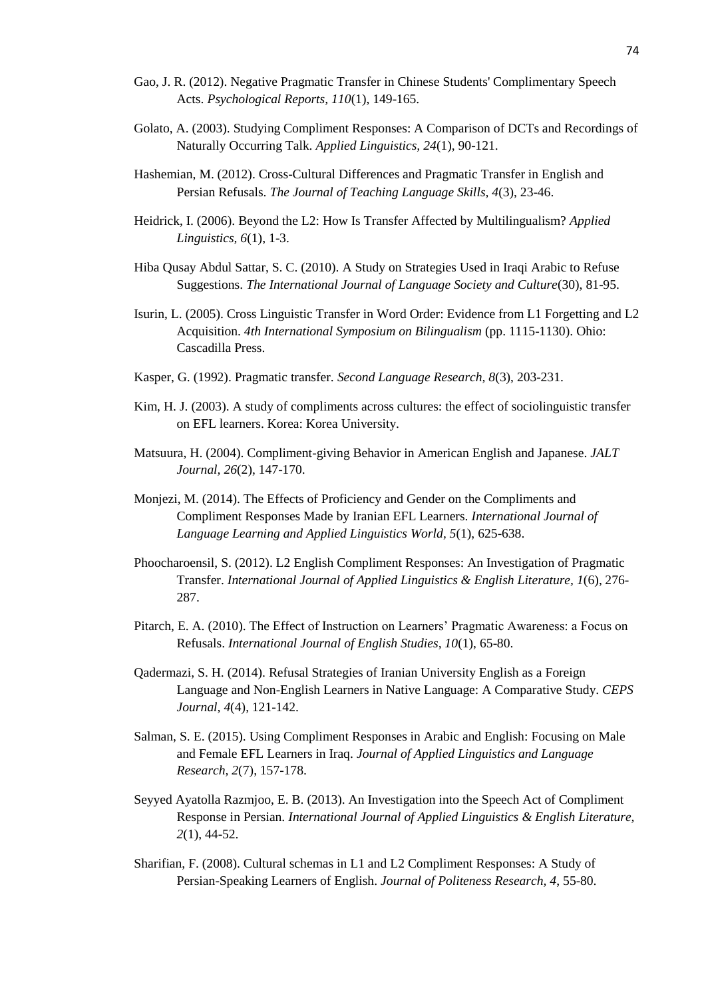- Gao, J. R. (2012). Negative Pragmatic Transfer in Chinese Students' Complimentary Speech Acts. *Psychological Reports, 110*(1), 149-165.
- Golato, A. (2003). Studying Compliment Responses: A Comparison of DCTs and Recordings of Naturally Occurring Talk. *Applied Linguistics, 24*(1), 90-121.
- Hashemian, M. (2012). Cross-Cultural Differences and Pragmatic Transfer in English and Persian Refusals. *The Journal of Teaching Language Skills, 4*(3), 23-46.
- Heidrick, I. (2006). Beyond the L2: How Is Transfer Affected by Multilingualism? *Applied Linguistics, 6*(1), 1-3.
- Hiba Qusay Abdul Sattar, S. C. (2010). A Study on Strategies Used in Iraqi Arabic to Refuse Suggestions. *The International Journal of Language Society and Culture*(30), 81-95.
- Isurin, L. (2005). Cross Linguistic Transfer in Word Order: Evidence from L1 Forgetting and L2 Acquisition. *4th International Symposium on Bilingualism* (pp. 1115-1130). Ohio: Cascadilla Press.
- Kasper, G. (1992). Pragmatic transfer. *Second Language Research, 8*(3), 203-231.
- Kim, H. J. (2003). A study of compliments across cultures: the effect of sociolinguistic transfer on EFL learners. Korea: Korea University.
- Matsuura, H. (2004). Compliment-giving Behavior in American English and Japanese. *JALT Journal, 26*(2), 147-170.
- Monjezi, M. (2014). The Effects of Proficiency and Gender on the Compliments and Compliment Responses Made by Iranian EFL Learners. *International Journal of Language Learning and Applied Linguistics World, 5*(1), 625-638.
- Phoocharoensil, S. (2012). L2 English Compliment Responses: An Investigation of Pragmatic Transfer. *International Journal of Applied Linguistics & English Literature, 1*(6), 276- 287.
- Pitarch, E. A. (2010). The Effect of Instruction on Learners' Pragmatic Awareness: a Focus on Refusals. *International Journal of English Studies, 10*(1), 65-80.
- Qadermazi, S. H. (2014). Refusal Strategies of Iranian University English as a Foreign Language and Non-English Learners in Native Language: A Comparative Study. *CEPS Journal, 4*(4), 121-142.
- Salman, S. E. (2015). Using Compliment Responses in Arabic and English: Focusing on Male and Female EFL Learners in Iraq. *Journal of Applied Linguistics and Language Research, 2*(7), 157-178.
- Seyyed Ayatolla Razmjoo, E. B. (2013). An Investigation into the Speech Act of Compliment Response in Persian. *International Journal of Applied Linguistics & English Literature, 2*(1), 44-52.
- Sharifian, F. (2008). Cultural schemas in L1 and L2 Compliment Responses: A Study of Persian-Speaking Learners of English. *Journal of Politeness Research, 4*, 55-80.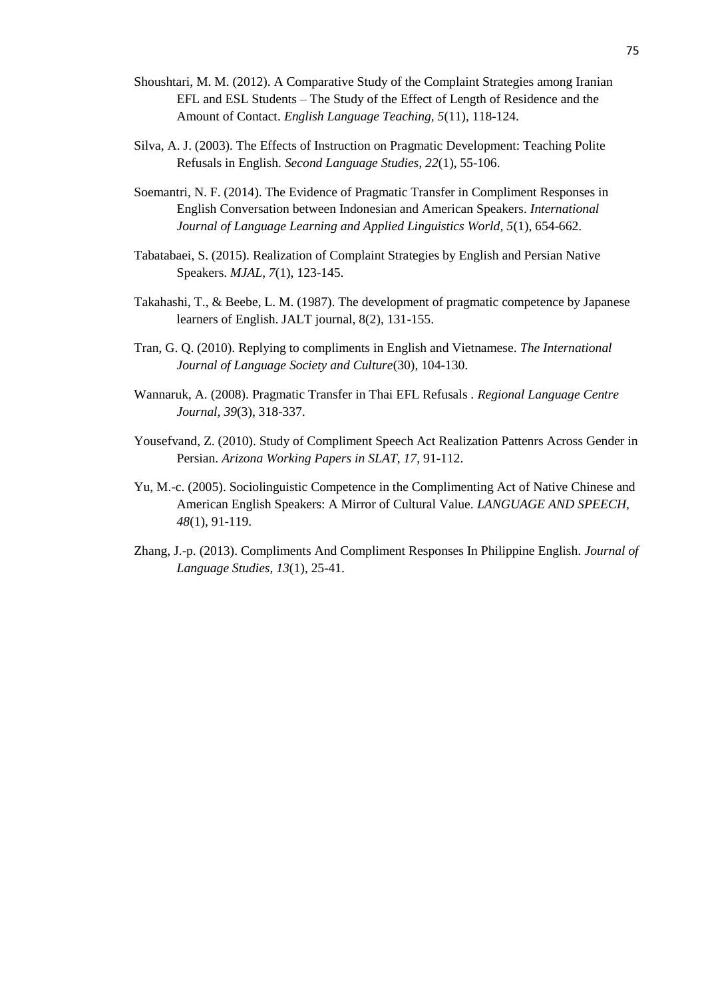- Shoushtari, M. M. (2012). A Comparative Study of the Complaint Strategies among Iranian EFL and ESL Students – The Study of the Effect of Length of Residence and the Amount of Contact. *English Language Teaching, 5*(11), 118-124.
- Silva, A. J. (2003). The Effects of Instruction on Pragmatic Development: Teaching Polite Refusals in English. *Second Language Studies, 22*(1), 55-106.
- Soemantri, N. F. (2014). The Evidence of Pragmatic Transfer in Compliment Responses in English Conversation between Indonesian and American Speakers. *International Journal of Language Learning and Applied Linguistics World, 5*(1), 654-662.
- Tabatabaei, S. (2015). Realization of Complaint Strategies by English and Persian Native Speakers. *MJAL, 7*(1), 123-145.
- Takahashi, T., & Beebe, L. M. (1987). The development of pragmatic competence by Japanese learners of English. JALT journal, 8(2), 131-155.
- Tran, G. Q. (2010). Replying to compliments in English and Vietnamese. *The International Journal of Language Society and Culture*(30), 104-130.
- Wannaruk, A. (2008). Pragmatic Transfer in Thai EFL Refusals . *Regional Language Centre Journal, 39*(3), 318-337.
- Yousefvand, Z. (2010). Study of Compliment Speech Act Realization Pattenrs Across Gender in Persian. *Arizona Working Papers in SLAT, 17*, 91-112.
- Yu, M.-c. (2005). Sociolinguistic Competence in the Complimenting Act of Native Chinese and American English Speakers: A Mirror of Cultural Value. *LANGUAGE AND SPEECH, 48*(1), 91-119.
- Zhang, J.-p. (2013). Compliments And Compliment Responses In Philippine English. *Journal of Language Studies, 13*(1), 25-41.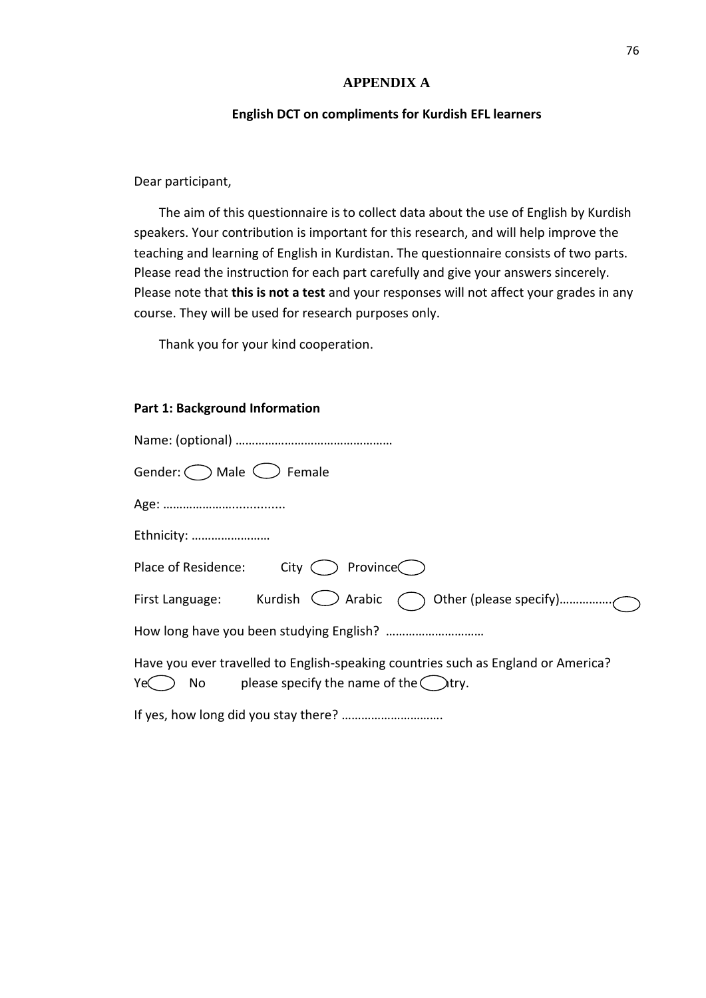### **APPENDIX A**

### **English DCT on compliments for Kurdish EFL learners**

### Dear participant,

The aim of this questionnaire is to collect data about the use of English by Kurdish speakers. Your contribution is important for this research, and will help improve the teaching and learning of English in Kurdistan. The questionnaire consists of two parts. Please read the instruction for each part carefully and give your answers sincerely. Please note that **this is not a test** and your responses will not affect your grades in any course. They will be used for research purposes only.

Thank you for your kind cooperation.

### **Part 1: Background Information**

| Gender: $\bigcirc$ Male $\bigcirc$ Female                                                                                                      |
|------------------------------------------------------------------------------------------------------------------------------------------------|
|                                                                                                                                                |
| Ethnicity:                                                                                                                                     |
| Place of Residence: City $\bigcirc$ Province                                                                                                   |
|                                                                                                                                                |
|                                                                                                                                                |
| Have you ever travelled to English-speaking countries such as England or America?<br>$Ye \cap$ No please specify the name of the $\wedge$ try. |
|                                                                                                                                                |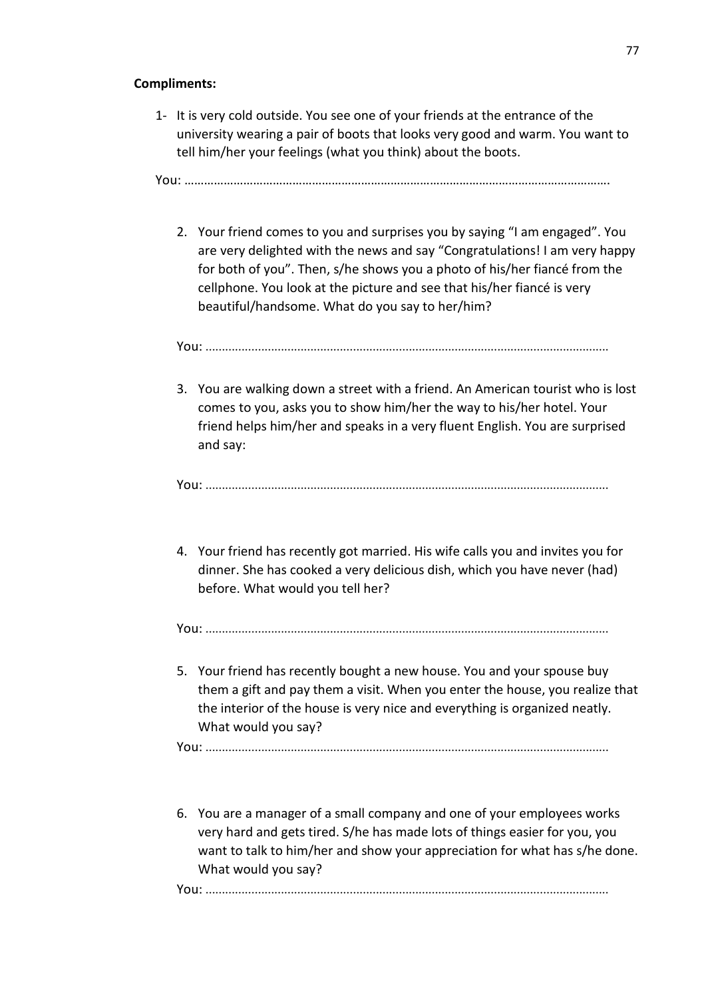# **Compliments:**

1- It is very cold outside. You see one of your friends at the entrance of the university wearing a pair of boots that looks very good and warm. You want to tell him/her your feelings (what you think) about the boots.

You: ………………………………………………………………………………………………………………….

2. Your friend comes to you and surprises you by saying "I am engaged". You are very delighted with the news and say "Congratulations! I am very happy for both of you". Then, s/he shows you a photo of his/her fiancé from the cellphone. You look at the picture and see that his/her fiancé is very beautiful/handsome. What do you say to her/him?

You: ...........................................................................................................................

3. You are walking down a street with a friend. An American tourist who is lost comes to you, asks you to show him/her the way to his/her hotel. Your friend helps him/her and speaks in a very fluent English. You are surprised and say:

You: ...........................................................................................................................

4. Your friend has recently got married. His wife calls you and invites you for dinner. She has cooked a very delicious dish, which you have never (had) before. What would you tell her?

You: ...........................................................................................................................

5. Your friend has recently bought a new house. You and your spouse buy them a gift and pay them a visit. When you enter the house, you realize that the interior of the house is very nice and everything is organized neatly. What would you say?

You: ...........................................................................................................................

6. You are a manager of a small company and one of your employees works very hard and gets tired. S/he has made lots of things easier for you, you want to talk to him/her and show your appreciation for what has s/he done. What would you say?

You: ...........................................................................................................................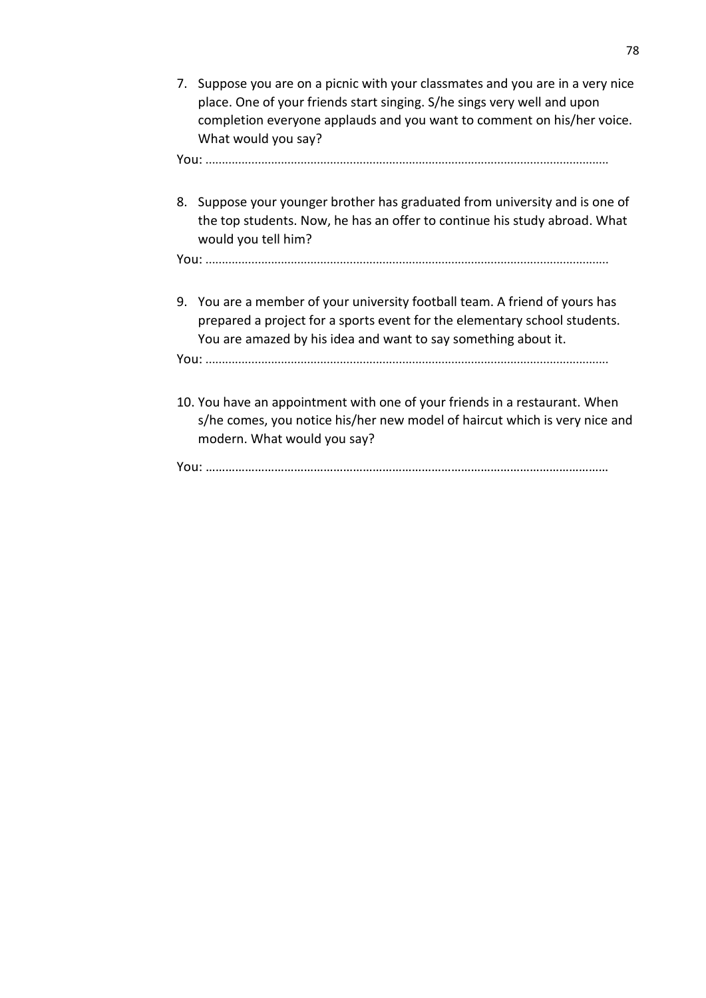7. Suppose you are on a picnic with your classmates and you are in a very nice place. One of your friends start singing. S/he sings very well and upon completion everyone applauds and you want to comment on his/her voice. What would you say?

You: ...........................................................................................................................

8. Suppose your younger brother has graduated from university and is one of the top students. Now, he has an offer to continue his study abroad. What would you tell him?

You: ...........................................................................................................................

9. You are a member of your university football team. A friend of yours has prepared a project for a sports event for the elementary school students. You are amazed by his idea and want to say something about it.

You: ...........................................................................................................................

10. You have an appointment with one of your friends in a restaurant. When s/he comes, you notice his/her new model of haircut which is very nice and modern. What would you say?

You: ……………………………………………………………………………………………………………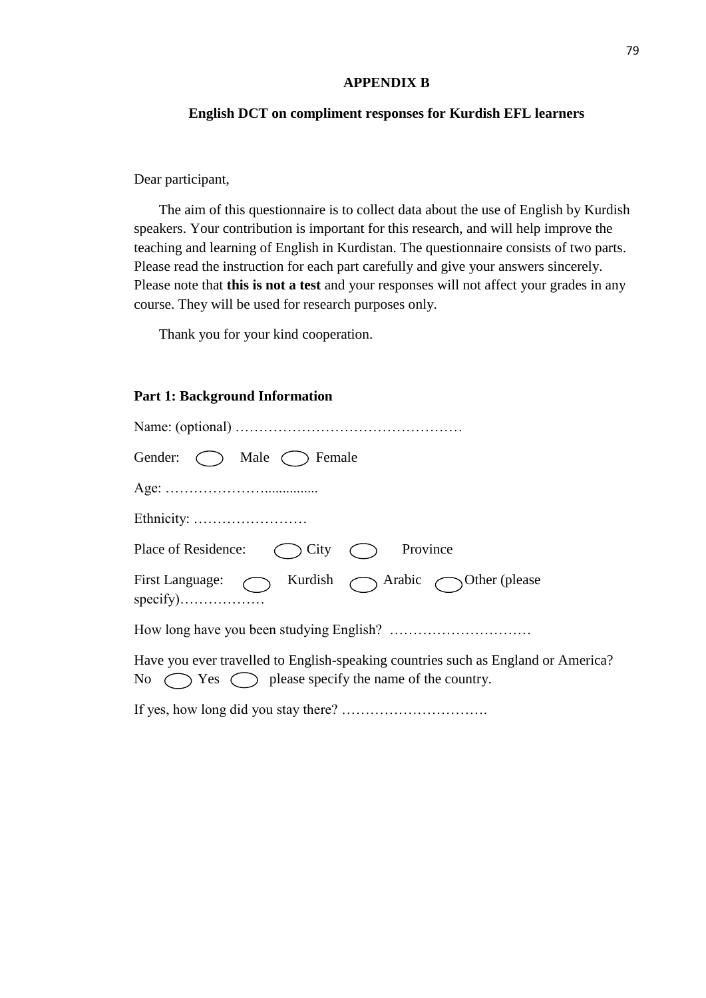#### **APPENDIX B**

# **English DCT on compliment responses for Kurdish EFL learners**

Dear participant,

The aim of this questionnaire is to collect data about the use of English by Kurdish speakers. Your contribution is important for this research, and will help improve the teaching and learning of English in Kurdistan. The questionnaire consists of two parts. Please read the instruction for each part carefully and give your answers sincerely. Please note that **this is not a test** and your responses will not affect your grades in any course. They will be used for research purposes only.

Thank you for your kind cooperation.

### **Part 1: Background Information**

| Gender: $\bigcap$ Male $\bigcap$ Female                                                                                                                   |
|-----------------------------------------------------------------------------------------------------------------------------------------------------------|
|                                                                                                                                                           |
|                                                                                                                                                           |
| Province<br>Place of Residence:<br>$\bigcirc$ City                                                                                                        |
| First Language: Nurdish Arabic Other (please                                                                                                              |
|                                                                                                                                                           |
| Have you ever travelled to English-speaking countries such as England or America?<br>No $\bigcirc$ Yes $\bigcirc$ please specify the name of the country. |
|                                                                                                                                                           |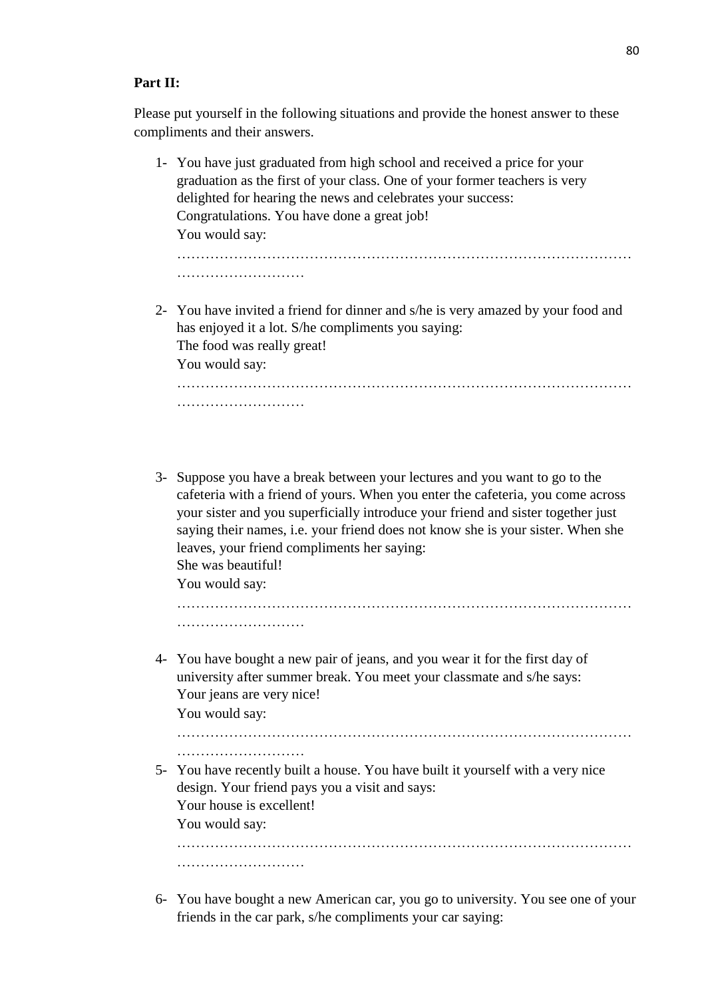### **Part II:**

Please put yourself in the following situations and provide the honest answer to these compliments and their answers.

- 1- You have just graduated from high school and received a price for your graduation as the first of your class. One of your former teachers is very delighted for hearing the news and celebrates your success: Congratulations. You have done a great job! You would say: …………………………………………………………………………………… ………………………
- 2- You have invited a friend for dinner and s/he is very amazed by your food and has enjoyed it a lot. S/he compliments you saying: The food was really great! You would say:

…………………………………………………………………………………… ………………………

3- Suppose you have a break between your lectures and you want to go to the cafeteria with a friend of yours. When you enter the cafeteria, you come across your sister and you superficially introduce your friend and sister together just saying their names, i.e. your friend does not know she is your sister. When she leaves, your friend compliments her saying: She was beautiful!

You would say:

…………………………………………………………………………………… ………………………

4- You have bought a new pair of jeans, and you wear it for the first day of university after summer break. You meet your classmate and s/he says: Your jeans are very nice!

You would say:

………………………

5- You have recently built a house. You have built it yourself with a very nice design. Your friend pays you a visit and says: Your house is excellent!

You would say:

…………………………………………………………………………………… ………………………

……………………………………………………………………………………

6- You have bought a new American car, you go to university. You see one of your friends in the car park, s/he compliments your car saying: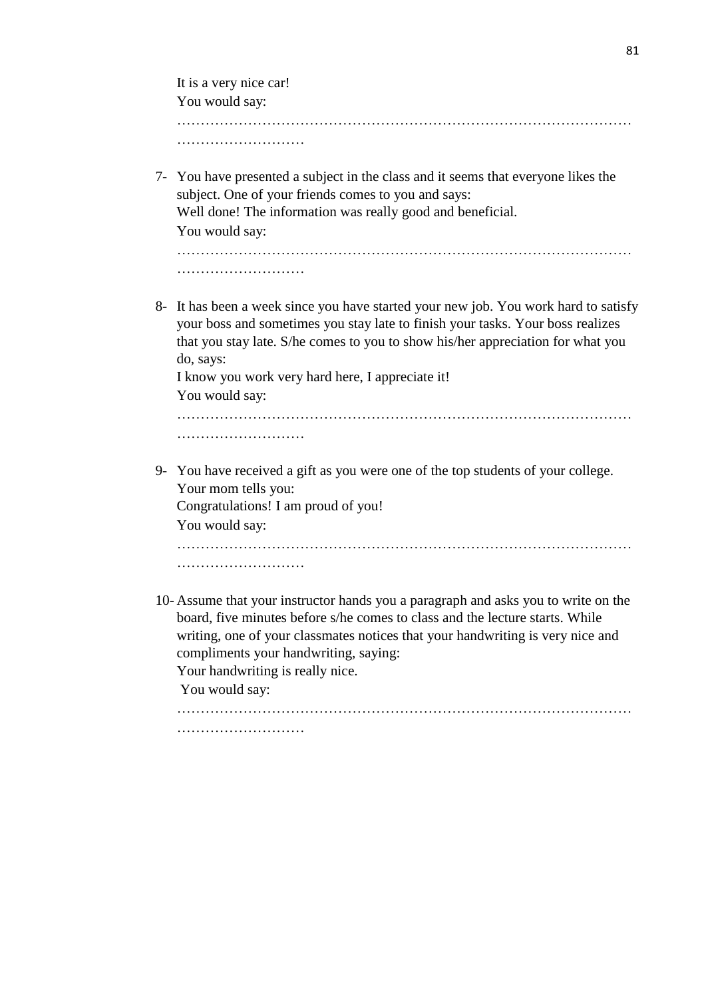| It is a very nice car!                                                                                                                                                                                                                                                                                                                      |
|---------------------------------------------------------------------------------------------------------------------------------------------------------------------------------------------------------------------------------------------------------------------------------------------------------------------------------------------|
| You would say:                                                                                                                                                                                                                                                                                                                              |
|                                                                                                                                                                                                                                                                                                                                             |
|                                                                                                                                                                                                                                                                                                                                             |
| 7- You have presented a subject in the class and it seems that everyone likes the<br>subject. One of your friends comes to you and says:<br>Well done! The information was really good and beneficial.<br>You would say:                                                                                                                    |
|                                                                                                                                                                                                                                                                                                                                             |
|                                                                                                                                                                                                                                                                                                                                             |
| 8- It has been a week since you have started your new job. You work hard to satisfy<br>your boss and sometimes you stay late to finish your tasks. Your boss realizes<br>that you stay late. S/he comes to you to show his/her appreciation for what you<br>do, says:<br>I know you work very hard here, I appreciate it!<br>You would say: |
|                                                                                                                                                                                                                                                                                                                                             |
|                                                                                                                                                                                                                                                                                                                                             |
| 9- You have received a gift as you were one of the top students of your college.<br>Your mom tells you:<br>Congratulations! I am proud of you!<br>You would say:                                                                                                                                                                            |
|                                                                                                                                                                                                                                                                                                                                             |
|                                                                                                                                                                                                                                                                                                                                             |
| 10- Assume that your instructor hands you a paragraph and asks you to write on the<br>board, five minutes before s/he comes to class and the lecture starts. While<br>writing, one of your classmates notices that your handwriting is very nice and<br>compliments your handwriting, saying:                                               |

Your handwriting is really nice.

You would say:

……………………………………………………………………………………

………………………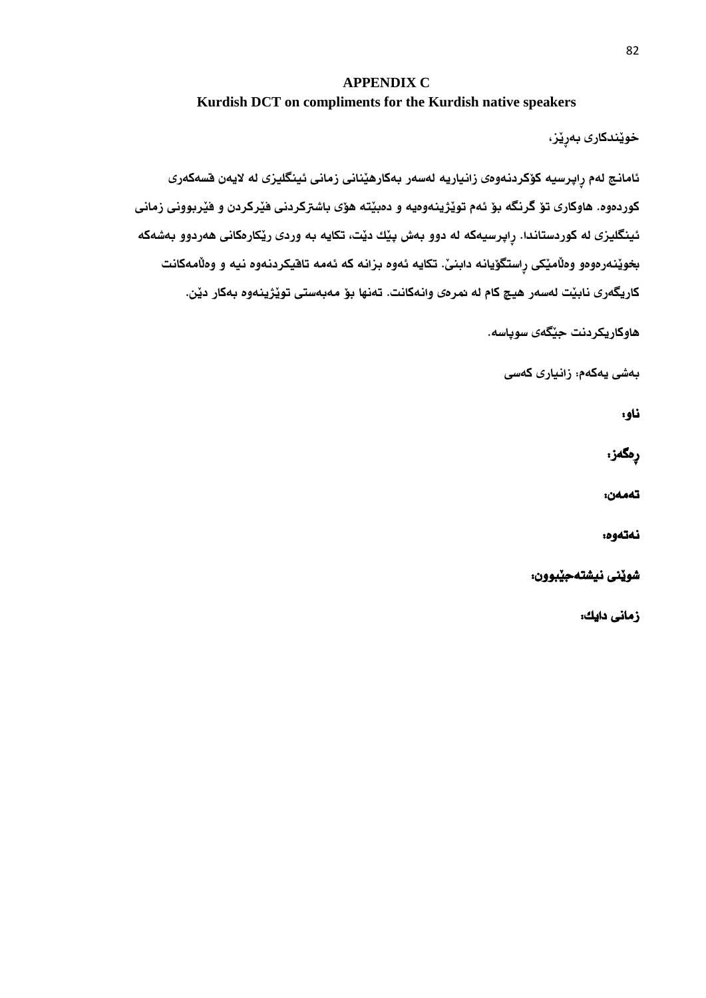# **APPENDIX C Kurdish DCT on compliments for the Kurdish native speakers**

خويِّندكارى بەرِيْز،

ئامانج لهم رِاپرسيه كۆكردنهوەى زانياريه لەسەر بەكارهيّنانى زمانى ئينگليزى له لايەن قسەكەرى كوردهوه. هاوكارى تؤ گرنگه بؤ ئهم تويّژينهوهيه و دهبيّته هؤى باشتركردنى فيَركردن و فيَربوونى زمانى ئينگليزى له كوردستاندا. رِاپرسيهكه له دوو بهش پێك دێت، تكايه به وردى رێكارهكانى هەردوو بەشەكه بخويَنهرمومو وملَاميَكى رِاستگوَيانه دابنىّ. تكايه ئهوه بزانه كه ئهمه تاقيكردنهوه نيه و وملَامهكانت كاريگەرى نابيّت لەسەر هيچ كام له نمرەى وانەكانت. تەنها بۆ مەبەستى تويّژينەوە بەكار ديّن.

هاوكاريكردنت جيَطةى سوثاسة.

بةشى يةكةم: زانيارى كةسى

ناو:

رِةطةز:

تةمةن:

نەتەوە:

شويَنى نيشتةجيَبوون:

زمانى دايك: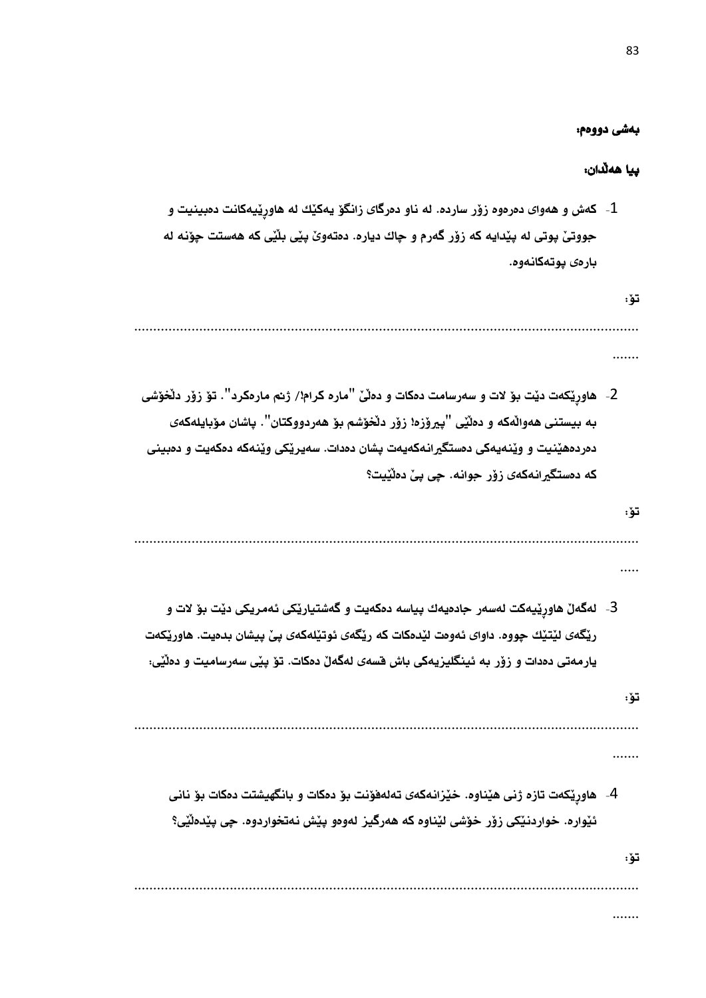### بةشى دووةم:

83

# ثيا هةلَدان:

1- كهش و ههواى دمرموه زۆر سارده. له ناو دمرگاى زانگۆ يەكيْك له هاورِيْيهكانت دمبينيت و جووتىَ پوتى له پيْدايه كه زوْر گەرم و چاك دياره. دەتەوىَ پيْى بلَيْى كه هەستت چوّنه له بارەي يوتەكانەوە.

تؤ:

....................................................................................................................................

- .......
- 2- هاورێكەت دێت بۆ لات و سەرسامت دەكات و دەڵێ "مارە كرام!/ ژنم مارەكرد". تۆ زۆر دلَخۆشى بة بيستنى هةوالَةكة و دةلَيَى "ثريؤزة! زؤر دلَخؤشم بؤ هةردووكتان". ثاشان مؤبايلةكةى دهر دههَنيت و ويَنهيهكي دهستگيرانهكهيهت يشان دهدات. سهيريِّكي ويَنهكه دهكهيت و دهبيني كه دهستگيرانهكهى زؤر جوانه. حيى بيِّ دهلَيْيت؟
	- تؤ:

....................................................................................................................................

- .....
- 3- لەگەلْ هاورێيەكت لەسەر جادەيەك پياسە دەكەيت و گەشتياريْكى ئەمريكى ديْت بۆ لات و ريْكَهى ليَتيَك جووه. داواى ئەوەت ليَدەكات كه ريّكَهى ئوتيّلهكهى بِيِّ بِيشان بدەيت. هاوريّكەت يارمەتى دەدات و زۆر به ئينگليزيەكى باش قسەى لەگەلّ دەكات. تۆ بيّى سەرساميت و دەلَيّى:
- تؤ:

.......

-4 هاورِيَكةت تازة ذنى هيَناوة. خيَزانةكةى تةلةفؤنت بؤ دةكات و بانطهيشتت دةكات بؤ نانى ئيْواره. خواردنيَكي زوْر خوْشي ليْناوه كه هەرگيز لەوەو بِيْش نەتخواردوه. جِي بِيْدەلَيْي؟

....................................................................................................................................

تؤ:

....................................................................................................................................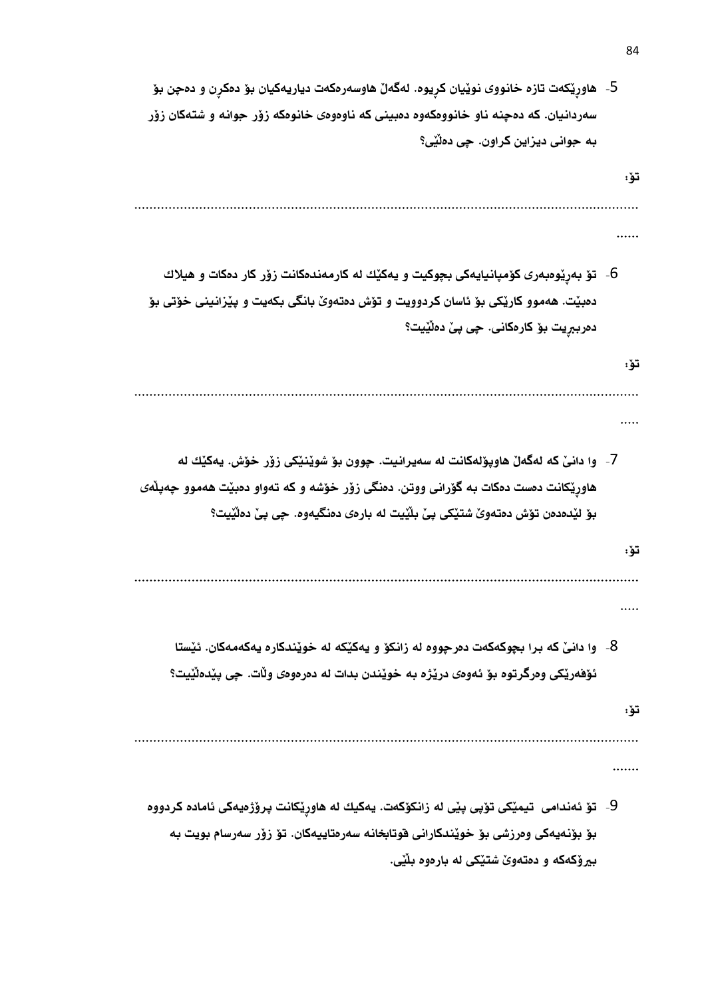- 5- هاورِيَكهت تازه خانووى نويّيان كرِيوه. لهگهلّ هاوسهرمكهت دياريهكيان بؤ دهكرِن و دهچِن بؤ سهردانيان. كه دهچنه ناو خانووهكهوه دهبينى كه ناوهوهى خانوهكه زؤر جوانه و شتهكان زؤر بة جوانى ديزاين كراون. ضى دةلَيَى؟
- تؤ: .................................................................................................................................... ...... 6- توّ بهرِيَومبهرى كوّمپانيايهكى بچوكيت و يهكيّك له كارمهندهكانت زوّر كار دمكات و هيلاك دهبيّت. ههموو كاريَكى بوْ ئاسان كردوويت و توْش دهتهوىٰ بانگى بكهيت و پيْزانينى خوْتى بوْ دەرببريت بو٘ كارەكانى. چى پيّ دەلَيْيت؟ تؤ: .................................................................................................................................... ..... -7 وا دانىَ كة لةطةلَ هاوثؤلةكانت لة سةيرانيت. ضوون بؤ شويَنيَكى زؤر خؤش. يةكيَك لة هاورِيَكانت دهست دمكات به گورانى ووتن. دهنگى زوّر خوّشه و كه تهواو دهبيّت ههموو جهيلَهى بؤ ليُدهدهن تؤش دهتهوىَ شتيِّكى بِيِّ بلَيْيت له بارهى دهنگيهوه. جِي بِيِّ دهلَيْيت؟ تؤ: .................................................................................................................................... ..... 8- وا دانـيّ كه برا بجوكهكهت دهرجووه له زانكوّ و يهكيّكه له خويّندكاره يهكهمهكان. ئيّستا ئؤفهريّكى وهرگرتوه بؤ ئهوهى دريَرْه به خويَندن بدات له دهرهوهى ولَات. حِي بِيَدهلَيْيت؟ تؤ: ....................................................................................................................................
	- 9- تۆ ئەندامى تيميّكى تۆپى پيّى له زانكۆكەت. يەكيك له هاوريّكانت پرۆژەيەكى ئامادە كردووە بؤ بؤنهيهكى وەرزشى بؤ خويّندكارانى قوتابخانه سەرەتاييەكان. تۆ زۆر سەرسام بويت به بيروْكهكه و دهتهوىٰ شتيْكى له بارەوە بِلَيْي.

.......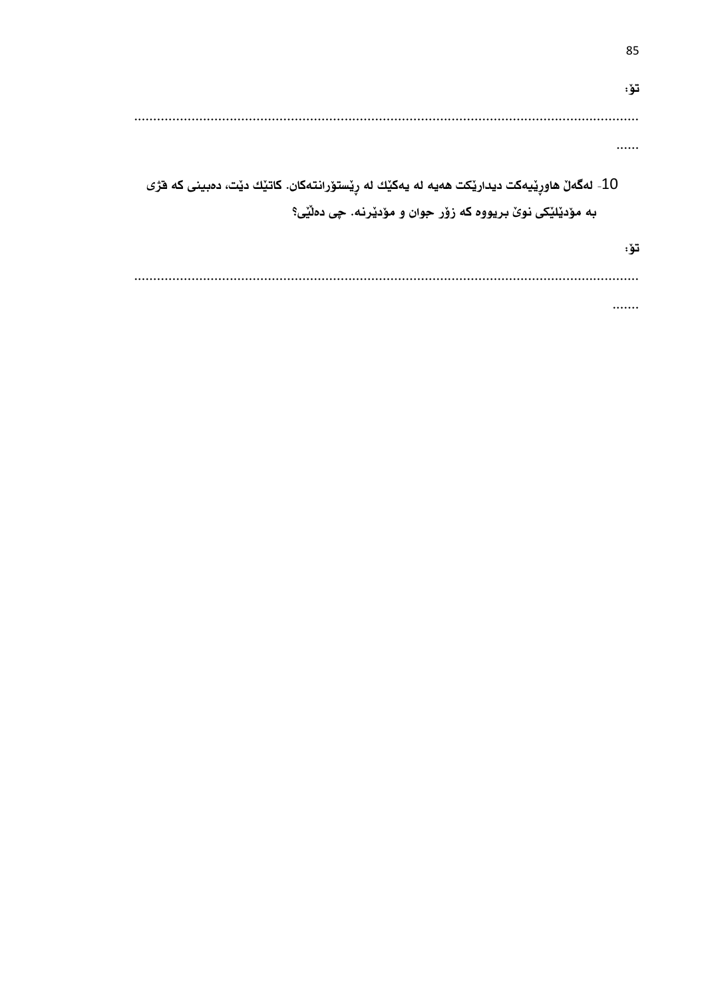تؤ:  $\cdots$ 10- لەگەلْ ھاورِيْيەكت ديداريْكت ھەيە لە يەكيْك لە رِيْستۆرانتەكان. كاتيْك ديْت، دەبينى كە قرْى به مۆدێلێکی نوێ بريووه که زۆر جوان و مۆدێرنه. چی دهڵێی؟ تۆ: 

85

. . . . . . .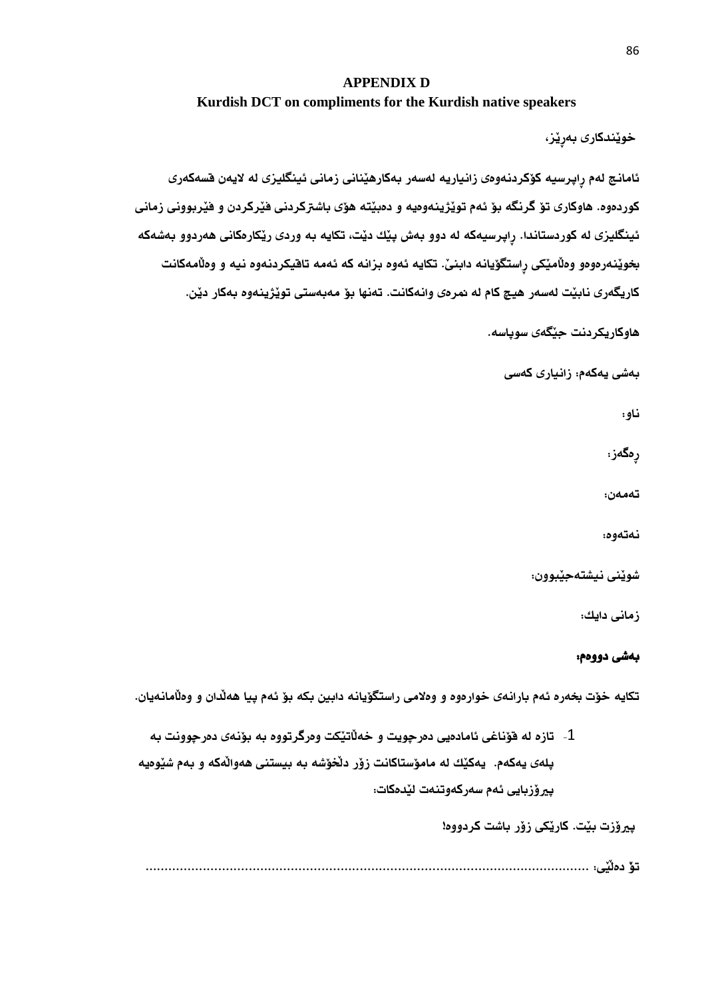# **APPENDIX D**

**Kurdish DCT on compliments for the Kurdish native speakers**

خويِّندكارى بەرِيْز،

ئامانج لهم رِاپرسيه كۆكردنهوەى زانياريه لەسەر بەكارهيّنانى زمانى ئينگليزى له لايەن قسەكەرى كوردهوه. هاوكارى تؤ گرنگه بؤ ئهم تويَژينهوهيه و دهبيّته هؤى باشتركردنى فيَركردن و فيَربوونى زمانى ئينگليزى له كوردستاندا. رِاپرسيهكه له دوو بهش پێك ديّت، تكايه به وردى ريّكارهكانى ههردوو بهشهكه بخويَنهرمومو وملَاميَكى رِاستگوَيانه دابنىّ. تكايه ئهوه بزانه كه ئهمه تاقيكردنهوه نيه و وملَامهكانت كاريگەرى نابيّت لەسەر هيچ كام له همرەى وانەكانت. تەنها بۆ مەبەستى تويّژينەوە بەكار ديّن.

هاوكاريكردنت جيَطةى سوثاسة.

بةشى يةكةم: زانيارى كةسى

ناو:

رەگەز:

تةمةن:

نەتەوە:

شويَنى نيشتةجيَبوون:

زمانى دايك:

# بةشى دووةم:

تكايه خوّت بخهره ئهم بارانهى خوارهوه و وهلامى راستگوّيانه دابين بكه بوّ ئهم بيا ههلّدان و وهلّامانهيان.

1- تازه له فوّناغى ئامادهيى دهرجويت و خهلَاتيَكت وهرگرتووه به بوّنهى دهرجوونت به ثلةى يةكةم. يةكيَك لة مامؤستاكانت زؤر دلَخؤشة بة بيستنى هةوالَةكة و بةم شيَوةية يير وْزبايى ئهم سەركەوتنەت ليَدەكات:

ثريؤزت بيَت. كاريَكى زؤر باشت كردووة!

تؤَ دةلَيَى: ....................................................................................................................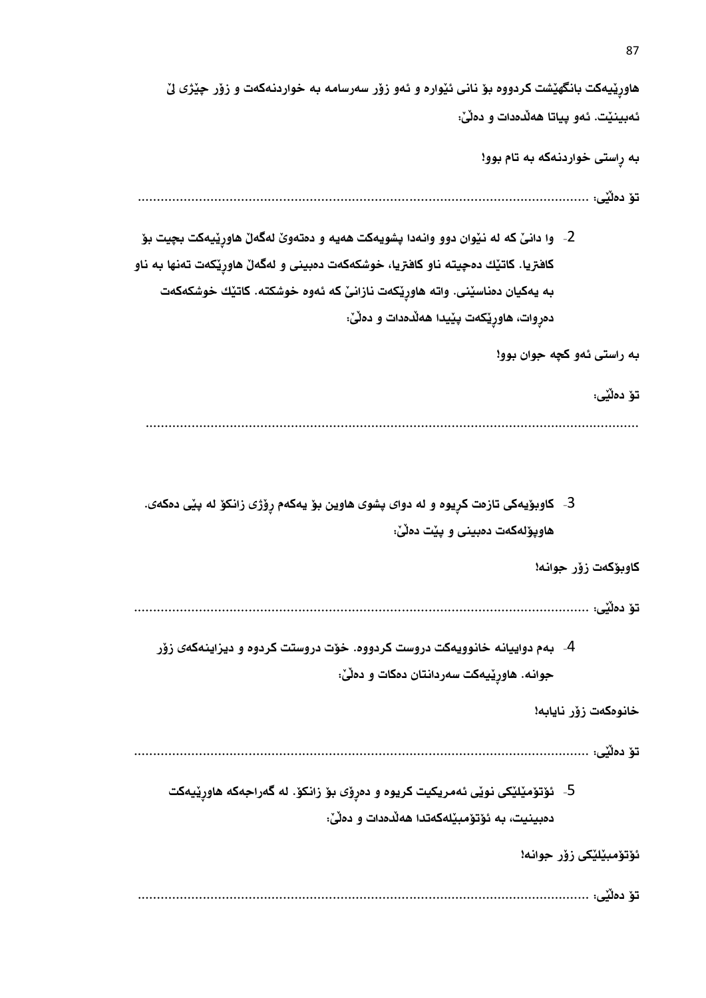هاورِيَيهكت بانگهيَشت كردووه بؤ نانى ئيّواره و ئهو زوّر سهرسامه به خواردنهكهت و زوّر چيّژى ليّ ئهبينيِّت. ئەو بياتا هەللەدات و دەلىّ:

بة رِاستى خواردنةكة بة تام بوو!

تؤ دةلَيَى: ......................................................................................................................

2- وا دانـيّ كه له نـيّوان دوو وانـهدا پشويـهكت ههيـه و دمتـهويّ لهگـهـلّ هاورِيّيـهكت بـچيت بـوّ كافتريا. كاتيّك دهچيته ناو كافتريا، خوشكهكهت دهبينى و لهگهلّ هاوريّكهت تهنها به ناو بة يةكيان دةناسيَنى. واتة هاورِيَكةت نازانىَ كة ئةوة خوشكتة. كاتيَك خوشكةكةت دهرِوات، هاورِيِّكهت پيِّيدا ههلُدهدات و دهلَىٰ:

بة راستى ئةو كضة جوان بوو!

تؤ دةلَيَى: .................................................................................................................................

3- كاوبۆيەكى تازەت كرِيوه و له دواى پشوى هاوين بۆ يەكەم رِۆژى زانكۆ لە پێى دەكەى. هاويؤلهكهت دهبينى و ييْت دهلْيْ:

كاوبؤكةت زؤر جوانة!

تؤ دةلَيَى: .......................................................................................................................

-4 بةم دواييانة خانوويةكت دروست كردووة. خؤت دروستت كردوة و ديزاينةكةى زؤر جوانه. هاورِيْيهكت سهردانتان دمكات و دملَىٰ:

خانوهكەت زۆر نايابە!

تؤ دةلَيَى: .......................................................................................................................

5- ئۆتۆمێلێكى نوێى ئەمريكيت كريوه و دەرِۆى بۆ زانكۆ. له گەراجەكە ھاورِيْيەكت دەبينيت، به ئۆتۆمبێلەكەتدا ھەلْدەدات و دەلَىٰ:

ئۇتۆمبىٽلٽكى زۆر جوانە!

تؤ دةلَيَى: ......................................................................................................................